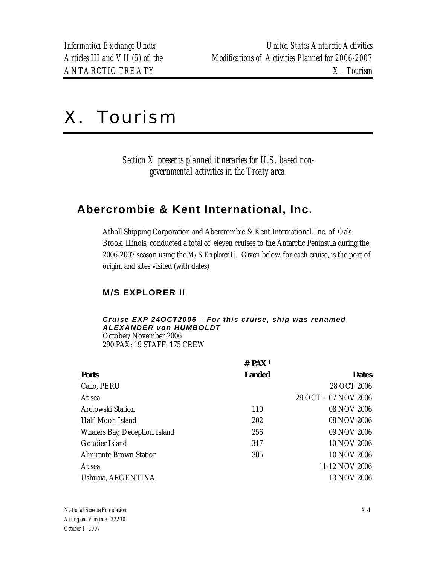# X. Tourism

*Section X presents planned itineraries for U.S. based nongovernmental activities in the Treaty area.* 

# **Abercrombie & Kent International, Inc.**

Atholl Shipping Corporation and Abercrombie & Kent International, Inc. of Oak Brook, Illinois, conducted a total of eleven cruises to the Antarctic Peninsula during the 2006-2007 season using the *M/S Explorer II.* Given below, for each cruise, is the port of origin, and sites visited (with dates)

# **M/S EXPLORER II**

#### *Cruise EXP 24OCT2006 – For this cruise, ship was renamed ALEXANDER von HUMBOLDT*  October/November 2006

290 PAX; 19 STAFF; 175 CREW

| # $PAX_1$     |                      |
|---------------|----------------------|
| <b>Landed</b> | <b>Dates</b>         |
|               | 28 OCT 2006          |
|               | 29 OCT - 07 NOV 2006 |
| 110           | 08 NOV 2006          |
| 202           | 08 NOV 2006          |
| 256           | 09 NOV 2006          |
| 317           | 10 NOV 2006          |
| 305           | 10 NOV 2006          |
|               | 11-12 NOV 2006       |
|               | 13 NOV 2006          |
|               |                      |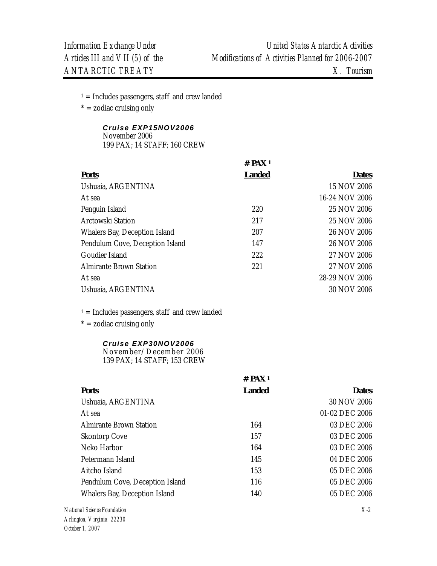$1 =$  Includes passengers, staff and crew landed

 $* =$  zodiac cruising only

# *Cruise EXP15NOV2006*

November 2006 199 PAX; 14 STAFF; 160 CREW

|                                 | $#$ PAX <sup>1</sup> |                |
|---------------------------------|----------------------|----------------|
| <b>Ports</b>                    | <b>Landed</b>        | <b>Dates</b>   |
| Ushuaia, ARGENTINA              |                      | 15 NOV 2006    |
| At sea                          |                      | 16-24 NOV 2006 |
| Penguin Island                  | 220                  | 25 NOV 2006    |
| Arctowski Station               | 217                  | 25 NOV 2006    |
| Whalers Bay, Deception Island   | 207                  | 26 NOV 2006    |
| Pendulum Cove, Deception Island | 147                  | 26 NOV 2006    |
| Goudier Island                  | 222                  | 27 NOV 2006    |
| <b>Almirante Brown Station</b>  | 221                  | 27 NOV 2006    |
| At sea                          |                      | 28-29 NOV 2006 |
| Ushuaia, ARGENTINA              |                      | 30 NOV 2006    |

 $1 =$  Includes passengers, staff and crew landed

 $* =$  zodiac cruising only

# *Cruise EXP30NOV2006*

November/December 2006 139 PAX; 14 STAFF; 153 CREW

|                                 | $#$ PAX <sup>1</sup> |                |
|---------------------------------|----------------------|----------------|
| <b>Ports</b>                    | <b>Landed</b>        | <b>Dates</b>   |
| Ushuaia, ARGENTINA              |                      | 30 NOV 2006    |
| At sea                          |                      | 01-02 DEC 2006 |
| Almirante Brown Station         | 164                  | 03 DEC 2006    |
| <b>Skontorp Cove</b>            | 157                  | 03 DEC 2006    |
| Neko Harbor                     | 164                  | 03 DEC 2006    |
| Petermann Island                | 145                  | 04 DEC 2006    |
| Aitcho Island                   | 153                  | 05 DEC 2006    |
| Pendulum Cove, Deception Island | 116                  | 05 DEC 2006    |
| Whalers Bay, Deception Island   | 140                  | 05 DEC 2006    |
|                                 |                      |                |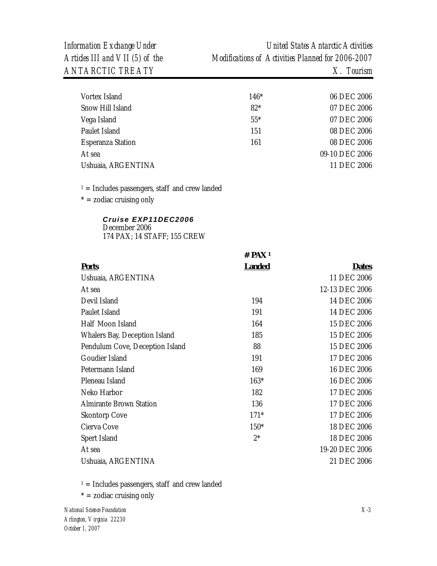| Vortex Island            | $146*$ | 06 DEC 2006    |
|--------------------------|--------|----------------|
| Snow Hill Island         | $82*$  | 07 DEC 2006    |
| Vega Island              | $55*$  | 07 DEC 2006    |
| Paulet Island            | 151    | 08 DEC 2006    |
| <b>Esperanza Station</b> | 161    | 08 DEC 2006    |
| At sea                   |        | 09-10 DEC 2006 |
| Ushuaia, ARGENTINA       |        | 11 DEC 2006    |
|                          |        |                |

 $1 =$  Includes passengers, staff and crew landed

 $* =$  zodiac cruising only

#### *Cruise EXP11DEC2006*

December 2006 174 PAX; 14 STAFF; 155 CREW

|                                 | $#$ PAX <sup>1</sup> |                |
|---------------------------------|----------------------|----------------|
| <b>Ports</b>                    | <b>Landed</b>        | <b>Dates</b>   |
| Ushuaia, ARGENTINA              |                      | 11 DEC 2006    |
| At sea                          |                      | 12-13 DEC 2006 |
| Devil Island                    | 194                  | 14 DEC 2006    |
| Paulet Island                   | 191                  | 14 DEC 2006    |
| Half Moon Island                | 164                  | 15 DEC 2006    |
| Whalers Bay, Deception Island   | 185                  | 15 DEC 2006    |
| Pendulum Cove, Deception Island | 88                   | 15 DEC 2006    |
| Goudier Island                  | 191                  | 17 DEC 2006    |
| Petermann Island                | 169                  | 16 DEC 2006    |
| Pleneau Island                  | 163*                 | 16 DEC 2006    |
| Neko Harbor                     | 182                  | 17 DEC 2006    |
| <b>Almirante Brown Station</b>  | 136                  | 17 DEC 2006    |
| <b>Skontorp Cove</b>            | $171*$               | 17 DEC 2006    |
| Cierva Cove                     | $150*$               | 18 DEC 2006    |
| Spert Island                    | $2*$                 | 18 DEC 2006    |
| At sea                          |                      | 19-20 DEC 2006 |
| Ushuaia, ARGENTINA              |                      | 21 DEC 2006    |

 $1 =$  Includes passengers, staff and crew landed

 $* =$  zodiac cruising only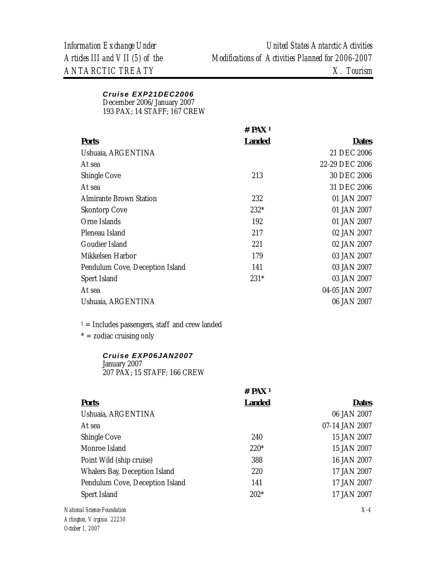# *Cruise EXP21DEC2006*

December 2006/January 2007

193 PAX; 14 STAFF; 167 CREW

|                                 | $#$ PAX <sup>1</sup> |                |
|---------------------------------|----------------------|----------------|
| <b>Ports</b>                    | <b>Landed</b>        | <b>Dates</b>   |
| Ushuaia, ARGENTINA              |                      | 21 DEC 2006    |
| At sea                          |                      | 22-29 DEC 2006 |
| Shingle Cove                    | 213                  | 30 DEC 2006    |
| At sea                          |                      | 31 DEC 2006    |
| Almirante Brown Station         | 232                  | 01 JAN 2007    |
| <b>Skontorp Cove</b>            | 232*                 | 01 JAN 2007    |
| Orne Islands                    | 192                  | 01 JAN 2007    |
| Pleneau Island                  | 217                  | 02 JAN 2007    |
| Goudier Island                  | 221                  | 02 JAN 2007    |
| Mikkelsen Harbor                | 179                  | 03 JAN 2007    |
| Pendulum Cove, Deception Island | 141                  | 03 JAN 2007    |
| Spert Island                    | $231*$               | 03 JAN 2007    |
| At sea                          |                      | 04-05 JAN 2007 |
| Ushuaia, ARGENTINA              |                      | 06 JAN 2007    |
|                                 |                      |                |

 $1 =$  Includes passengers, staff and crew landed

 $* =$  zodiac cruising only

# *Cruise EXP06JAN2007*

January 2007 207 PAX; 15 STAFF; 166 CREW

|                                 | # $PAX_1$     |                |
|---------------------------------|---------------|----------------|
| <b>Ports</b>                    | <b>Landed</b> | <b>Dates</b>   |
| Ushuaia, ARGENTINA              |               | 06 JAN 2007    |
| At sea                          |               | 07-14 JAN 2007 |
| Shingle Cove                    | 240           | 15 JAN 2007    |
| Monroe Island                   | $220*$        | 15 JAN 2007    |
| Point Wild (ship cruise)        | 388           | 16 JAN 2007    |
| Whalers Bay, Deception Island   | 220           | 17 JAN 2007    |
| Pendulum Cove, Deception Island | 141           | 17 JAN 2007    |
| Spert Island                    | $202*$        | 17 JAN 2007    |
| onal Science Foundation         |               | $X-4$          |

 $N$ atio *Arlington, Virginia 22230 October 1, 2007*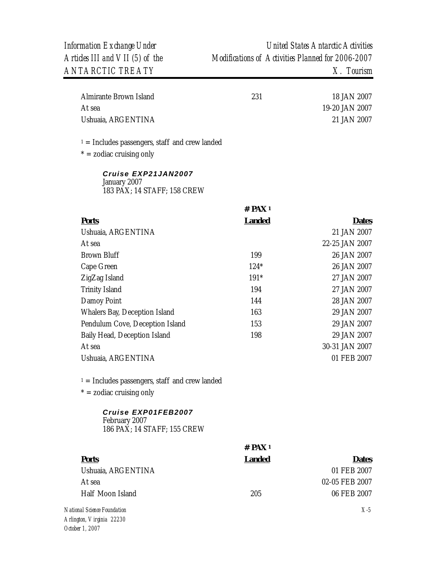| Almirante Brown Island | 231 | 18 JAN 2007    |
|------------------------|-----|----------------|
| At sea                 |     | 19-20 JAN 2007 |
| Ushuaia, ARGENTINA     |     | 21 JAN 2007    |

 $1 =$  Includes passengers, staff and crew landed

 $* =$  zodiac cruising only

*Cruise EXP21JAN2007*  January 2007 183 PAX; 14 STAFF; 158 CREW

|                                 | $#$ PAX <sup>1</sup> |                |
|---------------------------------|----------------------|----------------|
| <b>Ports</b>                    | <b>Landed</b>        | <b>Dates</b>   |
| Ushuaia, ARGENTINA              |                      | 21 JAN 2007    |
| At sea                          |                      | 22-25 JAN 2007 |
| Brown Bluff                     | 199                  | 26 JAN 2007    |
| Cape Green                      | $124*$               | 26 JAN 2007    |
| ZigZag Island                   | 191*                 | 27 JAN 2007    |
| <b>Trinity Island</b>           | 194                  | 27 JAN 2007    |
| Damoy Point                     | 144                  | 28 JAN 2007    |
| Whalers Bay, Deception Island   | 163                  | 29 JAN 2007    |
| Pendulum Cove, Deception Island | 153                  | 29 JAN 2007    |
| Baily Head, Deception Island    | 198                  | 29 JAN 2007    |
| At sea                          |                      | 30-31 JAN 2007 |
| Ushuaia, ARGENTINA              |                      | 01 FEB 2007    |
|                                 |                      |                |
|                                 |                      |                |

 $1 =$  Includes passengers, staff and crew landed

 $* =$  zodiac cruising only

#### *Cruise EXP01FEB2007*  February 2007 186 PAX; 14 STAFF; 155 CREW

|                    | $#$ PAX <sup>1</sup> |                |
|--------------------|----------------------|----------------|
| <b>Ports</b>       | <b>Landed</b>        | <b>Dates</b>   |
| Ushuaia, ARGENTINA |                      | 01 FEB 2007    |
| At sea             |                      | 02-05 FEB 2007 |
| Half Moon Island   | 205                  | 06 FEB 2007    |
|                    |                      |                |

*National Science Foundation Arlington, Virginia 22230 October 1, 2007* 

*X-5*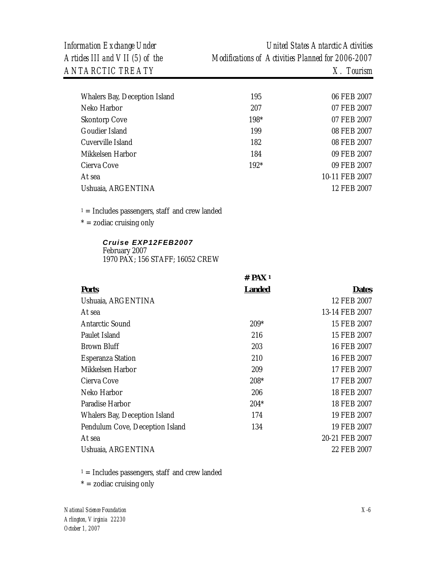*Information Exchange Under United States Antarctic Activities Articles III and VII (5) of the Modifications of Activities Planned for 2006-2007* 

| Whalers Bay, Deception Island | 195  | 06 FEB 2007    |
|-------------------------------|------|----------------|
| Neko Harbor                   | 207  | 07 FEB 2007    |
| <b>Skontorp Cove</b>          | 198* | 07 FEB 2007    |
| Goudier Island                | 199  | 08 FEB 2007    |
| Cuverville Island             | 182  | 08 FEB 2007    |
| Mikkelsen Harbor              | 184  | 09 FEB 2007    |
| Cierva Cove                   | 192* | 09 FEB 2007    |
| At sea                        |      | 10-11 FEB 2007 |
| Ushuaia, ARGENTINA            |      | 12 FEB 2007    |
|                               |      |                |

 $1 =$  Includes passengers, staff and crew landed

 $* =$  zodiac cruising only

#### *Cruise EXP12FEB2007*  February 2007 1970 PAX; 156 STAFF; 16052 CREW

|                                 | $#$ PAX <sup>1</sup> |                |
|---------------------------------|----------------------|----------------|
| <b>Ports</b>                    | <u>Landed</u>        | <b>Dates</b>   |
| Ushuaia, ARGENTINA              |                      | 12 FEB 2007    |
| At sea                          |                      | 13-14 FEB 2007 |
| <b>Antarctic Sound</b>          | $209*$               | 15 FEB 2007    |
| Paulet Island                   | 216                  | 15 FEB 2007    |
| <b>Brown Bluff</b>              | 203                  | 16 FEB 2007    |
| <b>Esperanza Station</b>        | 210                  | 16 FEB 2007    |
| Mikkelsen Harbor                | 209                  | 17 FEB 2007    |
| Cierva Cove                     | $208*$               | 17 FEB 2007    |
| Neko Harbor                     | 206                  | 18 FEB 2007    |
| Paradise Harbor                 | $204*$               | 18 FEB 2007    |
| Whalers Bay, Deception Island   | 174                  | 19 FEB 2007    |
| Pendulum Cove, Deception Island | 134                  | 19 FEB 2007    |
| At sea                          |                      | 20-21 FEB 2007 |
| Ushuaia, ARGENTINA              |                      | 22 FEB 2007    |

 $1 =$  Includes passengers, staff and crew landed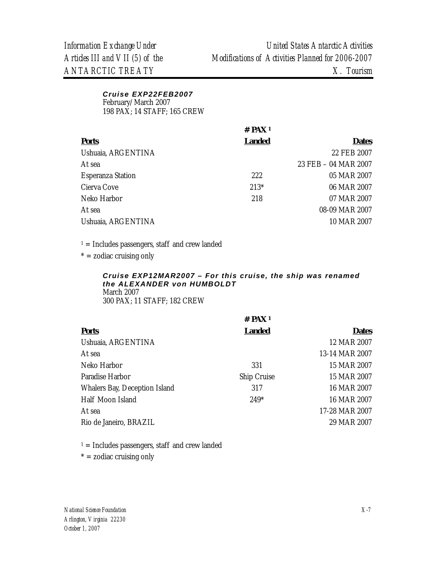#### *Cruise EXP22FEB2007*  February/March 2007 198 PAX; 14 STAFF; 165 CREW

|                          | $#$ PAX <sup>1</sup> |                      |
|--------------------------|----------------------|----------------------|
| <b>Ports</b>             | <b>Landed</b>        | <b>Dates</b>         |
| Ushuaia, ARGENTINA       |                      | 22 FEB 2007          |
| At sea                   |                      | 23 FEB - 04 MAR 2007 |
| <b>Esperanza Station</b> | 2.2.2                | 05 MAR 2007          |
| Cierva Cove              | $213*$               | 06 MAR 2007          |
| Neko Harbor              | 218                  | 07 MAR 2007          |
| At sea                   |                      | 08-09 MAR 2007       |
| Ushuaia, ARGENTINA       |                      | 10 MAR 2007          |

 $1 =$  Includes passengers, staff and crew landed

 $* =$  zodiac cruising only

#### *Cruise EXP12MAR2007 – For this cruise, the ship was renamed the ALEXANDER von HUMBOLDT*  March 2007 300 PAX; 11 STAFF; 182 CREW

| # $PAX1$      |                |
|---------------|----------------|
| <b>Landed</b> | <b>Dates</b>   |
|               | 12 MAR 2007    |
|               | 13-14 MAR 2007 |
| 331           | 15 MAR 2007    |
| Ship Cruise   | 15 MAR 2007    |
| 317           | 16 MAR 2007    |
| $249*$        | 16 MAR 2007    |
|               | 17-28 MAR 2007 |
|               | 29 MAR 2007    |
|               |                |

 $1 =$  Includes passengers, staff and crew landed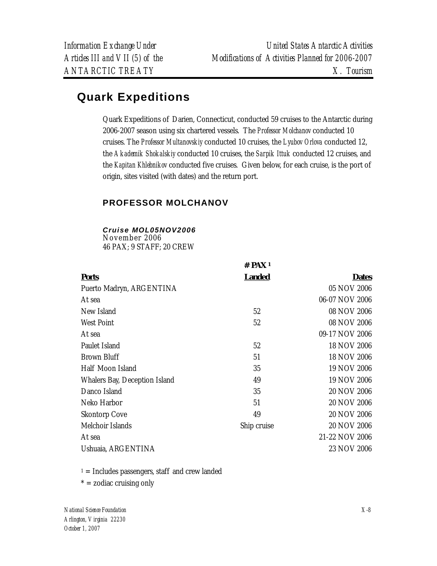# **Quark Expeditions**

Quark Expeditions of Darien, Connecticut, conducted 59 cruises to the Antarctic during 2006-2007 season using six chartered vessels. The *Professor Molchanov* conducted 10 cruises. The *Professor Multanovskiy* conducted 10 cruises, the *Lyubov Orlova* conducted 12, the *Akademik Shokalskiy* conducted 10 cruises, the *Sarpik Ittuk* conducted 12 cruises, and the *Kapitan Khlebnikov* conducted five cruises. Given below, for each cruise, is the port of origin, sites visited (with dates) and the return port.

# **PROFESSOR MOLCHANOV**

*Cruise MOL05NOV2006* 

November 2006 46 PAX; 9 STAFF; 20 CREW

|                               | $#$ PAX <sup>1</sup> |                    |
|-------------------------------|----------------------|--------------------|
| <b>Ports</b>                  | <u>Landed</u>        | <b>Dates</b>       |
| Puerto Madryn, ARGENTINA      |                      | 05 NOV 2006        |
| At sea                        |                      | 06-07 NOV 2006     |
| New Island                    | 52                   | 08 NOV 2006        |
| West Point                    | 52                   | 08 NOV 2006        |
| At sea                        |                      | 09-17 NOV 2006     |
| Paulet Island                 | 52                   | 18 NOV 2006        |
| <b>Brown Bluff</b>            | 51                   | 18 NOV 2006        |
| Half Moon Island              | 35                   | 19 NOV 2006        |
| Whalers Bay, Deception Island | 49                   | 19 NOV 2006        |
| Danco Island                  | 35                   | 20 NOV 2006        |
| Neko Harbor                   | 51                   | <b>20 NOV 2006</b> |
| <b>Skontorp Cove</b>          | 49                   | 20 NOV 2006        |
| Melchoir Islands              | Ship cruise          | 20 NOV 2006        |
| At sea                        |                      | 21-22 NOV 2006     |
| Ushuaia, ARGENTINA            |                      | 23 NOV 2006        |

 $1 =$  Includes passengers, staff and crew landed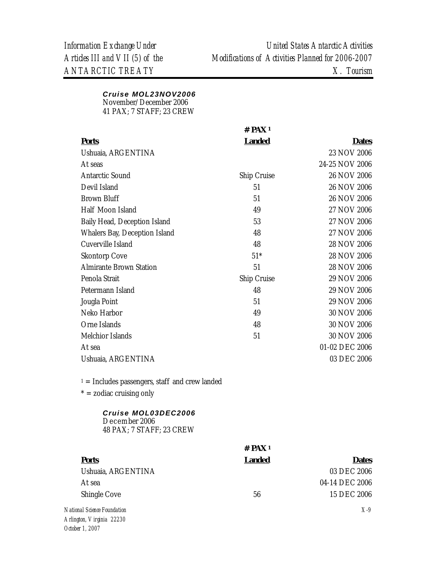# *Cruise MOL23NOV2006*

November/December 2006 41 PAX; 7 STAFF; 23 CREW

|                                                                  | $#$ PAX <sup>1</sup> |                |
|------------------------------------------------------------------|----------------------|----------------|
| <b>Ports</b>                                                     | <b>Landed</b>        | <b>Dates</b>   |
| Ushuaia, ARGENTINA                                               |                      | 23 NOV 2006    |
| At seas                                                          |                      | 24-25 NOV 2006 |
| <b>Antarctic Sound</b>                                           | Ship Cruise          | 26 NOV 2006    |
| Devil Island                                                     | 51                   | 26 NOV 2006    |
| <b>Brown Bluff</b>                                               | 51                   | 26 NOV 2006    |
| Half Moon Island                                                 | 49                   | 27 NOV 2006    |
| Baily Head, Deception Island                                     | 53                   | 27 NOV 2006    |
| Whalers Bay, Deception Island                                    | 48                   | 27 NOV 2006    |
| Cuverville Island                                                | 48                   | 28 NOV 2006    |
| <b>Skontorp Cove</b>                                             | $51*$                | 28 NOV 2006    |
| <b>Almirante Brown Station</b>                                   | 51                   | 28 NOV 2006    |
| Penola Strait                                                    | Ship Cruise          | 29 NOV 2006    |
| Petermann Island                                                 | 48                   | 29 NOV 2006    |
| Jougla Point                                                     | 51                   | 29 NOV 2006    |
| Neko Harbor                                                      | 49                   | 30 NOV 2006    |
| Orne Islands                                                     | 48                   | 30 NOV 2006    |
| Melchior Islands                                                 | 51                   | 30 NOV 2006    |
| At sea                                                           |                      | 01-02 DEC 2006 |
| Ushuaia, ARGENTINA                                               |                      | 03 DEC 2006    |
| $1 =$ Includes passengers, staff and crew landed                 |                      |                |
| $* =$ zodiac cruising only                                       |                      |                |
| Cruise MOL03DEC2006<br>December 2006<br>48 PAX; 7 STAFF; 23 CREW |                      |                |

|                            | $#$ PAX <sup>1</sup> |                |
|----------------------------|----------------------|----------------|
| <b>Ports</b>               | <b>Landed</b>        | <b>Dates</b>   |
| Ushuaia, ARGENTINA         |                      | 03 DEC 2006    |
| At sea                     |                      | 04-14 DEC 2006 |
| Shingle Cove               | 56                   | 15 DEC 2006    |
| ational Science Foundation |                      | $X-9$          |

 $N$ á *Arlington, Virginia 22230 October 1, 2007*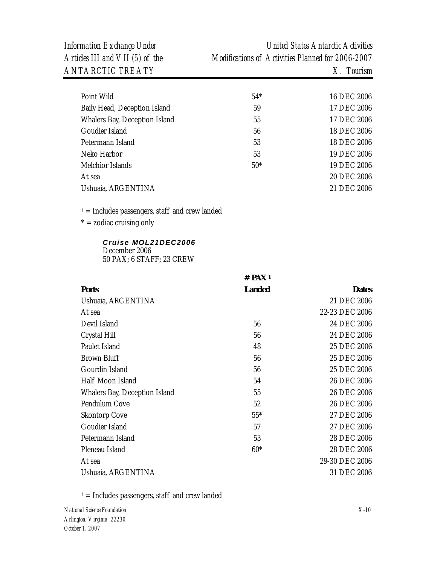*Information Exchange Under United States Antarctic Activities Articles III and VII (5) of the Modifications of Activities Planned for 2006-2007* 

| Point Wild                                       | $54*$                | 16 DEC 2006    |
|--------------------------------------------------|----------------------|----------------|
| Baily Head, Deception Island                     | 59                   | 17 DEC 2006    |
| Whalers Bay, Deception Island                    | 55                   | 17 DEC 2006    |
| Goudier Island                                   | 56                   | 18 DEC 2006    |
| Petermann Island                                 | 53                   | 18 DEC 2006    |
| Neko Harbor                                      | 53                   | 19 DEC 2006    |
| Melchior Islands                                 | $50*$                | 19 DEC 2006    |
| At sea                                           |                      | 20 DEC 2006    |
| Ushuaia, ARGENTINA                               |                      | 21 DEC 2006    |
| $1 =$ Includes passengers, staff and crew landed |                      |                |
| $* =$ zodiac cruising only                       |                      |                |
| Cruise MOL21DEC2006                              |                      |                |
| December 2006                                    |                      |                |
| 50 PAX; 6 STAFF; 23 CREW                         |                      |                |
|                                                  | $#$ PAX <sup>1</sup> |                |
|                                                  |                      |                |
| <b>Ports</b>                                     | <b>Landed</b>        | <b>Dates</b>   |
| Ushuaia, ARGENTINA                               |                      | 21 DEC 2006    |
| At sea                                           |                      | 22-23 DEC 2006 |
| Devil Island                                     | 56                   | 24 DEC 2006    |
| Crystal Hill                                     | 56                   | 24 DEC 2006    |
| Paulet Island                                    | 48                   | 25 DEC 2006    |
| <b>Brown Bluff</b>                               | 56                   | 25 DEC 2006    |
| Gourdin Island                                   | 56                   | 25 DEC 2006    |
| Half Moon Island                                 | 54                   | 26 DEC 2006    |
| Whalers Bay, Deception Island                    | 55                   | 26 DEC 2006    |
| Pendulum Cove                                    | 52                   | 26 DEC 2006    |
| <b>Skontorp Cove</b>                             | $55*$                | 27 DEC 2006    |
| Goudier Island                                   | 57                   | 27 DEC 2006    |
| Petermann Island                                 | 53                   | 28 DEC 2006    |
| Pleneau Island                                   | $60*$                | 28 DEC 2006    |
| At sea                                           |                      | 29-30 DEC 2006 |

 $1 =$  Includes passengers, staff and crew landed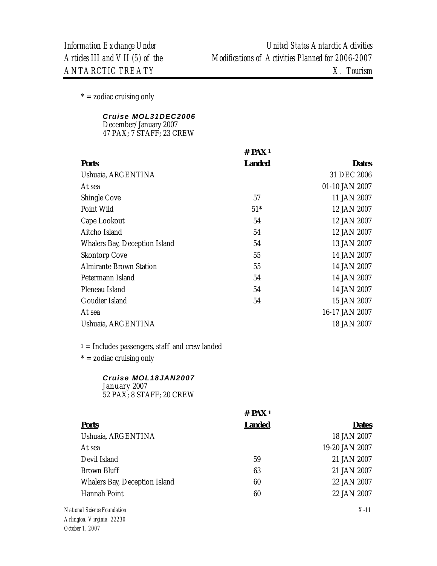$* =$  zodiac cruising only

|  | Cruise MOL31DEC2006 |
|--|---------------------|
|--|---------------------|

| December/January 2007    |  |
|--------------------------|--|
| 47 PAX; 7 STAFF; 23 CREW |  |

|                                | $#$ PAX <sup>1</sup> |                |
|--------------------------------|----------------------|----------------|
| <b>Ports</b>                   | <b>Landed</b>        | <b>Dates</b>   |
| Ushuaia, ARGENTINA             |                      | 31 DEC 2006    |
| At sea                         |                      | 01-10 JAN 2007 |
| <b>Shingle Cove</b>            | 57                   | 11 JAN 2007    |
| Point Wild                     | $51*$                | 12 JAN 2007    |
| Cape Lookout                   | 54                   | 12 JAN 2007    |
| Aitcho Island                  | 54                   | 12 JAN 2007    |
| Whalers Bay, Deception Island  | 54                   | 13 JAN 2007    |
| <b>Skontorp Cove</b>           | 55                   | 14 JAN 2007    |
| <b>Almirante Brown Station</b> | 55                   | 14 JAN 2007    |
| Petermann Island               | 54                   | 14 JAN 2007    |
| Pleneau Island                 | 54                   | 14 JAN 2007    |
| Goudier Island                 | 54                   | 15 JAN 2007    |
| At sea                         |                      | 16-17 JAN 2007 |
| Ushuaia, ARGENTINA             |                      | 18 JAN 2007    |

 $1 =$  Includes passengers, staff and crew landed

 $* =$  zodiac cruising only

# *Cruise MOL18JAN2007*  January 2007

52 PAX; 8 STAFF; 20 CREW

|                               | $#$ PAX <sup>1</sup> |                |
|-------------------------------|----------------------|----------------|
| <b>Ports</b>                  | <b>Landed</b>        | <b>Dates</b>   |
| Ushuaia, ARGENTINA            |                      | 18 JAN 2007    |
| At sea                        |                      | 19-20 JAN 2007 |
| Devil Island                  | 59                   | 21 JAN 2007    |
| Brown Bluff                   | 63                   | 21 JAN 2007    |
| Whalers Bay, Deception Island | 60                   | 22 JAN 2007    |
| Hannah Point                  | 60                   | 22 JAN 2007    |
| onal Science Foundation       |                      | $X-11$         |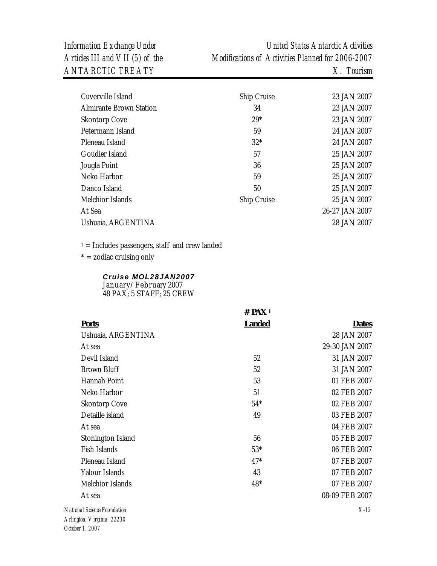| Cuverville Island              | Ship Cruise | 23 JAN 2007    |
|--------------------------------|-------------|----------------|
| <b>Almirante Brown Station</b> | 34          | 23 JAN 2007    |
| <b>Skontorp Cove</b>           | $29*$       | 23 JAN 2007    |
| Petermann Island               | 59          | 24 JAN 2007    |
| Pleneau Island                 | $32*$       | 24 JAN 2007    |
| Goudier Island                 | 57          | 25 JAN 2007    |
| Jougla Point                   | 36          | 25 JAN 2007    |
| Neko Harbor                    | 59          | 25 JAN 2007    |
| Danco Island                   | 50          | 25 JAN 2007    |
| Melchior Islands               | Ship Cruise | 25 JAN 2007    |
| At Sea                         |             | 26-27 JAN 2007 |
| Ushuaia, ARGENTINA             |             | 28 JAN 2007    |
|                                |             |                |

 $1 =$  Includes passengers, staff and crew landed

 $* =$  zodiac cruising only

#### *Cruise MOL28JAN2007*  January/February 2007 48 PAX; 5 STAFF; 25 CREW

*National Science Foundation X-12* **# PAX 1 Ports Landed Dates** Ushuaia, ARGENTINA At sea 28 JAN 2007 29-30 JAN 2007 Devil Island 31 JAN 2007 Brown Bluff 52 31 JAN 2007 Hannah Point 63 01 FEB 2007 Neko Harbor 51 02 FEB 2007 Skontorp Cove Detaille island 54\* 49 02 FEB 2007 03 FEB 2007 At sea 04 FEB 2007 Stonington Island Fish Islands 56 53\* 05 FEB 2007 06 FEB 2007 Pleneau Island 17<sup>\*</sup> 17<sup>\*</sup> 07 FEB 2007 Yalour Islands 607 FEB 2007 Melchior Islands 48\* 07 FEB 2007 At sea 08-09 FEB 2007

*Arlington, Virginia 22230 October 1, 2007*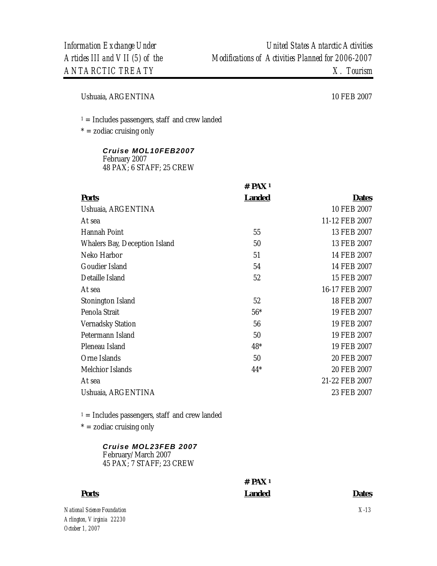Ushuaia, ARGENTINA 10 FEB 2007

 $1 =$  Includes passengers, staff and crew landed

 $* =$  zodiac cruising only

#### *Cruise MOL10FEB2007*  February 2007 48 PAX; 6 STAFF; 25 CREW

|                               | $#$ PAX <sup>1</sup> |                |
|-------------------------------|----------------------|----------------|
| <b>Ports</b>                  | <b>Landed</b>        | <b>Dates</b>   |
| Ushuaia, ARGENTINA            |                      | 10 FEB 2007    |
| At sea                        |                      | 11-12 FEB 2007 |
| Hannah Point                  | 55                   | 13 FEB 2007    |
| Whalers Bay, Deception Island | 50                   | 13 FEB 2007    |
| Neko Harbor                   | 51                   | 14 FEB 2007    |
| Goudier Island                | 54                   | 14 FEB 2007    |
| Detaille Island               | 52                   | 15 FEB 2007    |
| At sea                        |                      | 16-17 FEB 2007 |
| Stonington Island             | 52                   | 18 FEB 2007    |
| Penola Strait                 | $56*$                | 19 FEB 2007    |
| <b>Vernadsky Station</b>      | 56                   | 19 FEB 2007    |
| Petermann Island              | 50                   | 19 FEB 2007    |
| Pleneau Island                | $48*$                | 19 FEB 2007    |
| Orne Islands                  | 50                   | 20 FEB 2007    |
| Melchior Islands              | $44*$                | 20 FEB 2007    |
| At sea                        |                      | 21-22 FEB 2007 |
| Ushuaia, ARGENTINA            |                      | 23 FEB 2007    |

 $1 =$  Includes passengers, staff and crew landed

 $* =$  zodiac cruising only

#### *Cruise MOL23FEB 2007*  February/March 2007 45 PAX; 7 STAFF; 23 CREW

# **# PAX 1 Ports Landed Dates**

*National Science Foundation Arlington, Virginia 22230 October 1, 2007* 

*X-13*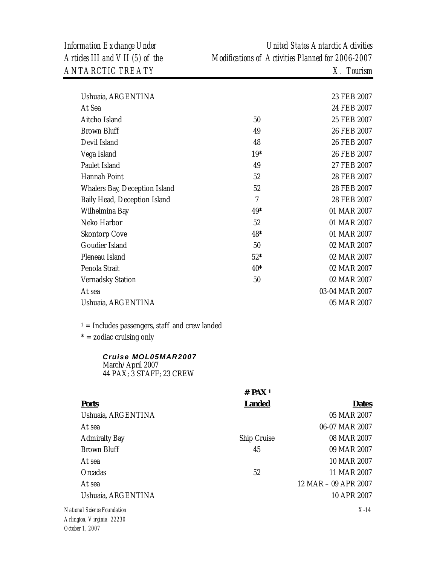| Ushuaia, ARGENTINA            |                | 23 FEB 2007    |
|-------------------------------|----------------|----------------|
| At Sea                        |                | 24 FEB 2007    |
| Aitcho Island                 | 50             | 25 FEB 2007    |
| <b>Brown Bluff</b>            | 49             | 26 FEB 2007    |
| Devil Island                  | 48             | 26 FEB 2007    |
| Vega Island                   | $19*$          | 26 FEB 2007    |
| Paulet Island                 | 49             | 27 FEB 2007    |
| Hannah Point                  | 52             | 28 FEB 2007    |
| Whalers Bay, Deception Island | 52             | 28 FEB 2007    |
| Baily Head, Deception Island  | $\overline{7}$ | 28 FEB 2007    |
| Wilhelmina Bay                | $49*$          | 01 MAR 2007    |
| Neko Harbor                   | 52             | 01 MAR 2007    |
| <b>Skontorp Cove</b>          | 48*            | 01 MAR 2007    |
| Goudier Island                | 50             | 02 MAR 2007    |
| Pleneau Island                | $52*$          | 02 MAR 2007    |
| Penola Strait                 | $40*$          | 02 MAR 2007    |
| <b>Vernadsky Station</b>      | 50             | 02 MAR 2007    |
| At sea                        |                | 03-04 MAR 2007 |
| Ushuaia, ARGENTINA            |                | 05 MAR 2007    |
|                               |                |                |

 $1 =$  Includes passengers, staff and crew landed

\* = zodiac cruising only

| Cruise MOL05MAR2007      |
|--------------------------|
| March/April 2007         |
| 44 PAX; 3 STAFF; 23 CREW |

|                        | $#$ PAX <sup>1</sup> |                      |
|------------------------|----------------------|----------------------|
| <b>Ports</b>           | <b>Landed</b>        | <b>Dates</b>         |
| Ushuaia, ARGENTINA     |                      | 05 MAR 2007          |
| At sea                 |                      | 06-07 MAR 2007       |
| <b>Admiralty Bay</b>   | Ship Cruise          | 08 MAR 2007          |
| <b>Brown Bluff</b>     | 45                   | 09 MAR 2007          |
| At sea                 |                      | 10 MAR 2007          |
| Orcadas                | 52                   | 11 MAR 2007          |
| At sea                 |                      | 12 MAR - 09 APR 2007 |
| Ushuaia, ARGENTINA     |                      | 10 APR 2007          |
| nal Science Foundation |                      | $X-14$               |
| ttan Ulindinia 99990   |                      |                      |

 $N$ *ation Arlington, Virginia 22230 October 1, 2007*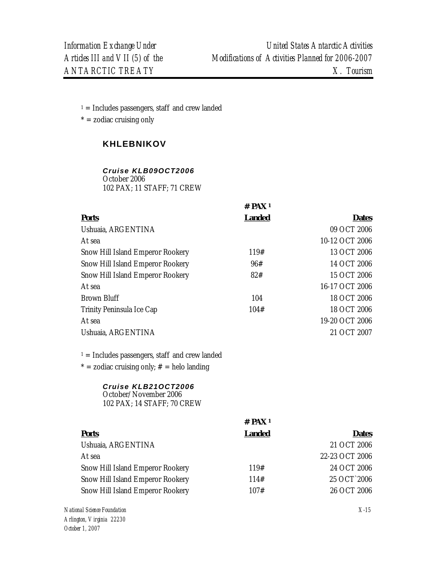$1 =$  Includes passengers, staff and crew landed

 $* =$  zodiac cruising only

# **KHLEBNIKOV**

# *Cruise KLB09OCT2006*

October 2006 102 PAX; 11 STAFF; 71 CREW

|                                                                                                                                                                                  | # $PAX_1$     |                |
|----------------------------------------------------------------------------------------------------------------------------------------------------------------------------------|---------------|----------------|
| <b>Ports</b>                                                                                                                                                                     | <b>Landed</b> | <b>Dates</b>   |
| Ushuaia, ARGENTINA                                                                                                                                                               |               | 09 OCT 2006    |
| At sea                                                                                                                                                                           |               | 10-12 OCT 2006 |
| Snow Hill Island Emperor Rookery                                                                                                                                                 | 119#          | 13 OCT 2006    |
| Snow Hill Island Emperor Rookery                                                                                                                                                 | 96#           | 14 OCT 2006    |
| Snow Hill Island Emperor Rookery                                                                                                                                                 | 82#           | 15 OCT 2006    |
| At sea                                                                                                                                                                           |               | 16-17 OCT 2006 |
| <b>Brown Bluff</b>                                                                                                                                                               | 104           | 18 OCT 2006    |
| Trinity Peninsula Ice Cap                                                                                                                                                        | 104#          | 18 OCT 2006    |
| At sea                                                                                                                                                                           |               | 19-20 OCT 2006 |
| Ushuaia, ARGENTINA                                                                                                                                                               |               | 21 OCT 2007    |
| $1 =$ Includes passengers, staff and crew landed<br>$* =$ zodiac cruising only; $# =$ helo landing<br>Cruise KLB21OCT2006<br>October/November 2006<br>102 PAX; 14 STAFF; 70 CREW |               |                |
|                                                                                                                                                                                  | # $PAX1$      |                |
| <b>Ports</b>                                                                                                                                                                     | <b>Landed</b> | <b>Dates</b>   |
| Ushuaia, ARGENTINA                                                                                                                                                               |               | 21 OCT 2006    |
| At sea                                                                                                                                                                           |               | 22-23 OCT 2006 |
| Snow Hill Island Emperor Rookery                                                                                                                                                 | 119#          | 24 OCT 2006    |
| Snow Hill Island Emperor Rookery                                                                                                                                                 | 114#          | 25 OCT 2006    |
| Snow Hill Island Emperor Rookery                                                                                                                                                 | 107#          | 26 OCT 2006    |
| nal Science Foundation                                                                                                                                                           |               | $X-15$         |

 $N$ *ation Arlington, Virginia 22230 October 1, 2007*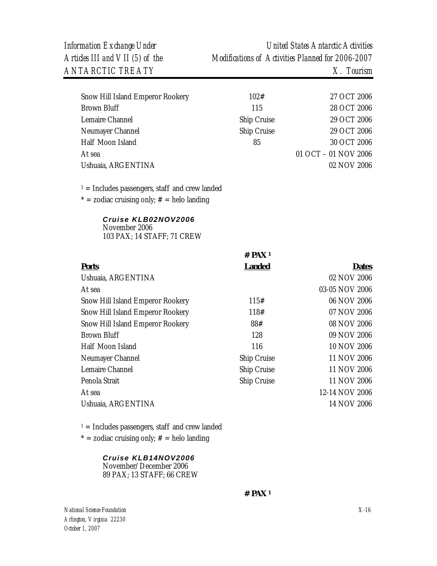| Snow Hill Island Emperor Rookery | 102#        | 27 OCT 2006          |
|----------------------------------|-------------|----------------------|
| Brown Bluff                      | 115         | 28 OCT 2006          |
| Lemaire Channel                  | Ship Cruise | 29 OCT 2006          |
| Neumayer Channel                 | Ship Cruise | 29 OCT 2006          |
| Half Moon Island                 | 85          | 30 OCT 2006          |
| At sea                           |             | 01 OCT - 01 NOV 2006 |
| Ushuaia, ARGENTINA               |             | 02 NOV 2006          |

 $1 =$  Includes passengers, staff and crew landed

 $* =$  zodiac cruising only;  $# =$  helo landing

# *Cruise KLB02NOV2006*

November 2006 103 PAX; 14 STAFF; 71 CREW

|                                  | 17 I.AV       |                |
|----------------------------------|---------------|----------------|
| <b>Ports</b>                     | <b>Landed</b> | <b>Dates</b>   |
| Ushuaia, ARGENTINA               |               | 02 NOV 2006    |
| At sea                           |               | 03-05 NOV 2006 |
| Snow Hill Island Emperor Rookery | 115#          | 06 NOV 2006    |
| Snow Hill Island Emperor Rookery | 118#          | 07 NOV 2006    |
| Snow Hill Island Emperor Rookery | 88#           | 08 NOV 2006    |
| <b>Brown Bluff</b>               | 128           | 09 NOV 2006    |
| Half Moon Island                 | 116           | 10 NOV 2006    |
| Neumayer Channel                 | Ship Cruise   | 11 NOV 2006    |
| Lemaire Channel                  | Ship Cruise   | 11 NOV 2006    |
| Penola Strait                    | Ship Cruise   | 11 NOV 2006    |
| At sea                           |               | 12-14 NOV 2006 |
| Ushuaia, ARGENTINA               |               | 14 NOV 2006    |
|                                  |               |                |

**# PAX 1** 

 $1 =$  Includes passengers, staff and crew landed

 $* =$  zodiac cruising only;  $# =$  helo landing

#### *Cruise KLB14NOV2006*

November/December 2006 89 PAX; 13 STAFF; 66 CREW

**# PAX <sup>1</sup>**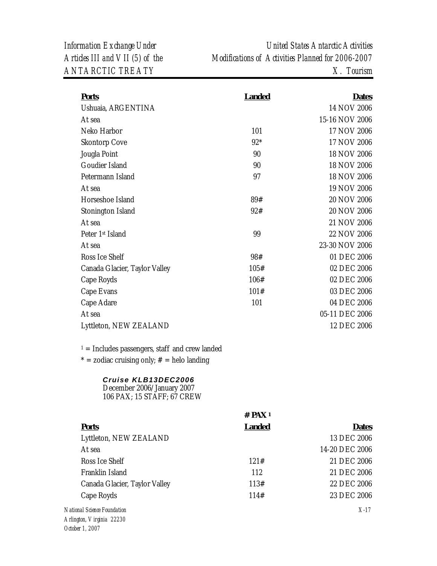| <b>Ports</b>                                                                    | <b>Landed</b>        | <b>Dates</b>   |
|---------------------------------------------------------------------------------|----------------------|----------------|
| Ushuaia, ARGENTINA                                                              |                      | 14 NOV 2006    |
| At sea                                                                          |                      | 15-16 NOV 2006 |
| Neko Harbor                                                                     | 101                  | 17 NOV 2006    |
| <b>Skontorp Cove</b>                                                            | $92*$                | 17 NOV 2006    |
| Jougla Point                                                                    | 90                   | 18 NOV 2006    |
| Goudier Island                                                                  | 90                   | 18 NOV 2006    |
| Petermann Island                                                                | 97                   | 18 NOV 2006    |
| At sea                                                                          |                      | 19 NOV 2006    |
| Horseshoe Island                                                                | 89#                  | 20 NOV 2006    |
| Stonington Island                                                               | 92#                  | 20 NOV 2006    |
| At sea                                                                          |                      | 21 NOV 2006    |
| Peter 1st Island                                                                | 99                   | 22 NOV 2006    |
| At sea                                                                          |                      | 23-30 NOV 2006 |
| Ross Ice Shelf                                                                  | 98#                  | 01 DEC 2006    |
| Canada Glacier, Taylor Valley                                                   | 105#                 | 02 DEC 2006    |
| Cape Royds                                                                      | 106#                 | 02 DEC 2006    |
| Cape Evans                                                                      | 101#                 | 03 DEC 2006    |
| Cape Adare                                                                      | 101                  | 04 DEC 2006    |
| At sea                                                                          |                      | 05-11 DEC 2006 |
| Lyttleton, NEW ZEALAND                                                          |                      | 12 DEC 2006    |
| $1 =$ Includes passengers, staff and crew landed                                |                      |                |
| * = zodiac cruising only; $#$ = helo landing                                    |                      |                |
| Cruise KLB13DEC2006<br>December 2006/January 2007<br>106 PAX; 15 STAFF; 67 CREW |                      |                |
|                                                                                 | $#$ PAX <sup>1</sup> |                |
| <b>Ports</b>                                                                    | <b>Landed</b>        | <b>Dates</b>   |
| Lyttleton, NEW ZEALAND                                                          |                      | 13 DEC 2006    |
| At sea                                                                          |                      | 14-20 DEC 2006 |
| Ross Ice Shelf                                                                  | 121#                 | 21 DEC 2006    |
| Franklin Island                                                                 | 112                  | 21 DEC 2006    |
| Canada Glacier, Taylor Valley                                                   | 113#                 | 22 DEC 2006    |
| Cape Royds                                                                      | 114#                 | 23 DEC 2006    |

*National Science Foundation Arlington, Virginia 22230 October 1, 2007* 

*X-17*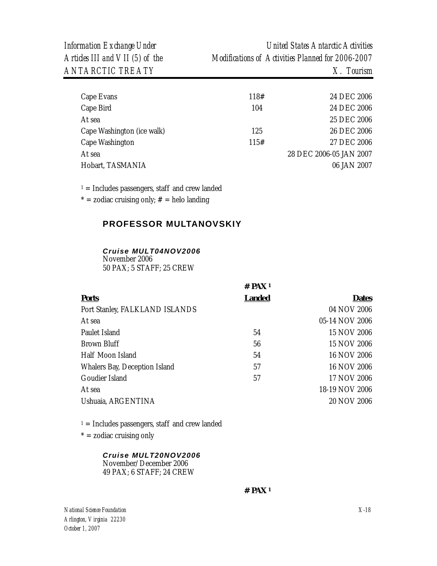| Cape Evans                 | 118# | 24 DEC 2006             |
|----------------------------|------|-------------------------|
| Cape Bird                  | 104  | 24 DEC 2006             |
| At sea                     |      | 25 DEC 2006             |
| Cape Washington (ice walk) | 125  | 26 DEC 2006             |
| Cape Washington            | 115# | 27 DEC 2006             |
| At sea                     |      | 28 DEC 2006-05 JAN 2007 |
| Hobart, TASMANIA           |      | 06 JAN 2007             |
|                            |      |                         |

 $1 =$  Includes passengers, staff and crew landed

\* = zodiac cruising only;  $#$  = helo landing

# **PROFESSOR MULTANOVSKIY**

#### *Cruise MULT04NOV2006*

November 2006 50 PAX; 5 STAFF; 25 CREW

|                                | # $PAX_1$     |                |
|--------------------------------|---------------|----------------|
| <b>Ports</b>                   | <b>Landed</b> | <b>Dates</b>   |
| Port Stanley, FALKLAND ISLANDS |               | 04 NOV 2006    |
| At sea                         |               | 05-14 NOV 2006 |
| Paulet Island                  | 54            | 15 NOV 2006    |
| Brown Bluff                    | 56            | 15 NOV 2006    |
| Half Moon Island               | 54            | 16 NOV 2006    |
| Whalers Bay, Deception Island  | 57            | 16 NOV 2006    |
| Goudier Island                 | 57            | 17 NOV 2006    |
| At sea                         |               | 18-19 NOV 2006 |
| Ushuaia, ARGENTINA             |               | 20 NOV 2006    |

 $1 =$  Includes passengers, staff and crew landed

 $* =$  zodiac cruising only

#### *Cruise MULT20NOV2006*

November/December 2006 49 PAX; 6 STAFF; 24 CREW

 **# PAX 1**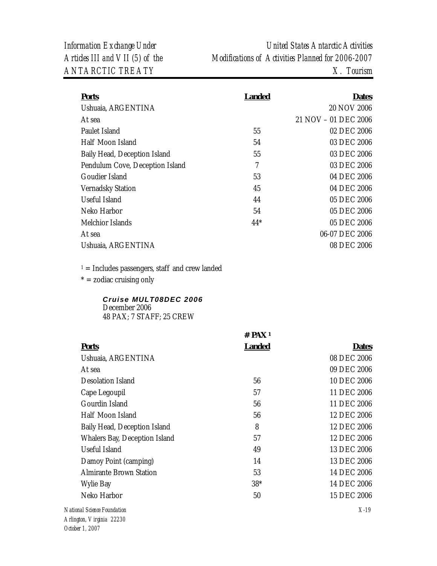| <b>Ports</b>                    | <b>Landed</b> | Dates                |
|---------------------------------|---------------|----------------------|
| Ushuaia, ARGENTINA              |               | 20 NOV 2006          |
| At sea                          |               | 21 NOV - 01 DEC 2006 |
| Paulet Island                   | 55            | 02 DEC 2006          |
| Half Moon Island                | 54            | 03 DEC 2006          |
| Baily Head, Deception Island    | 55            | 03 DEC 2006          |
| Pendulum Cove, Deception Island | 7             | 03 DEC 2006          |
| Goudier Island                  | 53            | 04 DEC 2006          |
| <b>Vernadsky Station</b>        | 45            | 04 DEC 2006          |
| Useful Island                   | 44            | 05 DEC 2006          |
| Neko Harbor                     | 54            | 05 DEC 2006          |
| Melchior Islands                | $44*$         | 05 DEC 2006          |
| At sea                          |               | 06-07 DEC 2006       |
| Ushuaia, ARGENTINA              |               | 08 DEC 2006          |
|                                 |               |                      |

 $1 =$  Includes passengers, staff and crew landed

 $* =$  zodiac cruising only

# *Cruise MULT08DEC 2006*  December 2006

48 PAX; 7 STAFF; 25 CREW

|                                | $#$ PAX <sup>1</sup> |              |
|--------------------------------|----------------------|--------------|
| <b>Ports</b>                   | <b>Landed</b>        | <b>Dates</b> |
| Ushuaia, ARGENTINA             |                      | 08 DEC 2006  |
| At sea                         |                      | 09 DEC 2006  |
| Desolation Island              | 56                   | 10 DEC 2006  |
| Cape Legoupil                  | 57                   | 11 DEC 2006  |
| Gourdin Island                 | 56                   | 11 DEC 2006  |
| Half Moon Island               | 56                   | 12 DEC 2006  |
| Baily Head, Deception Island   | 8                    | 12 DEC 2006  |
| Whalers Bay, Deception Island  | 57                   | 12 DEC 2006  |
| Useful Island                  | 49                   | 13 DEC 2006  |
| Damoy Point (camping)          | 14                   | 13 DEC 2006  |
| <b>Almirante Brown Station</b> | 53                   | 14 DEC 2006  |
| Wylie Bay                      | $38*$                | 14 DEC 2006  |
| Neko Harbor                    | 50                   | 15 DEC 2006  |
| National Science Foundation    |                      | $X-19$       |
| Arlington <i>Urginia</i> 22220 |                      |              |

*Arlington, Virginia 22230 October 1, 2007*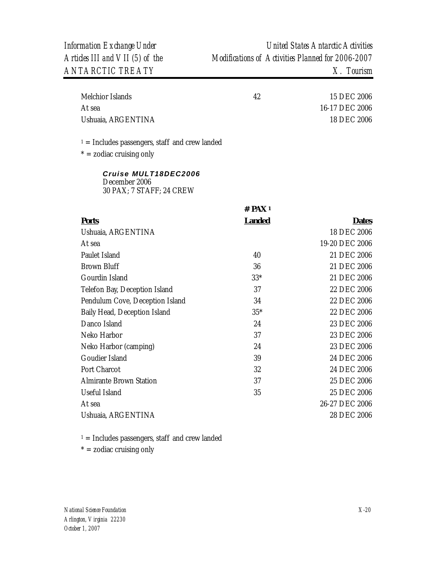| Melchior Islands   | 42 | 15 DEC 2006    |
|--------------------|----|----------------|
| At sea             |    | 16-17 DEC 2006 |
| Ushuaia, ARGENTINA |    | 18 DEC 2006    |

 $1 =$  Includes passengers, staff and crew landed

 $* =$  zodiac cruising only

*Cruise MULT18DEC2006*  December 2006 30 PAX; 7 STAFF; 24 CREW

|                                 | $#$ PAX <sup>1</sup> |                |
|---------------------------------|----------------------|----------------|
| <b>Ports</b>                    | <b>Landed</b>        | <b>Dates</b>   |
| Ushuaia, ARGENTINA              |                      | 18 DEC 2006    |
| At sea                          |                      | 19-20 DEC 2006 |
| Paulet Island                   | 40                   | 21 DEC 2006    |
| <b>Brown Bluff</b>              | 36                   | 21 DEC 2006    |
| Gourdin Island                  | $33*$                | 21 DEC 2006    |
| Telefon Bay, Deception Island   | 37                   | 22 DEC 2006    |
| Pendulum Cove, Deception Island | 34                   | 22 DEC 2006    |
| Baily Head, Deception Island    | $35*$                | 22 DEC 2006    |
| Danco Island                    | 24                   | 23 DEC 2006    |
| Neko Harbor                     | 37                   | 23 DEC 2006    |
| Neko Harbor (camping)           | 24                   | 23 DEC 2006    |
| Goudier Island                  | 39                   | 24 DEC 2006    |
| Port Charcot                    | 32                   | 24 DEC 2006    |
| <b>Almirante Brown Station</b>  | 37                   | 25 DEC 2006    |
| Useful Island                   | 35                   | 25 DEC 2006    |
| At sea                          |                      | 26-27 DEC 2006 |
| Ushuaia, ARGENTINA              |                      | 28 DEC 2006    |

 $1 =$  Includes passengers, staff and crew landed

 $* =$  zodiac cruising only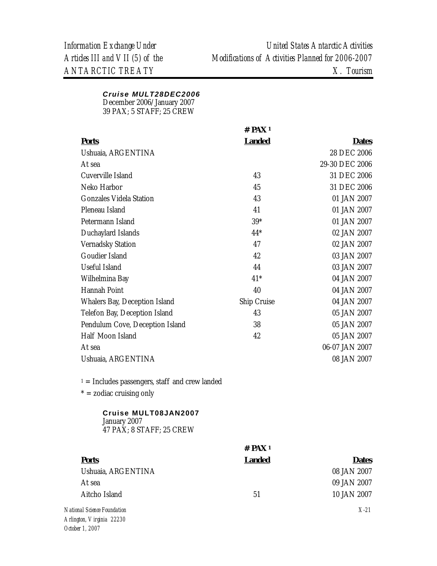# *Cruise MULT28DEC2006*

December 2006/January 2007

39 PAX; 5 STAFF; 25 CREW

|                                                  | $#$ PAX <sup>1</sup> |                |
|--------------------------------------------------|----------------------|----------------|
| <b>Ports</b>                                     | <b>Landed</b>        | <b>Dates</b>   |
| Ushuaia, ARGENTINA                               |                      | 28 DEC 2006    |
| At sea                                           |                      | 29-30 DEC 2006 |
| Cuverville Island                                | 43                   | 31 DEC 2006    |
| Neko Harbor                                      | 45                   | 31 DEC 2006    |
| <b>Gonzales Videla Station</b>                   | 43                   | 01 JAN 2007    |
| Pleneau Island                                   | 41                   | 01 JAN 2007    |
| Petermann Island                                 | $39*$                | 01 JAN 2007    |
| Duchaylard Islands                               | $44*$                | 02 JAN 2007    |
| <b>Vernadsky Station</b>                         | 47                   | 02 JAN 2007    |
| Goudier Island                                   | 42                   | 03 JAN 2007    |
| Useful Island                                    | 44                   | 03 JAN 2007    |
| Wilhelmina Bay                                   | $41*$                | 04 JAN 2007    |
| Hannah Point                                     | 40                   | 04 JAN 2007    |
| Whalers Bay, Deception Island                    | Ship Cruise          | 04 JAN 2007    |
| Telefon Bay, Deception Island                    | 43                   | 05 JAN 2007    |
| Pendulum Cove, Deception Island                  | 38                   | 05 JAN 2007    |
| Half Moon Island                                 | 42                   | 05 JAN 2007    |
| At sea                                           |                      | 06-07 JAN 2007 |
| Ushuaia, ARGENTINA                               |                      | 08 JAN 2007    |
| $1 =$ Includes passengers, staff and crew landed |                      |                |
| $* =$ zodiac cruising only                       |                      |                |
| Cruise MULT08JAN2007<br>January 2007             |                      |                |

47 PAX; 8 STAFF; 25 CREW

*October 1, 2007* 

|                             | $#$ PAX <sup>1</sup> |              |
|-----------------------------|----------------------|--------------|
| <b>Ports</b>                | <b>Landed</b>        | <b>Dates</b> |
| Ushuaia, ARGENTINA          |                      | 08 JAN 2007  |
| At sea                      |                      | 09 JAN 2007  |
| Aitcho Island               | 51                   | 10 JAN 2007  |
| National Science Foundation |                      | $X-21$       |
| Arlington, Virginia 22230   |                      |              |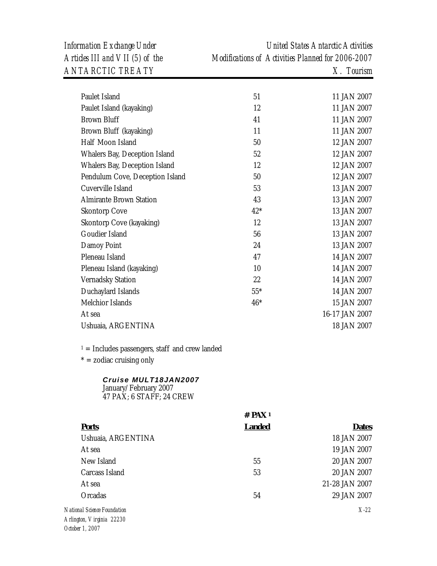*Information Exchange Under United States Antarctic Activities Articles III and VII (5) of the Modifications of Activities Planned for 2006-2007* 

*X-22*

| Paulet Island                                                             | 51                   | 11 JAN 2007    |
|---------------------------------------------------------------------------|----------------------|----------------|
| Paulet Island (kayaking)                                                  | 12                   | 11 JAN 2007    |
| <b>Brown Bluff</b>                                                        | 41                   | 11 JAN 2007    |
| Brown Bluff (kayaking)                                                    | 11                   | 11 JAN 2007    |
| Half Moon Island                                                          | 50                   | 12 JAN 2007    |
| Whalers Bay, Deception Island                                             | 52                   | 12 JAN 2007    |
| Whalers Bay, Deception Island                                             | 12                   | 12 JAN 2007    |
| Pendulum Cove, Deception Island                                           | 50                   | 12 JAN 2007    |
| Cuverville Island                                                         | 53                   | 13 JAN 2007    |
| <b>Almirante Brown Station</b>                                            | 43                   | 13 JAN 2007    |
| <b>Skontorp Cove</b>                                                      | $42*$                | 13 JAN 2007    |
| Skontorp Cove (kayaking)                                                  | 12                   | 13 JAN 2007    |
| Goudier Island                                                            | 56                   | 13 JAN 2007    |
| Damoy Point                                                               | 24                   | 13 JAN 2007    |
| Pleneau Island                                                            | 47                   | 14 JAN 2007    |
| Pleneau Island (kayaking)                                                 | 10                   | 14 JAN 2007    |
| Vernadsky Station                                                         | 22                   | 14 JAN 2007    |
| Duchaylard Islands                                                        | $55*$                | 14 JAN 2007    |
| Melchior Islands                                                          | $46*$                | 15 JAN 2007    |
| At sea                                                                    |                      | 16-17 JAN 2007 |
| Ushuaia, ARGENTINA                                                        |                      | 18 JAN 2007    |
| $1 =$ Includes passengers, staff and crew landed                          |                      |                |
| $* =$ zodiac cruising only                                                |                      |                |
| Cruise MULT18JAN2007<br>January/February 2007<br>47 PAX; 6 STAFF; 24 CREW |                      |                |
|                                                                           | $#$ PAX <sup>1</sup> |                |
| <b>Ports</b>                                                              | <b>Landed</b>        | <b>Dates</b>   |
| Ushuaia, ARGENTINA                                                        |                      | 18 JAN 2007    |
| At sea                                                                    |                      | 19 JAN 2007    |
| New Island                                                                | 55                   | 20 JAN 2007    |
| Carcass Island                                                            | 53                   | 20 JAN 2007    |
| At sea                                                                    |                      | 21-28 JAN 2007 |
| Orcadas                                                                   | 54                   | 29 JAN 2007    |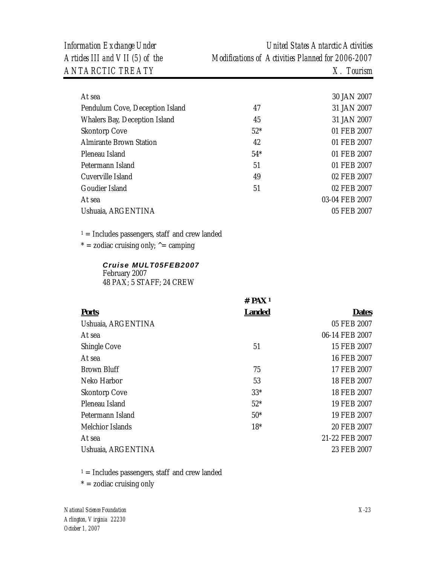*ANTARCTIC TREATY X. Tourism* 

*Information Exchange Under United States Antarctic Activities Articles III and VII (5) of the Modifications of Activities Planned for 2006-2007* 

| At sea                          |       | 30 JAN 2007    |
|---------------------------------|-------|----------------|
| Pendulum Cove, Deception Island | 47    | 31 JAN 2007    |
| Whalers Bay, Deception Island   | 45    | 31 JAN 2007    |
| <b>Skontorp Cove</b>            | $52*$ | 01 FEB 2007    |
| <b>Almirante Brown Station</b>  | 42    | 01 FEB 2007    |
| Pleneau Island                  | $54*$ | 01 FEB 2007    |
| Petermann Island                | 51    | 01 FEB 2007    |
| Cuverville Island               | 49    | 02 FEB 2007    |
| Goudier Island                  | 51    | 02 FEB 2007    |
| At sea                          |       | 03-04 FEB 2007 |
| Ushuaia, ARGENTINA              |       | 05 FEB 2007    |
|                                 |       |                |

 $1 =$  Includes passengers, staff and crew landed

 $* =$  zodiac cruising only;  $\uparrow$  = camping

#### *Cruise MULT05FEB2007*  February 2007 48 PAX; 5 STAFF; 24 CREW

|                      | $#$ PAX <sup>1</sup> |                |
|----------------------|----------------------|----------------|
| <b>Ports</b>         | <b>Landed</b>        | <b>Dates</b>   |
| Ushuaia, ARGENTINA   |                      | 05 FEB 2007    |
| At sea               |                      | 06-14 FEB 2007 |
| Shingle Cove         | 51                   | 15 FEB 2007    |
| At sea               |                      | 16 FEB 2007    |
| <b>Brown Bluff</b>   | 75                   | 17 FEB 2007    |
| Neko Harbor          | 53                   | 18 FEB 2007    |
| <b>Skontorp Cove</b> | $33*$                | 18 FEB 2007    |
| Pleneau Island       | $52*$                | 19 FEB 2007    |
| Petermann Island     | $50*$                | 19 FEB 2007    |
| Melchior Islands     | $18*$                | 20 FEB 2007    |
| At sea               |                      | 21-22 FEB 2007 |
| Ushuaia, ARGENTINA   |                      | 23 FEB 2007    |

 $1 =$  Includes passengers, staff and crew landed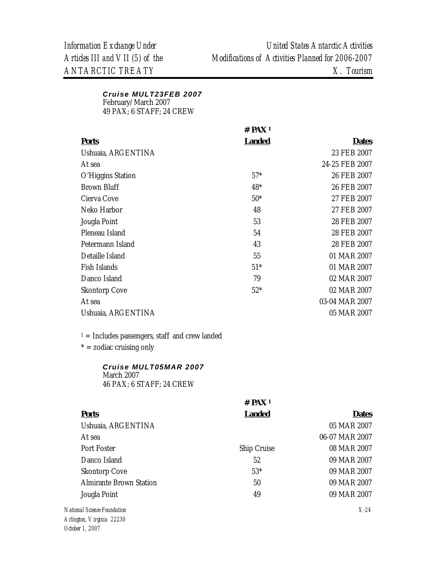#### *Cruise MULT23FEB 2007*  February/March 2007 49 PAX; 6 STAFF; 24 CREW

|                      | # $PAX_1$     |                |
|----------------------|---------------|----------------|
| <u>Ports</u>         | <b>Landed</b> | <b>Dates</b>   |
| Ushuaia, ARGENTINA   |               | 23 FEB 2007    |
| At sea               |               | 24-25 FEB 2007 |
| O'Higgins Station    | $57*$         | 26 FEB 2007    |
| Brown Bluff          | $48*$         | 26 FEB 2007    |
| Cierva Cove          | $50*$         | 27 FEB 2007    |
| Neko Harbor          | 48            | 27 FEB 2007    |
| Jougla Point         | 53            | 28 FEB 2007    |
| Pleneau Island       | 54            | 28 FEB 2007    |
| Petermann Island     | 43            | 28 FEB 2007    |
| Detaille Island      | 55            | 01 MAR 2007    |
| Fish Islands         | $51*$         | 01 MAR 2007    |
| Danco Island         | 79            | 02 MAR 2007    |
| <b>Skontorp Cove</b> | $52*$         | 02 MAR 2007    |
| At sea               |               | 03-04 MAR 2007 |
| Ushuaia, ARGENTINA   |               | 05 MAR 2007    |

 $1 =$  Includes passengers, staff and crew landed

 $* =$  zodiac cruising only

#### *Cruise MULT05MAR 2007*  March 2007

46 PAX; 6 STAFF; 24 CREW

|                                | $#$ PAX <sup>1</sup> |                |
|--------------------------------|----------------------|----------------|
| <b>Ports</b>                   | <b>Landed</b>        | <b>Dates</b>   |
| Ushuaia, ARGENTINA             |                      | 05 MAR 2007    |
| At sea                         |                      | 06-07 MAR 2007 |
| Port Foster                    | Ship Cruise          | 08 MAR 2007    |
| Danco Island                   | 52                   | 09 MAR 2007    |
| <b>Skontorp Cove</b>           | $53*$                | 09 MAR 2007    |
| <b>Almirante Brown Station</b> | 50                   | 09 MAR 2007    |
| Jougla Point                   | 49                   | 09 MAR 2007    |
| onal Science Foundation        |                      | $X-24$         |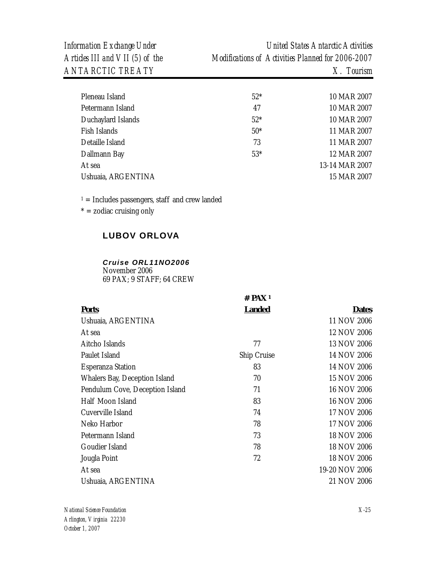| Pleneau Island     | $52*$ | 10 MAR 2007    |
|--------------------|-------|----------------|
| Petermann Island   | 47    | 10 MAR 2007    |
| Duchaylard Islands | $52*$ | 10 MAR 2007    |
| Fish Islands       | $50*$ | 11 MAR 2007    |
| Detaille Island    | 73    | 11 MAR 2007    |
| Dallmann Bay       | $53*$ | 12 MAR 2007    |
| At sea             |       | 13-14 MAR 2007 |
| Ushuaia, ARGENTINA |       | 15 MAR 2007    |
|                    |       |                |

 $1 =$  Includes passengers, staff and crew landed

 $* =$  zodiac cruising only

# **LUBOV ORLOVA**

#### *Cruise ORL11NO2006*

November 2006 69 PAX; 9 STAFF; 64 CREW

|                                 | # PAX !       |                |
|---------------------------------|---------------|----------------|
| <b>Ports</b>                    | <b>Landed</b> | <b>Dates</b>   |
| Ushuaia, ARGENTINA              |               | 11 NOV 2006    |
| At sea                          |               | 12 NOV 2006    |
| Aitcho Islands                  | 77            | 13 NOV 2006    |
| Paulet Island                   | Ship Cruise   | 14 NOV 2006    |
| <b>Esperanza Station</b>        | 83            | 14 NOV 2006    |
| Whalers Bay, Deception Island   | 70            | 15 NOV 2006    |
| Pendulum Cove, Deception Island | 71            | 16 NOV 2006    |
| Half Moon Island                | 83            | 16 NOV 2006    |
| Cuverville Island               | 74            | 17 NOV 2006    |
| Neko Harbor                     | 78            | 17 NOV 2006    |
| Petermann Island                | 73            | 18 NOV 2006    |
| Goudier Island                  | 78            | 18 NOV 2006    |
| Jougla Point                    | 72            | 18 NOV 2006    |
| At sea                          |               | 19-20 NOV 2006 |
| Ushuaia, ARGENTINA              |               | 21 NOV 2006    |

**# PAX 1**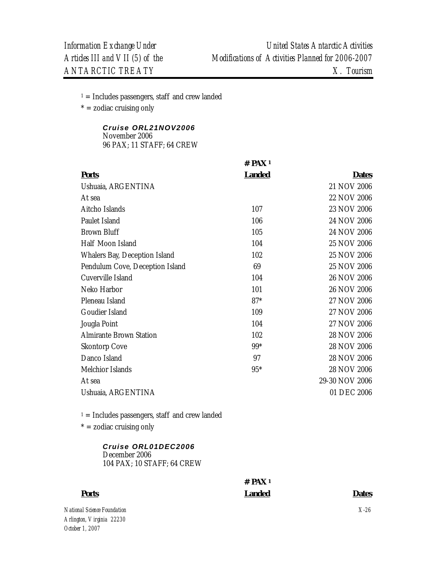$1 =$  Includes passengers, staff and crew landed

 $* =$  zodiac cruising only

# *Cruise ORL21NOV2006*  November 2006

96 PAX; 11 STAFF; 64 CREW

|                                 | $#$ PAX <sup>1</sup> |                |
|---------------------------------|----------------------|----------------|
| <b>Ports</b>                    | <b>Landed</b>        | <b>Dates</b>   |
| Ushuaia, ARGENTINA              |                      | 21 NOV 2006    |
| At sea                          |                      | 22 NOV 2006    |
| Aitcho Islands                  | 107                  | 23 NOV 2006    |
| Paulet Island                   | 106                  | 24 NOV 2006    |
| <b>Brown Bluff</b>              | 105                  | 24 NOV 2006    |
| Half Moon Island                | 104                  | 25 NOV 2006    |
| Whalers Bay, Deception Island   | 102                  | 25 NOV 2006    |
| Pendulum Cove, Deception Island | 69                   | 25 NOV 2006    |
| Cuverville Island               | 104                  | 26 NOV 2006    |
| Neko Harbor                     | 101                  | 26 NOV 2006    |
| Pleneau Island                  | $87*$                | 27 NOV 2006    |
| Goudier Island                  | 109                  | 27 NOV 2006    |
| Jougla Point                    | 104                  | 27 NOV 2006    |
| Almirante Brown Station         | 102                  | 28 NOV 2006    |
| <b>Skontorp Cove</b>            | $99*$                | 28 NOV 2006    |
| Danco Island                    | 97                   | 28 NOV 2006    |
| Melchior Islands                | $95*$                | 28 NOV 2006    |
| At sea                          |                      | 29-30 NOV 2006 |
| Ushuaia, ARGENTINA              |                      | 01 DEC 2006    |

 $1 =$  Includes passengers, staff and crew landed

 $* =$  zodiac cruising only

#### *Cruise ORL01DEC2006*  December 2006 104 PAX; 10 STAFF; 64 CREW

# **# PAX 1 Landed Dates**

*National Science Foundation Arlington, Virginia 22230* 

**Ports**

*October 1, 2007* 

*X-26*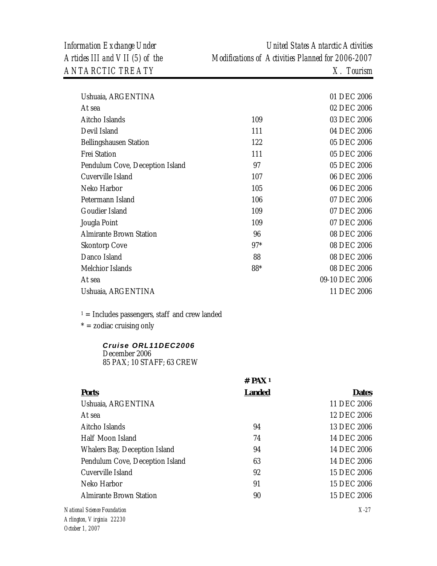*Information Exchange Under United States Antarctic Activities Articles III and VII (5) of the Modifications of Activities Planned for 2006-2007* 

| Ushuaia, ARGENTINA              |       | 01 DEC 2006    |
|---------------------------------|-------|----------------|
| At sea                          |       | 02 DEC 2006    |
| Aitcho Islands                  | 109   | 03 DEC 2006    |
| Devil Island                    | 111   | 04 DEC 2006    |
| Bellingshausen Station          | 122   | 05 DEC 2006    |
| <b>Frei Station</b>             | 111   | 05 DEC 2006    |
| Pendulum Cove, Deception Island | 97    | 05 DEC 2006    |
| Cuverville Island               | 107   | 06 DEC 2006    |
| Neko Harbor                     | 105   | 06 DEC 2006    |
| Petermann Island                | 106   | 07 DEC 2006    |
| Goudier Island                  | 109   | 07 DEC 2006    |
| Jougla Point                    | 109   | 07 DEC 2006    |
| <b>Almirante Brown Station</b>  | 96    | 08 DEC 2006    |
| <b>Skontorp Cove</b>            | $97*$ | 08 DEC 2006    |
| Danco Island                    | 88    | 08 DEC 2006    |
| Melchior Islands                | 88*   | 08 DEC 2006    |
| At sea                          |       | 09-10 DEC 2006 |
| Ushuaia, ARGENTINA              |       | 11 DEC 2006    |
|                                 |       |                |

 $1 =$  Includes passengers, staff and crew landed

 $* =$  zodiac cruising only

# *Cruise ORL11DEC2006*  December 2006

85 PAX; 10 STAFF; 63 CREW

|                                 | $#$ PAX <sup>1</sup> |              |  |
|---------------------------------|----------------------|--------------|--|
| <b>Ports</b>                    | <b>Landed</b>        | <b>Dates</b> |  |
| Ushuaia, ARGENTINA              |                      | 11 DEC 2006  |  |
| At sea                          |                      | 12 DEC 2006  |  |
| Aitcho Islands                  | 94                   | 13 DEC 2006  |  |
| Half Moon Island                | 74                   | 14 DEC 2006  |  |
| Whalers Bay, Deception Island   | 94                   | 14 DEC 2006  |  |
| Pendulum Cove, Deception Island | 63                   | 14 DEC 2006  |  |
| Cuverville Island               | 92                   | 15 DEC 2006  |  |
| Neko Harbor                     | 91                   | 15 DEC 2006  |  |
| <b>Almirante Brown Station</b>  | 90                   | 15 DEC 2006  |  |
| tional Science Foundation       |                      | $X-27$       |  |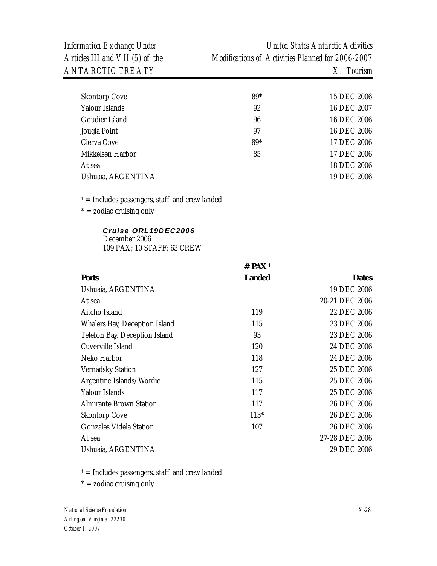| <b>Skontorp Cove</b> | $89*$ | 15 DEC 2006 |
|----------------------|-------|-------------|
| Yalour Islands       | 92    | 16 DEC 2007 |
| Goudier Island       | 96    | 16 DEC 2006 |
| Jougla Point         | 97    | 16 DEC 2006 |
| Cierva Cove          | 89*   | 17 DEC 2006 |
| Mikkelsen Harbor     | 85    | 17 DEC 2006 |
| At sea               |       | 18 DEC 2006 |
| Ushuaia, ARGENTINA   |       | 19 DEC 2006 |
|                      |       |             |

 $1 =$  Includes passengers, staff and crew landed

 $* =$  zodiac cruising only

#### *Cruise ORL19DEC2006*  December 2006 109 PAX; 10 STAFF; 63 CREW

|                                | $#$ PAX <sup>1</sup> |                |
|--------------------------------|----------------------|----------------|
| <b>Ports</b>                   | <u>Landed</u>        | <b>Dates</b>   |
| Ushuaia, ARGENTINA             |                      | 19 DEC 2006    |
| At sea                         |                      | 20-21 DEC 2006 |
| Aitcho Island                  | 119                  | 22 DEC 2006    |
| Whalers Bay, Deception Island  | 115                  | 23 DEC 2006    |
| Telefon Bay, Deception Island  | 93                   | 23 DEC 2006    |
| Cuverville Island              | 120                  | 24 DEC 2006    |
| Neko Harbor                    | 118                  | 24 DEC 2006    |
| <b>Vernadsky Station</b>       | 127                  | 25 DEC 2006    |
| Argentine Islands/Wordie       | 115                  | 25 DEC 2006    |
| Yalour Islands                 | 117                  | 25 DEC 2006    |
| <b>Almirante Brown Station</b> | 117                  | 26 DEC 2006    |
| Skontorp Cove                  | $113*$               | 26 DEC 2006    |
| Gonzales Videla Station        | 107                  | 26 DEC 2006    |
| At sea                         |                      | 27-28 DEC 2006 |
| Ushuaia, ARGENTINA             |                      | 29 DEC 2006    |

 $1 =$  Includes passengers, staff and crew landed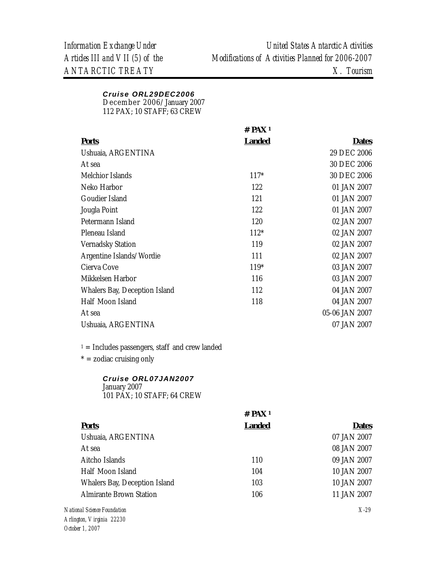# *Cruise ORL29DEC2006*

December 2006/January 2007

112 PAX; 10 STAFF; 63 CREW

|                               | # $PAX_1$     |                |
|-------------------------------|---------------|----------------|
| <b>Ports</b>                  | <b>Landed</b> | <b>Dates</b>   |
| Ushuaia, ARGENTINA            |               | 29 DEC 2006    |
| At sea                        |               | 30 DEC 2006    |
| Melchior Islands              | $117*$        | 30 DEC 2006    |
| Neko Harbor                   | 122           | 01 JAN 2007    |
| Goudier Island                | 121           | 01 JAN 2007    |
| Jougla Point                  | 122           | 01 JAN 2007    |
| Petermann Island              | 120           | 02 JAN 2007    |
| Pleneau Island                | $112*$        | 02 JAN 2007    |
| <b>Vernadsky Station</b>      | 119           | 02 JAN 2007    |
| Argentine Islands/Wordie      | 111           | 02 JAN 2007    |
| Cierva Cove                   | $119*$        | 03 JAN 2007    |
| Mikkelsen Harbor              | 116           | 03 JAN 2007    |
| Whalers Bay, Deception Island | 112           | 04 JAN 2007    |
| Half Moon Island              | 118           | 04 JAN 2007    |
| At sea                        |               | 05-06 JAN 2007 |
| Ushuaia, ARGENTINA            |               | 07 JAN 2007    |
|                               |               |                |

 $1$  = Includes passengers, staff and crew landed

 $* =$  zodiac cruising only

# *Cruise ORL07JAN2007*

January 2007 101 PAX; 10 STAFF; 64 CREW

|                                | $#$ PAX <sup>1</sup> |              |
|--------------------------------|----------------------|--------------|
| <b>Ports</b>                   | <b>Landed</b>        | <b>Dates</b> |
| Ushuaia, ARGENTINA             |                      | 07 JAN 2007  |
| At sea                         |                      | 08 JAN 2007  |
| Aitcho Islands                 | 110                  | 09 JAN 2007  |
| Half Moon Island               | 104                  | 10 JAN 2007  |
| Whalers Bay, Deception Island  | 103                  | 10 JAN 2007  |
| <b>Almirante Brown Station</b> | 106                  | 11 JAN 2007  |
| onal Science Foundation        |                      | $X-29$       |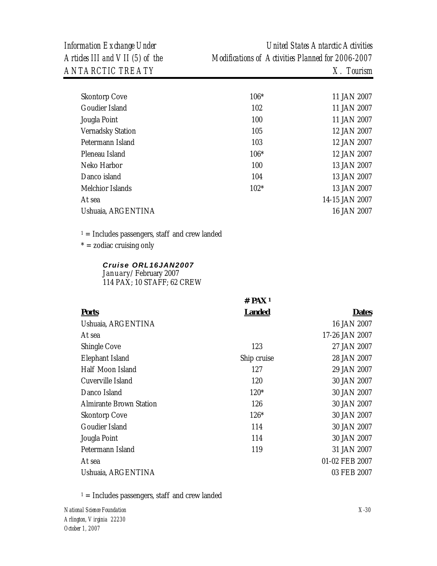| <b>Skontorp Cove</b>     | $106*$ | 11 JAN 2007    |
|--------------------------|--------|----------------|
| Goudier Island           | 102    | 11 JAN 2007    |
| Jougla Point             | 100    | 11 JAN 2007    |
| <b>Vernadsky Station</b> | 105    | 12 JAN 2007    |
| Petermann Island         | 103    | 12 JAN 2007    |
| Pleneau Island           | $106*$ | 12 JAN 2007    |
| Neko Harbor              | 100    | 13 JAN 2007    |
| Danco island             | 104    | 13 JAN 2007    |
| Melchior Islands         | $102*$ | 13 JAN 2007    |
| At sea                   |        | 14-15 JAN 2007 |
| Ushuaia, ARGENTINA       |        | 16 JAN 2007    |
|                          |        |                |

 $1 =$  Includes passengers, staff and crew landed

 $* =$  zodiac cruising only

#### *Cruise ORL16JAN2007*

January/February 2007 114 PAX; 10 STAFF; 62 CREW

|                         | # $PAX_1$     |                |
|-------------------------|---------------|----------------|
| <b>Ports</b>            | <b>Landed</b> | <b>Dates</b>   |
| Ushuaia, ARGENTINA      |               | 16 JAN 2007    |
| At sea                  |               | 17-26 JAN 2007 |
| Shingle Cove            | 123           | 27 JAN 2007    |
| Elephant Island         | Ship cruise   | 28 JAN 2007    |
| Half Moon Island        | 127           | 29 JAN 2007    |
| Cuverville Island       | 120           | 30 JAN 2007    |
| Danco Island            | $120*$        | 30 JAN 2007    |
| Almirante Brown Station | 126           | 30 JAN 2007    |
| <b>Skontorp Cove</b>    | $126*$        | 30 JAN 2007    |
| Goudier Island          | 114           | 30 JAN 2007    |
| Jougla Point            | 114           | 30 JAN 2007    |
| Petermann Island        | 119           | 31 JAN 2007    |
| At sea                  |               | 01-02 FEB 2007 |
| Ushuaia, ARGENTINA      |               | 03 FEB 2007    |

 $1 =$  Includes passengers, staff and crew landed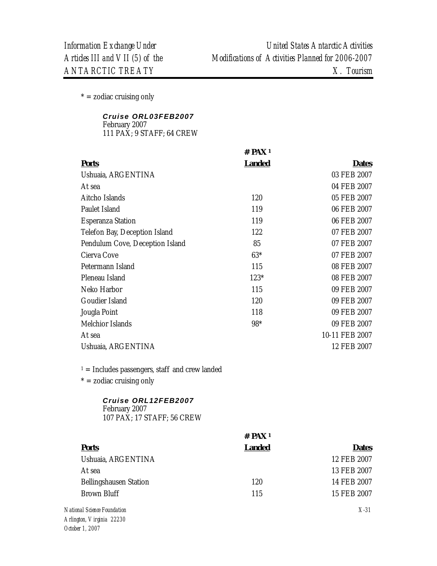$* =$  zodiac cruising only

#### *Cruise ORL03FEB2007*  February 2007 111 PAX; 9 STAFF; 64 CREW

|                                                  | $#$ PAX <sup>1</sup> |                |
|--------------------------------------------------|----------------------|----------------|
| <b>Ports</b>                                     | <b>Landed</b>        | <b>Dates</b>   |
| Ushuaia, ARGENTINA                               |                      | 03 FEB 2007    |
| At sea                                           |                      | 04 FEB 2007    |
| Aitcho Islands                                   | 120                  | 05 FEB 2007    |
| Paulet Island                                    | 119                  | 06 FEB 2007    |
| <b>Esperanza Station</b>                         | 119                  | 06 FEB 2007    |
| Telefon Bay, Deception Island                    | 122                  | 07 FEB 2007    |
| Pendulum Cove, Deception Island                  | 85                   | 07 FEB 2007    |
| Cierva Cove                                      | $63*$                | 07 FEB 2007    |
| Petermann Island                                 | 115                  | 08 FEB 2007    |
| Pleneau Island                                   | 123*                 | 08 FEB 2007    |
| Neko Harbor                                      | 115                  | 09 FEB 2007    |
| Goudier Island                                   | 120                  | 09 FEB 2007    |
| Jougla Point                                     | 118                  | 09 FEB 2007    |
| Melchior Islands                                 | 98*                  | 09 FEB 2007    |
| At sea                                           |                      | 10-11 FEB 2007 |
| Ushuaia, ARGENTINA                               |                      | 12 FEB 2007    |
| $1 =$ Includes passengers, staff and crew landed |                      |                |
| $* =$ zodiac cruising only                       |                      |                |
| Cruise ORL12FEB2007                              |                      |                |

February 2007 107 PAX; 17 STAFF; 56 CREW

|                                                                      | $#$ PAX <sup>1</sup> |              |
|----------------------------------------------------------------------|----------------------|--------------|
| <b>Ports</b>                                                         | <b>Landed</b>        | <b>Dates</b> |
| Ushuaia, ARGENTINA                                                   |                      | 12 FEB 2007  |
| At sea                                                               |                      | 13 FEB 2007  |
| <b>Bellingshausen Station</b>                                        | 120                  | 14 FEB 2007  |
| <b>Brown Bluff</b>                                                   | 115                  | 15 FEB 2007  |
| National Science Foundation<br>$A - B - A - C$ $A - B - A - C$ 00000 |                      | $X-31$       |

*Arlington, Virginia 22230 October 1, 2007*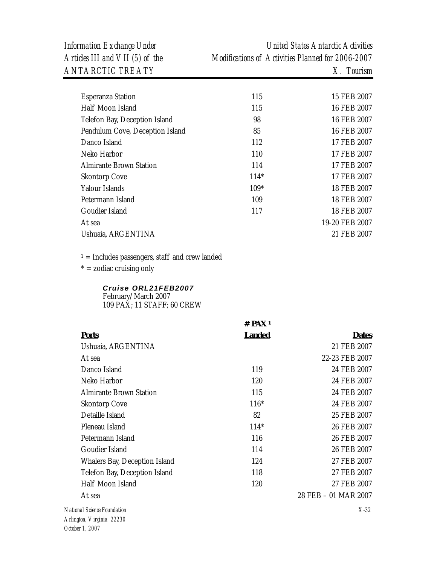| <b>Esperanza Station</b>        | 115    | 15 FEB 2007    |
|---------------------------------|--------|----------------|
| Half Moon Island                | 115    | 16 FEB 2007    |
| Telefon Bay, Deception Island   | 98     | 16 FEB 2007    |
| Pendulum Cove, Deception Island | 85     | 16 FEB 2007    |
| Danco Island                    | 112    | 17 FEB 2007    |
| Neko Harbor                     | 110    | 17 FEB 2007    |
| <b>Almirante Brown Station</b>  | 114    | 17 FEB 2007    |
| <b>Skontorp Cove</b>            | $114*$ | 17 FEB 2007    |
| Yalour Islands                  | $109*$ | 18 FEB 2007    |
| Petermann Island                | 109    | 18 FEB 2007    |
| Goudier Island                  | 117    | 18 FEB 2007    |
| At sea                          |        | 19-20 FEB 2007 |
| Ushuaia, ARGENTINA              |        | 21 FEB 2007    |
|                                 |        |                |

 $1 =$  Includes passengers, staff and crew landed

 $* =$  zodiac cruising only

#### *Cruise ORL21FEB2007*

February/March 2007 109 PAX; 11 STAFF; 60 CREW

|                                                          | $#$ PAX 1     |                      |
|----------------------------------------------------------|---------------|----------------------|
| <b>Ports</b>                                             | <b>Landed</b> | <b>Dates</b>         |
| Ushuaia, ARGENTINA                                       |               | 21 FEB 2007          |
| At sea                                                   |               | 22-23 FEB 2007       |
| Danco Island                                             | 119           | 24 FEB 2007          |
| Neko Harbor                                              | 120           | 24 FEB 2007          |
| <b>Almirante Brown Station</b>                           | 115           | 24 FEB 2007          |
| <b>Skontorp Cove</b>                                     | $116*$        | 24 FEB 2007          |
| Detaille Island                                          | 82            | 25 FEB 2007          |
| Pleneau Island                                           | $114*$        | 26 FEB 2007          |
| Petermann Island                                         | 116           | 26 FEB 2007          |
| Goudier Island                                           | 114           | 26 FEB 2007          |
| Whalers Bay, Deception Island                            | 124           | 27 FEB 2007          |
| Telefon Bay, Deception Island                            | 118           | 27 FEB 2007          |
| Half Moon Island                                         | 120           | 27 FEB 2007          |
| At sea                                                   |               | 28 FEB - 01 MAR 2007 |
| National Science Foundation<br>Arlington, Virginia 22230 |               | $X-32$               |
|                                                          |               |                      |

*October 1, 2007*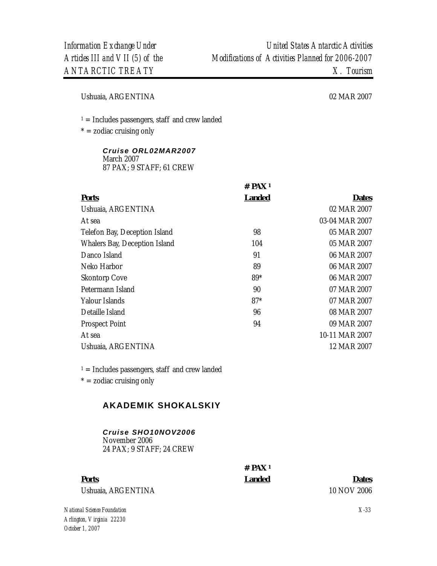Ushuaia, ARGENTINA 02 MAR 2007

 $1 =$  Includes passengers, staff and crew landed

 $* =$  zodiac cruising only

#### *Cruise ORL02MAR2007*  March 2007 87 PAX; 9 STAFF; 61 CREW

|                               | $#$ PAX <sup>1</sup> |                |
|-------------------------------|----------------------|----------------|
| <b>Ports</b>                  | <b>Landed</b>        | <b>Dates</b>   |
| Ushuaia, ARGENTINA            |                      | 02 MAR 2007    |
| At sea                        |                      | 03-04 MAR 2007 |
| Telefon Bay, Deception Island | 98                   | 05 MAR 2007    |
| Whalers Bay, Deception Island | 104                  | 05 MAR 2007    |
| Danco Island                  | 91                   | 06 MAR 2007    |
| Neko Harbor                   | 89                   | 06 MAR 2007    |
| <b>Skontorp Cove</b>          | 89*                  | 06 MAR 2007    |
| Petermann Island              | 90                   | 07 MAR 2007    |
| Yalour Islands                | $87*$                | 07 MAR 2007    |
| Detaille Island               | 96                   | 08 MAR 2007    |
| <b>Prospect Point</b>         | 94                   | 09 MAR 2007    |
| At sea                        |                      | 10-11 MAR 2007 |
| Ushuaia, ARGENTINA            |                      | 12 MAR 2007    |
|                               |                      |                |

 $1 =$  Includes passengers, staff and crew landed

 $* =$  zodiac cruising only

# **AKADEMIK SHOKALSKIY**

#### *Cruise SHO10NOV2006*  November 2006 24 PAX; 9 STAFF; 24 CREW

**# PAX 1** 

**Ports Landed Dates**

Ushuaia, ARGENTINA 10 NOV 2006

*National Science Foundation Arlington, Virginia 22230 October 1, 2007* 

*X-33*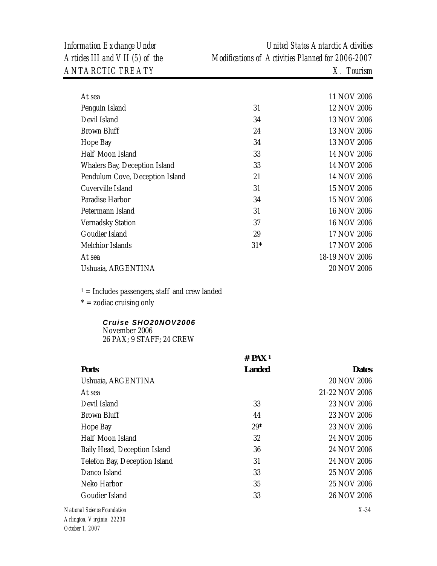| At sea                          |       | 11 NOV 2006    |
|---------------------------------|-------|----------------|
| Penguin Island                  | 31    | 12 NOV 2006    |
| Devil Island                    | 34    | 13 NOV 2006    |
| <b>Brown Bluff</b>              | 24    | 13 NOV 2006    |
| Hope Bay                        | 34    | 13 NOV 2006    |
| Half Moon Island                | 33    | 14 NOV 2006    |
| Whalers Bay, Deception Island   | 33    | 14 NOV 2006    |
| Pendulum Cove, Deception Island | 21    | 14 NOV 2006    |
| Cuverville Island               | 31    | 15 NOV 2006    |
| Paradise Harbor                 | 34    | 15 NOV 2006    |
| Petermann Island                | 31    | 16 NOV 2006    |
| <b>Vernadsky Station</b>        | 37    | 16 NOV 2006    |
| Goudier Island                  | 29    | 17 NOV 2006    |
| Melchior Islands                | $31*$ | 17 NOV 2006    |
| At sea                          |       | 18-19 NOV 2006 |
| Ushuaia, ARGENTINA              |       | 20 NOV 2006    |

 $1 =$  Includes passengers, staff and crew landed

 $* =$  zodiac cruising only

#### *Cruise SHO20NOV2006* November 2006 26 PAX; 9 STAFF; 24 CREW

| <b>Ports</b>                           | $#$ PAX <sup>1</sup> | <b>Dates</b>   |
|----------------------------------------|----------------------|----------------|
|                                        | <b>Landed</b>        |                |
| Ushuaia, ARGENTINA                     |                      | 20 NOV 2006    |
| At sea                                 |                      | 21-22 NOV 2006 |
| Devil Island                           | 33                   | 23 NOV 2006    |
| Brown Bluff                            | 44                   | 23 NOV 2006    |
| Hope Bay                               | $29*$                | 23 NOV 2006    |
| Half Moon Island                       | 32                   | 24 NOV 2006    |
| Baily Head, Deception Island           | 36                   | 24 NOV 2006    |
| Telefon Bay, Deception Island          | 31                   | 24 NOV 2006    |
| Danco Island                           | 33                   | 25 NOV 2006    |
| Neko Harbor                            | 35                   | 25 NOV 2006    |
| Goudier Island                         | 33                   | 26 NOV 2006    |
| National Science Foundation            |                      | $X-34$         |
| $\lambda$ ylington <i>Ulugus</i> 99990 |                      |                |

*Arlington, Virginia 22230 October 1, 2007*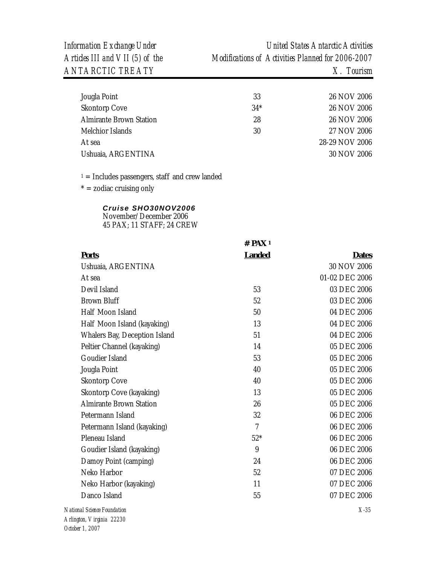| 33    | 26 NOV 2006    |
|-------|----------------|
| $34*$ | 26 NOV 2006    |
| 28    | 26 NOV 2006    |
| 30    | 27 NOV 2006    |
|       | 28-29 NOV 2006 |
|       | 30 NOV 2006    |
|       |                |

 $1 =$  Includes passengers, staff and crew landed

 $* =$  zodiac cruising only

# *Cruise SHO30NOV2006*

November/December 2006 45 PAX; 11 STAFF; 24 CREW

|                                | $#$ PAX <sup>1</sup> |                |
|--------------------------------|----------------------|----------------|
| <b>Ports</b>                   | <b>Landed</b>        | <b>Dates</b>   |
| Ushuaia, ARGENTINA             |                      | 30 NOV 2006    |
| At sea                         |                      | 01-02 DEC 2006 |
| Devil Island                   | 53                   | 03 DEC 2006    |
| <b>Brown Bluff</b>             | 52                   | 03 DEC 2006    |
| Half Moon Island               | 50                   | 04 DEC 2006    |
| Half Moon Island (kayaking)    | 13                   | 04 DEC 2006    |
| Whalers Bay, Deception Island  | 51                   | 04 DEC 2006    |
| Peltier Channel (kayaking)     | 14                   | 05 DEC 2006    |
| Goudier Island                 | 53                   | 05 DEC 2006    |
| Jougla Point                   | 40                   | 05 DEC 2006    |
| <b>Skontorp Cove</b>           | 40                   | 05 DEC 2006    |
| Skontorp Cove (kayaking)       | 13                   | 05 DEC 2006    |
| <b>Almirante Brown Station</b> | 26                   | 05 DEC 2006    |
| Petermann Island               | 32                   | 06 DEC 2006    |
| Petermann Island (kayaking)    | 7                    | 06 DEC 2006    |
| Pleneau Island                 | $52*$                | 06 DEC 2006    |
| Goudier Island (kayaking)      | 9                    | 06 DEC 2006    |
| Damoy Point (camping)          | 24                   | 06 DEC 2006    |
| Neko Harbor                    | 52                   | 07 DEC 2006    |
| Neko Harbor (kayaking)         | 11                   | 07 DEC 2006    |
| Danco Island                   | 55                   | 07 DEC 2006    |
| nal Science Foundation         |                      | $X-35$         |

 $N$ ation *Arlington, Virginia 22230 October 1, 2007*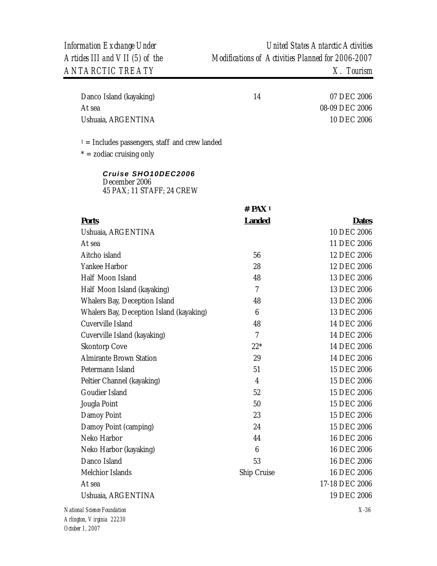| Danco Island (kayaking) | 14 | 07 DEC 2006    |
|-------------------------|----|----------------|
| At sea                  |    | 08-09 DEC 2006 |
| Ushuaia, ARGENTINA      |    | 10 DEC 2006    |

 $1 =$  Includes passengers, staff and crew landed

 $* =$  zodiac cruising only

*Cruise SHO10DEC2006* December 2006 45 PAX; 11 STAFF; 24 CREW

|                                          | # $PAX1$       |                |
|------------------------------------------|----------------|----------------|
| <b>Ports</b>                             | <b>Landed</b>  | <b>Dates</b>   |
| Ushuaia, ARGENTINA                       |                | 10 DEC 2006    |
| At sea                                   |                | 11 DEC 2006    |
| Aitcho island                            | 56             | 12 DEC 2006    |
| Yankee Harbor                            | 28             | 12 DEC 2006    |
| Half Moon Island                         | 48             | 13 DEC 2006    |
| Half Moon Island (kayaking)              | $\overline{7}$ | 13 DEC 2006    |
| Whalers Bay, Deception Island            | 48             | 13 DEC 2006    |
| Whalers Bay, Deception Island (kayaking) | 6              | 13 DEC 2006    |
| Cuverville Island                        | 48             | 14 DEC 2006    |
| Cuverville Island (kayaking)             | $\overline{7}$ | 14 DEC 2006    |
| <b>Skontorp Cove</b>                     | $22*$          | 14 DEC 2006    |
| <b>Almirante Brown Station</b>           | 29             | 14 DEC 2006    |
| Petermann Island                         | 51             | 15 DEC 2006    |
| Peltier Channel (kayaking)               | $\overline{4}$ | 15 DEC 2006    |
| Goudier Island                           | 52             | 15 DEC 2006    |
| Jougla Point                             | 50             | 15 DEC 2006    |
| Damoy Point                              | 23             | 15 DEC 2006    |
| Damoy Point (camping)                    | 24             | 15 DEC 2006    |
| Neko Harbor                              | 44             | 16 DEC 2006    |
| Neko Harbor (kayaking)                   | 6              | 16 DEC 2006    |
| Danco Island                             | 53             | 16 DEC 2006    |
| Melchior Islands                         | Ship Cruise    | 16 DEC 2006    |
| At sea                                   |                | 17-18 DEC 2006 |
| Ushuaia, ARGENTINA                       |                | 19 DEC 2006    |
| National Science Foundation              |                | $X-36$         |
| Arlington, Virginia 22230                |                |                |

*October 1, 2007*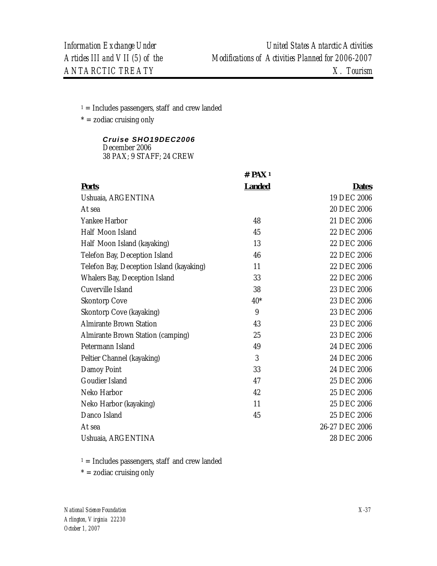$1 =$  Includes passengers, staff and crew landed

 $* =$  zodiac cruising only

*Cruise SHO19DEC2006* December 2006 38 PAX; 9 STAFF; 24 CREW

|                                          | $#$ PAX <sup>1</sup> |                |
|------------------------------------------|----------------------|----------------|
| <b>Ports</b>                             | <b>Landed</b>        | <b>Dates</b>   |
| Ushuaia, ARGENTINA                       |                      | 19 DEC 2006    |
| At sea                                   |                      | 20 DEC 2006    |
| Yankee Harbor                            | 48                   | 21 DEC 2006    |
| Half Moon Island                         | 45                   | 22 DEC 2006    |
| Half Moon Island (kayaking)              | 13                   | 22 DEC 2006    |
| Telefon Bay, Deception Island            | 46                   | 22 DEC 2006    |
| Telefon Bay, Deception Island (kayaking) | 11                   | 22 DEC 2006    |
| Whalers Bay, Deception Island            | 33                   | 22 DEC 2006    |
| Cuverville Island                        | 38                   | 23 DEC 2006    |
| <b>Skontorp Cove</b>                     | $40*$                | 23 DEC 2006    |
| Skontorp Cove (kayaking)                 | 9                    | 23 DEC 2006    |
| <b>Almirante Brown Station</b>           | 43                   | 23 DEC 2006    |
| Almirante Brown Station (camping)        | 25                   | 23 DEC 2006    |
| Petermann Island                         | 49                   | 24 DEC 2006    |
| Peltier Channel (kayaking)               | 3                    | 24 DEC 2006    |
| Damoy Point                              | 33                   | 24 DEC 2006    |
| Goudier Island                           | 47                   | 25 DEC 2006    |
| Neko Harbor                              | 42                   | 25 DEC 2006    |
| Neko Harbor (kayaking)                   | 11                   | 25 DEC 2006    |
| Danco Island                             | 45                   | 25 DEC 2006    |
| At sea                                   |                      | 26-27 DEC 2006 |
| Ushuaia, ARGENTINA                       |                      | 28 DEC 2006    |

 $1 =$  Includes passengers, staff and crew landed

 $* =$  zodiac cruising only

*National Science Foundation Arlington, Virginia 22230 October 1, 2007*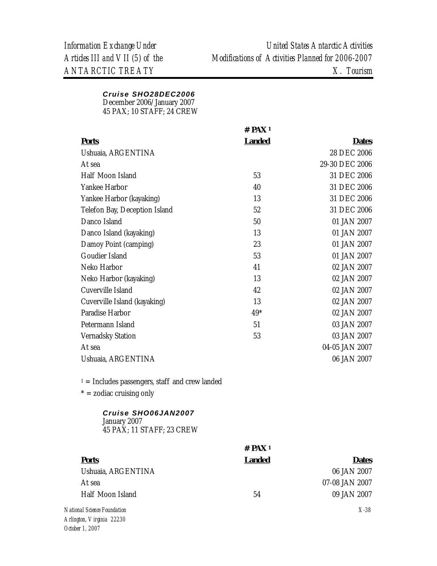### *Cruise SHO28DEC2006*

December 2006/January 2007

45 PAX; 10 STAFF; 24 CREW

|                                                  | $#$ PAX <sup>1</sup> |                |
|--------------------------------------------------|----------------------|----------------|
| <b>Ports</b>                                     | <b>Landed</b>        | <b>Dates</b>   |
| Ushuaia, ARGENTINA                               |                      | 28 DEC 2006    |
| At sea                                           |                      | 29-30 DEC 2006 |
| Half Moon Island                                 | 53                   | 31 DEC 2006    |
| Yankee Harbor                                    | 40                   | 31 DEC 2006    |
| Yankee Harbor (kayaking)                         | 13                   | 31 DEC 2006    |
| Telefon Bay, Deception Island                    | 52                   | 31 DEC 2006    |
| Danco Island                                     | 50                   | 01 JAN 2007    |
| Danco Island (kayaking)                          | 13                   | 01 JAN 2007    |
| Damoy Point (camping)                            | 23                   | 01 JAN 2007    |
| Goudier Island                                   | 53                   | 01 JAN 2007    |
| Neko Harbor                                      | 41                   | 02 JAN 2007    |
| Neko Harbor (kayaking)                           | 13                   | 02 JAN 2007    |
| Cuverville Island                                | 42                   | 02 JAN 2007    |
| Cuverville Island (kayaking)                     | 13                   | 02 JAN 2007    |
| Paradise Harbor                                  | 49*                  | 02 JAN 2007    |
| Petermann Island                                 | 51                   | 03 JAN 2007    |
| <b>Vernadsky Station</b>                         | 53                   | 03 JAN 2007    |
| At sea                                           |                      | 04-05 JAN 2007 |
| Ushuaia, ARGENTINA                               |                      | 06 JAN 2007    |
| $1 =$ Includes passengers, staff and crew landed |                      |                |
| $* =$ zodiac cruising only                       |                      |                |
| Cruise SHO06JAN2007<br>January 2007              |                      |                |

45 PAX; 11 STAFF; 23 CREW

|                             | $#$ PAX <sup>1</sup> |                |
|-----------------------------|----------------------|----------------|
| <b>Ports</b>                | <b>Landed</b>        | <b>Dates</b>   |
| Ushuaia, ARGENTINA          |                      | 06 JAN 2007    |
| At sea                      |                      | 07-08 JAN 2007 |
| Half Moon Island            | 54                   | 09 JAN 2007    |
| National Science Foundation |                      | $X-38$         |
| Arlington, Virginia 22230   |                      |                |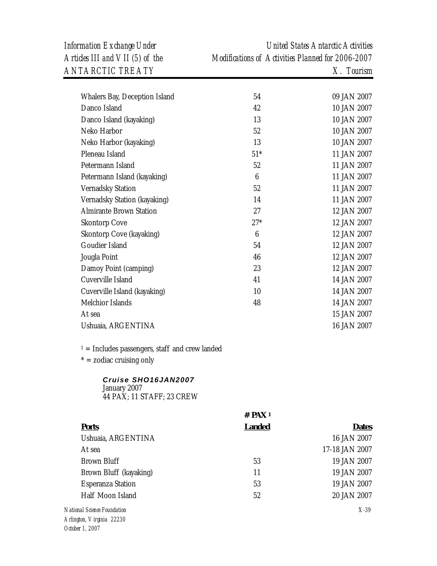| Whalers Bay, Deception Island  | 54              | 09 JAN 2007 |
|--------------------------------|-----------------|-------------|
| Danco Island                   | 42              | 10 JAN 2007 |
| Danco Island (kayaking)        | 13              | 10 JAN 2007 |
| Neko Harbor                    | 52              | 10 JAN 2007 |
| Neko Harbor (kayaking)         | 13              | 10 JAN 2007 |
| Pleneau Island                 | $51*$           | 11 JAN 2007 |
| Petermann Island               | 52              | 11 JAN 2007 |
| Petermann Island (kayaking)    | 6               | 11 JAN 2007 |
| <b>Vernadsky Station</b>       | 52              | 11 JAN 2007 |
| Vernadsky Station (kayaking)   | 14              | 11 JAN 2007 |
| <b>Almirante Brown Station</b> | 27              | 12 JAN 2007 |
| <b>Skontorp Cove</b>           | $27*$           | 12 JAN 2007 |
| Skontorp Cove (kayaking)       | $6\phantom{1}6$ | 12 JAN 2007 |
| Goudier Island                 | 54              | 12 JAN 2007 |
| Jougla Point                   | 46              | 12 JAN 2007 |
| Damoy Point (camping)          | 23              | 12 JAN 2007 |
| Cuverville Island              | 41              | 14 JAN 2007 |
| Cuverville Island (kayaking)   | 10              | 14 JAN 2007 |
| Melchior Islands               | 48              | 14 JAN 2007 |
| At sea                         |                 | 15 JAN 2007 |
| Ushuaia, ARGENTINA             |                 | 16 JAN 2007 |
|                                |                 |             |

 $1 =$  Includes passengers, staff and crew landed

 $* =$  zodiac cruising only

## *Cruise SHO16JAN2007*

January 2007 44 PAX; 11 STAFF; 23 CREW

|                             | $#$ PAX <sup>1</sup> |                |
|-----------------------------|----------------------|----------------|
| <b>Ports</b>                | <b>Landed</b>        | <b>Dates</b>   |
| Ushuaia, ARGENTINA          |                      | 16 JAN 2007    |
| At sea                      |                      | 17-18 JAN 2007 |
| Brown Bluff                 | 53                   | 19 JAN 2007    |
| Brown Bluff (kayaking)      | 11                   | 19 JAN 2007    |
| <b>Esperanza Station</b>    | 53                   | 19 JAN 2007    |
| Half Moon Island            | 52                   | 20 JAN 2007    |
| National Science Foundation |                      | $X-39$         |
| Arlington, Virginia 22230   |                      |                |
| October 1, 2007             |                      |                |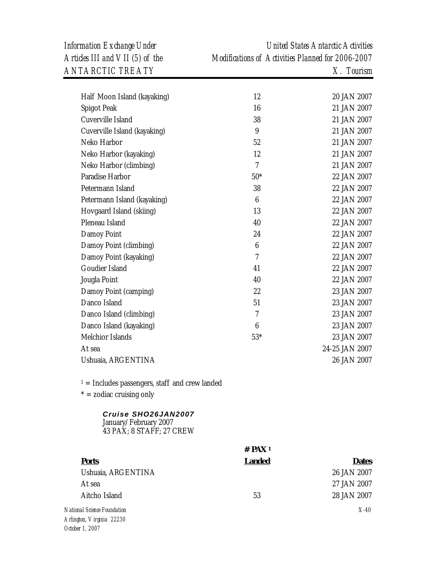*Information Exchange Under United States Antarctic Activities Articles III and VII (5) of the Modifications of Activities Planned for 2006-2007* 

| Half Moon Island (kayaking)                                              | 12              | 20 JAN 2007    |
|--------------------------------------------------------------------------|-----------------|----------------|
| Spigot Peak                                                              | 16              | 21 JAN 2007    |
| Cuverville Island                                                        | 38              | 21 JAN 2007    |
| Cuverville Island (kayaking)                                             | 9               | 21 JAN 2007    |
| Neko Harbor                                                              | 52              | 21 JAN 2007    |
| Neko Harbor (kayaking)                                                   | 12              | 21 JAN 2007    |
| Neko Harbor (climbing)                                                   | $\overline{7}$  | 21 JAN 2007    |
| Paradise Harbor                                                          | $50*$           | 22 JAN 2007    |
| Petermann Island                                                         | 38              | 22 JAN 2007    |
| Petermann Island (kayaking)                                              | $6\phantom{.}6$ | 22 JAN 2007    |
| Hovgaard Island (skiing)                                                 | 13              | 22 JAN 2007    |
| Pleneau Island                                                           | 40              | 22 JAN 2007    |
| Damoy Point                                                              | 24              | 22 JAN 2007    |
| Damoy Point (climbing)                                                   | $6\phantom{.}6$ | 22 JAN 2007    |
| Damoy Point (kayaking)                                                   | $\overline{7}$  | 22 JAN 2007    |
| Goudier Island                                                           | 41              | 22 JAN 2007    |
| Jougla Point                                                             | 40              | 22 JAN 2007    |
| Damoy Point (camping)                                                    | 22              | 23 JAN 2007    |
| Danco Island                                                             | 51              | 23 JAN 2007    |
| Danco Island (climbing)                                                  | 7               | 23 JAN 2007    |
| Danco Island (kayaking)                                                  | $6\phantom{1}6$ | 23 JAN 2007    |
| Melchior Islands                                                         | $53*$           | 23 JAN 2007    |
| At sea                                                                   |                 | 24-25 JAN 2007 |
| Ushuaia, ARGENTINA                                                       |                 | 26 JAN 2007    |
| $1 =$ Includes passengers, staff and crew landed                         |                 |                |
| $* = zodiac$ cruising only                                               |                 |                |
| Cruise SHO26JAN2007<br>January/February 2007<br>43 PAX; 8 STAFF; 27 CREW |                 |                |

|                             | $#$ PAX <sup>1</sup> |              |
|-----------------------------|----------------------|--------------|
| <b>Ports</b>                | <b>Landed</b>        | <b>Dates</b> |
| Ushuaia, ARGENTINA          |                      | 26 JAN 2007  |
| At sea                      |                      | 27 JAN 2007  |
| Aitcho Island               | 53                   | 28 JAN 2007  |
| National Science Foundation |                      | $X-40$       |
| Arlington, Virginia 22230   |                      |              |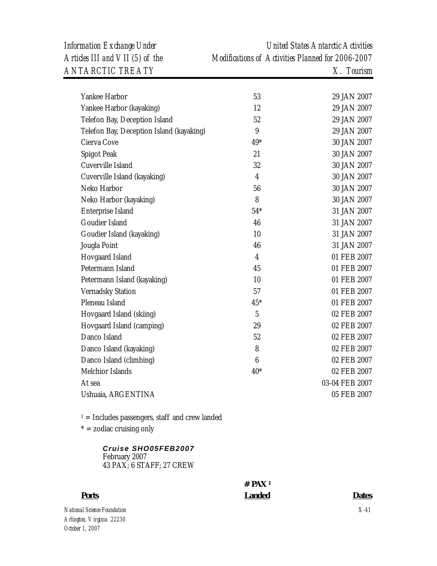*Information Exchange Under United States Antarctic Activities Articles III and VII (5) of the Modifications of Activities Planned for 2006-2007* 

| Yankee Harbor                            | 53               | 29 JAN 2007    |
|------------------------------------------|------------------|----------------|
| Yankee Harbor (kayaking)                 | 12               | 29 JAN 2007    |
| Telefon Bay, Deception Island            | 52               | 29 JAN 2007    |
| Telefon Bay, Deception Island (kayaking) | 9                | 29 JAN 2007    |
| Cierva Cove                              | 49*              | 30 JAN 2007    |
| Spigot Peak                              | 21               | 30 JAN 2007    |
| Cuverville Island                        | 32               | 30 JAN 2007    |
| Cuverville Island (kayaking)             | 4                | 30 JAN 2007    |
| Neko Harbor                              | 56               | 30 JAN 2007    |
| Neko Harbor (kayaking)                   | 8                | 30 JAN 2007    |
| Enterprise Island                        | $54*$            | 31 JAN 2007    |
| Goudier Island                           | 46               | 31 JAN 2007    |
| Goudier Island (kayaking)                | 10               | 31 JAN 2007    |
| Jougla Point                             | 46               | 31 JAN 2007    |
| Hovgaard Island                          | 4                | 01 FEB 2007    |
| Petermann Island                         | 45               | 01 FEB 2007    |
| Petermann Island (kayaking)              | 10               | 01 FEB 2007    |
| Vernadsky Station                        | 57               | 01 FEB 2007    |
| Pleneau Island                           | $45*$            | 01 FEB 2007    |
| Hovgaard Island (skiing)                 | 5                | 02 FEB 2007    |
| Hovgaard Island (camping)                | 29               | 02 FEB 2007    |
| Danco Island                             | 52               | 02 FEB 2007    |
| Danco Island (kayaking)                  | 8                | 02 FEB 2007    |
| Danco Island (climbing)                  | $\boldsymbol{6}$ | 02 FEB 2007    |
| Melchior Islands                         | $40*$            | 02 FEB 2007    |
| At sea                                   |                  | 03-04 FEB 2007 |
| Ushuaia, ARGENTINA                       |                  | 05 FEB 2007    |
|                                          |                  |                |

 $1 =$  Includes passengers, staff and crew landed

 $* =$  zodiac cruising only

### *Cruise SHO05FEB2007* February 2007 43 PAX; 6 STAFF; 27 CREW

## **# PAX 1**

| <b>Ports</b>                | Landed |
|-----------------------------|--------|
| National Science Foundation |        |
| Arlington, Virginia 22230   |        |
| October 1, 2007             |        |

**Dates** 

*X-41*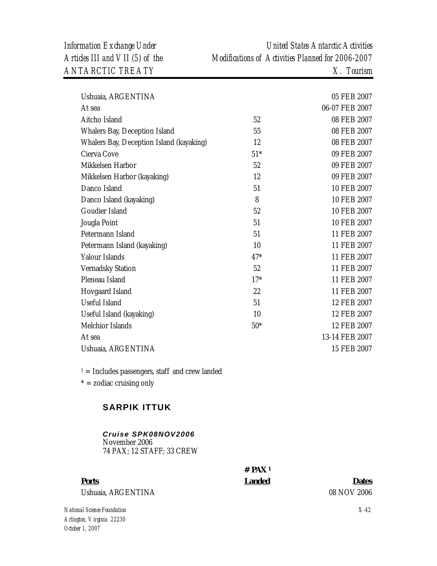| Ushuaia, ARGENTINA                       |       | 05 FEB 2007    |
|------------------------------------------|-------|----------------|
| At sea                                   |       | 06-07 FEB 2007 |
| Aitcho Island                            | 52    | 08 FEB 2007    |
| Whalers Bay, Deception Island            | 55    | 08 FEB 2007    |
| Whalers Bay, Deception Island (kayaking) | 12    | 08 FEB 2007    |
| Cierva Cove                              | $51*$ | 09 FEB 2007    |
| Mikkelsen Harbor                         | 52    | 09 FEB 2007    |
| Mikkelsen Harbor (kayaking)              | 12    | 09 FEB 2007    |
| Danco Island                             | 51    | 10 FEB 2007    |
| Danco Island (kayaking)                  | 8     | 10 FEB 2007    |
| Goudier Island                           | 52    | 10 FEB 2007    |
| Jougla Point                             | 51    | 10 FEB 2007    |
| Petermann Island                         | 51    | 11 FEB 2007    |
| Petermann Island (kayaking)              | 10    | 11 FEB 2007    |
| Yalour Islands                           | $47*$ | 11 FEB 2007    |
| <b>Vernadsky Station</b>                 | 52    | 11 FEB 2007    |
| Pleneau Island                           | $17*$ | 11 FEB 2007    |
| Hovgaard Island                          | 22    | 11 FEB 2007    |
| <b>Useful Island</b>                     | 51    | 12 FEB 2007    |
| Useful Island (kayaking)                 | 10    | 12 FEB 2007    |
| Melchior Islands                         | $50*$ | 12 FEB 2007    |
| At sea                                   |       | 13-14 FEB 2007 |
| Ushuaia, ARGENTINA                       |       | 15 FEB 2007    |
|                                          |       |                |

 $1 =$  Includes passengers, staff and crew landed

 $* =$  zodiac cruising only

## **SARPIK ITTUK**

### *Cruise SPK08NOV2006* November 2006 74 PAX; 12 STAFF; 33 CREW

# **Ports Landed Dates**

**# PAX 1** 

Ushuaia, ARGENTINA 08 NOV 2006

*National Science Foundation Arlington, Virginia 22230 October 1, 2007*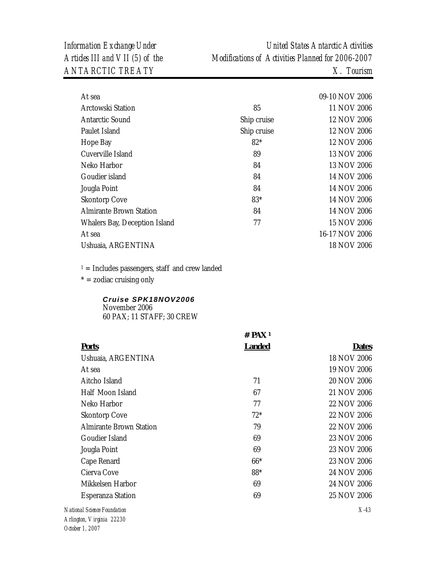| Information Exchange Under      | United States Antarctic Activities                |
|---------------------------------|---------------------------------------------------|
| Articles III and VII (5) of the | Modifications of Activities Planned for 2006-2007 |
| <i>ANTARCTIC TREATY</i>         | $X$ . Tourism                                     |

| At sea                         |             | 09-10 NOV 2006 |
|--------------------------------|-------------|----------------|
| <b>Arctowski Station</b>       | 85          | 11 NOV 2006    |
| Antarctic Sound                | Ship cruise | 12 NOV 2006    |
| Paulet Island                  | Ship cruise | 12 NOV 2006    |
| Hope Bay                       | $82*$       | 12 NOV 2006    |
| Cuverville Island              | 89          | 13 NOV 2006    |
| Neko Harbor                    | 84          | 13 NOV 2006    |
| Goudier island                 | 84          | 14 NOV 2006    |
| Jougla Point                   | 84          | 14 NOV 2006    |
| <b>Skontorp Cove</b>           | $83*$       | 14 NOV 2006    |
| <b>Almirante Brown Station</b> | 84          | 14 NOV 2006    |
| Whalers Bay, Deception Island  | 77          | 15 NOV 2006    |
| At sea                         |             | 16-17 NOV 2006 |
| Ushuaia, ARGENTINA             |             | 18 NOV 2006    |
|                                |             |                |

 $* =$  zodiac cruising only

### *Cruise SPK18NOV2006* November 2006

60 PAX; 11 STAFF; 30 CREW

|                             | $#$ PAX <sup>1</sup> |              |
|-----------------------------|----------------------|--------------|
| <b>Ports</b>                | <b>Landed</b>        | <b>Dates</b> |
| Ushuaia, ARGENTINA          |                      | 18 NOV 2006  |
| At sea                      |                      | 19 NOV 2006  |
| Aitcho Island               | 71                   | 20 NOV 2006  |
| Half Moon Island            | 67                   | 21 NOV 2006  |
| Neko Harbor                 | 77                   | 22 NOV 2006  |
| <b>Skontorp Cove</b>        | $72*$                | 22 NOV 2006  |
| Almirante Brown Station     | 79                   | 22 NOV 2006  |
| Goudier Island              | 69                   | 23 NOV 2006  |
| Jougla Point                | 69                   | 23 NOV 2006  |
| Cape Renard                 | $66*$                | 23 NOV 2006  |
| Cierva Cove                 | 88*                  | 24 NOV 2006  |
| Mikkelsen Harbor            | 69                   | 24 NOV 2006  |
| <b>Esperanza Station</b>    | 69                   | 25 NOV 2006  |
| National Science Foundation |                      | $X-43$       |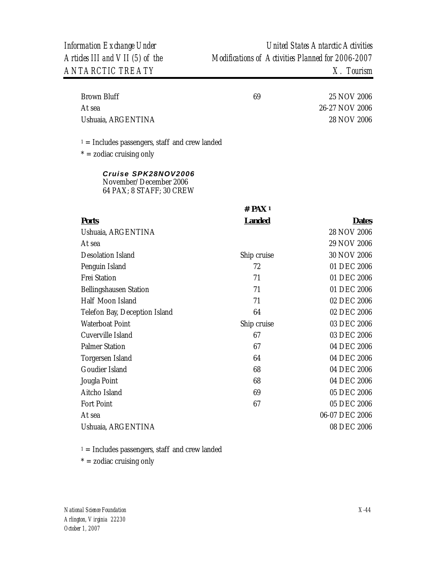| Brown Bluff        | 69 | 25 NOV 2006    |
|--------------------|----|----------------|
| At sea             |    | 26-27 NOV 2006 |
| Ushuaia, ARGENTINA |    | 28 NOV 2006    |

 $1 =$  Includes passengers, staff and crew landed

 $* =$  zodiac cruising only

*Cruise SPK28NOV2006* November/December 2006 64 PAX; 8 STAFF; 30 CREW

|                               | $#$ PAX <sup>1</sup> |                |
|-------------------------------|----------------------|----------------|
| <b>Ports</b>                  | <b>Landed</b>        | <b>Dates</b>   |
| Ushuaia, ARGENTINA            |                      | 28 NOV 2006    |
| At sea                        |                      | 29 NOV 2006    |
| Desolation Island             | Ship cruise          | 30 NOV 2006    |
| Penguin Island                | 72                   | 01 DEC 2006    |
| <b>Frei Station</b>           | 71                   | 01 DEC 2006    |
| Bellingshausen Station        | 71                   | 01 DEC 2006    |
| Half Moon Island              | 71                   | 02 DEC 2006    |
| Telefon Bay, Deception Island | 64                   | 02 DEC 2006    |
| Waterboat Point               | Ship cruise          | 03 DEC 2006    |
| Cuverville Island             | 67                   | 03 DEC 2006    |
| <b>Palmer Station</b>         | 67                   | 04 DEC 2006    |
| Torgersen Island              | 64                   | 04 DEC 2006    |
| Goudier Island                | 68                   | 04 DEC 2006    |
| Jougla Point                  | 68                   | 04 DEC 2006    |
| Aitcho Island                 | 69                   | 05 DEC 2006    |
| Fort Point                    | 67                   | 05 DEC 2006    |
| At sea                        |                      | 06-07 DEC 2006 |
| Ushuaia, ARGENTINA            |                      | 08 DEC 2006    |

 $1 =$  Includes passengers, staff and crew landed

 $* =$  zodiac cruising only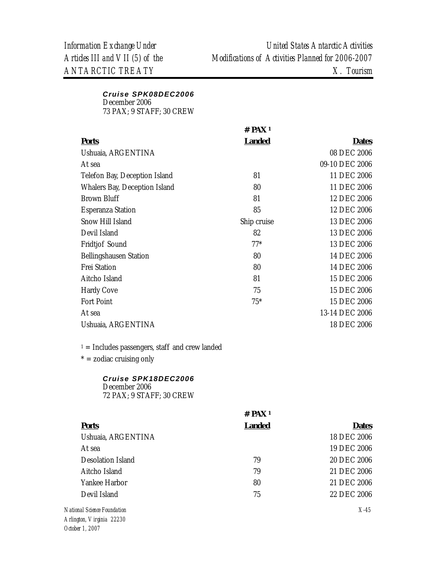### *Cruise SPK08DEC2006*

December 2006 73 PAX; 9 STAFF; 30 CREW

|                               | $#$ PAX <sup>1</sup> |                |
|-------------------------------|----------------------|----------------|
| <b>Ports</b>                  | <b>Landed</b>        | <b>Dates</b>   |
| Ushuaia, ARGENTINA            |                      | 08 DEC 2006    |
| At sea                        |                      | 09-10 DEC 2006 |
| Telefon Bay, Deception Island | 81                   | 11 DEC 2006    |
| Whalers Bay, Deception Island | 80                   | 11 DEC 2006    |
| <b>Brown Bluff</b>            | 81                   | 12 DEC 2006    |
| <b>Esperanza Station</b>      | 85                   | 12 DEC 2006    |
| Snow Hill Island              | Ship cruise          | 13 DEC 2006    |
| Devil Island                  | 82                   | 13 DEC 2006    |
| Fridtjof Sound                | $77*$                | 13 DEC 2006    |
| <b>Bellingshausen Station</b> | 80                   | 14 DEC 2006    |
| <b>Frei Station</b>           | 80                   | 14 DEC 2006    |
| Aitcho Island                 | 81                   | 15 DEC 2006    |
| <b>Hardy Cove</b>             | 75                   | 15 DEC 2006    |
| <b>Fort Point</b>             | $75*$                | 15 DEC 2006    |
| At sea                        |                      | 13-14 DEC 2006 |
| Ushuaia, ARGENTINA            |                      | 18 DEC 2006    |

 $1 =$  Includes passengers, staff and crew landed

 $* =$  zodiac cruising only

### *Cruise SPK18DEC2006*

December 2006 72 PAX; 9 STAFF; 30 CREW

|                             | $#$ PAX <sup>1</sup> |              |
|-----------------------------|----------------------|--------------|
| <b>Ports</b>                | <b>Landed</b>        | <b>Dates</b> |
| Ushuaia, ARGENTINA          |                      | 18 DEC 2006  |
| At sea                      |                      | 19 DEC 2006  |
| Desolation Island           | 79                   | 20 DEC 2006  |
| Aitcho Island               | 79                   | 21 DEC 2006  |
| Yankee Harbor               | 80                   | 21 DEC 2006  |
| Devil Island                | 75                   | 22 DEC 2006  |
| National Science Foundation |                      | $X-45$       |
| Arlington Virginia 22220    |                      |              |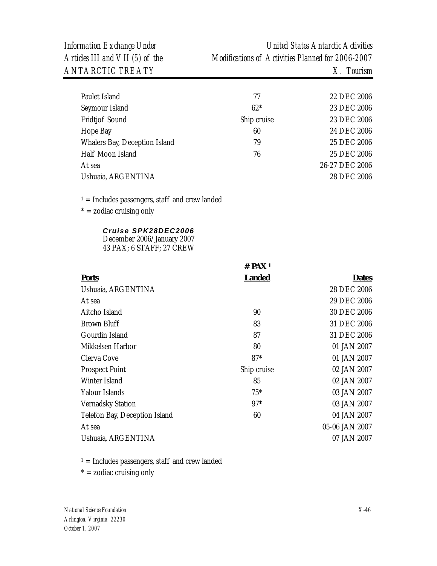| Paulet Island                 | 77          | 22 DEC 2006    |
|-------------------------------|-------------|----------------|
| Seymour Island                | $62*$       | 23 DEC 2006    |
| Fridtjof Sound                | Ship cruise | 23 DEC 2006    |
| Hope Bay                      | 60          | 24 DEC 2006    |
| Whalers Bay, Deception Island | 79          | 25 DEC 2006    |
| Half Moon Island              | 76          | 25 DEC 2006    |
| At sea                        |             | 26-27 DEC 2006 |
| Ushuaia, ARGENTINA            |             | 28 DEC 2006    |
|                               |             |                |

 $1 =$  Includes passengers, staff and crew landed

 $* =$  zodiac cruising only

### *Cruise SPK28DEC2006*

December 2006/January 2007 43 PAX; 6 STAFF; 27 CREW

|                               | $#$ PAX <sup>1</sup> |                |
|-------------------------------|----------------------|----------------|
| <b>Ports</b>                  | <b>Landed</b>        | <b>Dates</b>   |
| Ushuaia, ARGENTINA            |                      | 28 DEC 2006    |
| At sea                        |                      | 29 DEC 2006    |
| Aitcho Island                 | 90                   | 30 DEC 2006    |
| <b>Brown Bluff</b>            | 83                   | 31 DEC 2006    |
| Gourdin Island                | 87                   | 31 DEC 2006    |
| Mikkelsen Harbor              | 80                   | 01 JAN 2007    |
| Cierva Cove                   | $87*$                | 01 JAN 2007    |
| <b>Prospect Point</b>         | Ship cruise          | 02 JAN 2007    |
| Winter Island                 | 85                   | 02 JAN 2007    |
| Yalour Islands                | $75*$                | 03 JAN 2007    |
| <b>Vernadsky Station</b>      | $97*$                | 03 JAN 2007    |
| Telefon Bay, Deception Island | 60                   | 04 JAN 2007    |
| At sea                        |                      | 05-06 JAN 2007 |
| Ushuaia, ARGENTINA            |                      | 07 JAN 2007    |

 $1 =$  Includes passengers, staff and crew landed

 $* =$  zodiac cruising only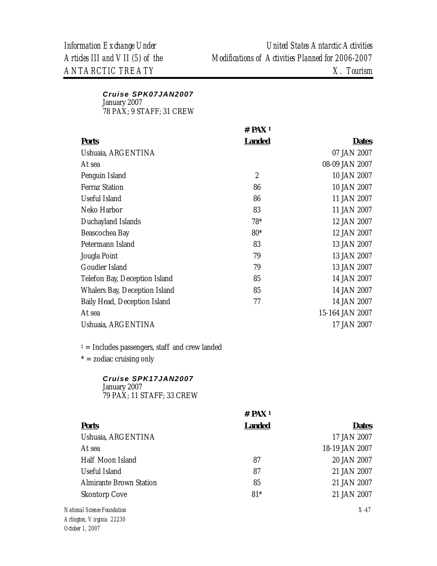## *Cruise SPK07JAN2007*

January 2007

78 PAX; 9 STAFF; 31 CREW

|                               | $#$ PAX <sup>1</sup> |                 |
|-------------------------------|----------------------|-----------------|
| <b>Ports</b>                  | <b>Landed</b>        | <b>Dates</b>    |
| Ushuaia, ARGENTINA            |                      | 07 JAN 2007     |
| At sea                        |                      | 08-09 JAN 2007  |
| Penguin Island                | $\overline{2}$       | 10 JAN 2007     |
| <b>Ferraz Station</b>         | 86                   | 10 JAN 2007     |
| Useful Island                 | 86                   | 11 JAN 2007     |
| Neko Harbor                   | 83                   | 11 JAN 2007     |
| Duchayland Islands            | $78*$                | 12 JAN 2007     |
| Beascochea Bay                | $80*$                | 12 JAN 2007     |
| Petermann Island              | 83                   | 13 JAN 2007     |
| Jougla Point                  | 79                   | 13 JAN 2007     |
| Goudier Island                | 79                   | 13 JAN 2007     |
| Telefon Bay, Deception Island | 85                   | 14 JAN 2007     |
| Whalers Bay, Deception Island | 85                   | 14 JAN 2007     |
| Baily Head, Deception Island  | 77                   | 14 JAN 2007     |
| At sea                        |                      | 15-164 JAN 2007 |
| Ushuaia, ARGENTINA            |                      | 17 JAN 2007     |

 $1 =$  Includes passengers, staff and crew landed

 $* =$  zodiac cruising only

### *Cruise SPK17JAN2007*

January 2007 79 PAX; 11 STAFF; 33 CREW

|                                | $#$ PAX <sup>1</sup> |                |
|--------------------------------|----------------------|----------------|
| <b>Ports</b>                   | <b>Landed</b>        | <b>Dates</b>   |
| Ushuaia, ARGENTINA             |                      | 17 JAN 2007    |
| At sea                         |                      | 18-19 JAN 2007 |
| Half Moon Island               | 87                   | 20 JAN 2007    |
| Useful Island                  | 87                   | 21 JAN 2007    |
| <b>Almirante Brown Station</b> | 85                   | 21 JAN 2007    |
| <b>Skontorp Cove</b>           | $81*$                | 21 JAN 2007    |
| National Science Foundation    |                      | $X-47$         |
| Arlington, Virginia 22230      |                      |                |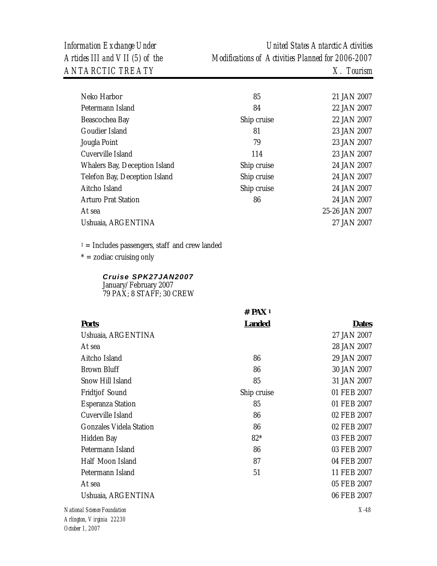| Neko Harbor                   | 85          | 21 JAN 2007    |
|-------------------------------|-------------|----------------|
| Petermann Island              | 84          | 22 JAN 2007    |
| Beascochea Bay                | Ship cruise | 22 JAN 2007    |
| Goudier Island                | 81          | 23 JAN 2007    |
| Jougla Point                  | 79          | 23 JAN 2007    |
| Cuverville Island             | 114         | 23 JAN 2007    |
| Whalers Bay, Deception Island | Ship cruise | 24 JAN 2007    |
| Telefon Bay, Deception Island | Ship cruise | 24 JAN 2007    |
| Aitcho Island                 | Ship cruise | 24 JAN 2007    |
| <b>Arturo Prat Station</b>    | 86          | 24 JAN 2007    |
| At sea                        |             | 25-26 JAN 2007 |
| Ushuaia, ARGENTINA            |             | 27 JAN 2007    |
|                               |             |                |

 $1 =$  Includes passengers, staff and crew landed

 $* =$  zodiac cruising only

### *Cruise SPK27JAN2007* January/February 2007

79 PAX; 8 STAFF; 30 CREW

|                                | $#$ PAX <sup>1</sup> |              |
|--------------------------------|----------------------|--------------|
| <b>Ports</b>                   | <b>Landed</b>        | <b>Dates</b> |
| Ushuaia, ARGENTINA             |                      | 27 JAN 2007  |
| At sea                         |                      | 28 JAN 2007  |
| Aitcho Island                  | 86                   | 29 JAN 2007  |
| <b>Brown Bluff</b>             | 86                   | 30 JAN 2007  |
| Snow Hill Island               | 85                   | 31 JAN 2007  |
| Fridtjof Sound                 | Ship cruise          | 01 FEB 2007  |
| <b>Esperanza Station</b>       | 85                   | 01 FEB 2007  |
| Cuverville Island              | 86                   | 02 FEB 2007  |
| <b>Gonzales Videla Station</b> | 86                   | 02 FEB 2007  |
| Hidden Bay                     | $82*$                | 03 FEB 2007  |
| Petermann Island               | 86                   | 03 FEB 2007  |
| Half Moon Island               | 87                   | 04 FEB 2007  |
| Petermann Island               | 51                   | 11 FEB 2007  |
| At sea                         |                      | 05 FEB 2007  |
| Ushuaia, ARGENTINA             |                      | 06 FEB 2007  |
| National Science Foundation    |                      | $X-48$       |
| Arlington, Virginia 22230      |                      |              |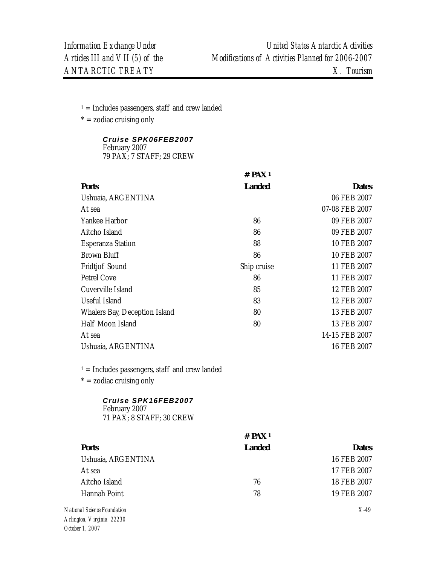$* =$  zodiac cruising only

*Cruise SPK06FEB2007* February 2007

79 PAX; 7 STAFF; 29 CREW

|                                                                  | # PAX <sup>1</sup>   |                |
|------------------------------------------------------------------|----------------------|----------------|
| <b>Ports</b>                                                     | <b>Landed</b>        | <b>Dates</b>   |
| Ushuaia, ARGENTINA                                               |                      | 06 FEB 2007    |
| At sea                                                           |                      | 07-08 FEB 2007 |
| Yankee Harbor                                                    | 86                   | 09 FEB 2007    |
| Aitcho Island                                                    | 86                   | 09 FEB 2007    |
| <b>Esperanza Station</b>                                         | 88                   | 10 FEB 2007    |
| <b>Brown Bluff</b>                                               | 86                   | 10 FEB 2007    |
| Fridtjof Sound                                                   | Ship cruise          | 11 FEB 2007    |
| <b>Petrel Cove</b>                                               | 86                   | 11 FEB 2007    |
| Cuverville Island                                                | 85                   | 12 FEB 2007    |
| <b>Useful Island</b>                                             | 83                   | 12 FEB 2007    |
| Whalers Bay, Deception Island                                    | 80                   | 13 FEB 2007    |
| Half Moon Island                                                 | 80                   | 13 FEB 2007    |
| At sea                                                           |                      | 14-15 FEB 2007 |
| Ushuaia, ARGENTINA                                               |                      | 16 FEB 2007    |
| $1 =$ Includes passengers, staff and crew landed                 |                      |                |
| $* =$ zodiac cruising only                                       |                      |                |
| Cruise SPK16FEB2007<br>February 2007<br>71 PAX; 8 STAFF; 30 CREW |                      |                |
|                                                                  | $#$ PAX <sup>1</sup> |                |
| <b>Ports</b>                                                     | <b>Landed</b>        | <b>Dates</b>   |
| Ushuaia, ARGENTINA                                               |                      | 16 FEB 2007    |
| At sea                                                           |                      | 17 FEB 2007    |
| Aitcho Island                                                    | 76                   | 18 FEB 2007    |
| Hannah Point                                                     | 78                   | 19 FEB 2007    |
| National Science Foundation<br>Arlington, Virginia 22230         |                      | $X-49$         |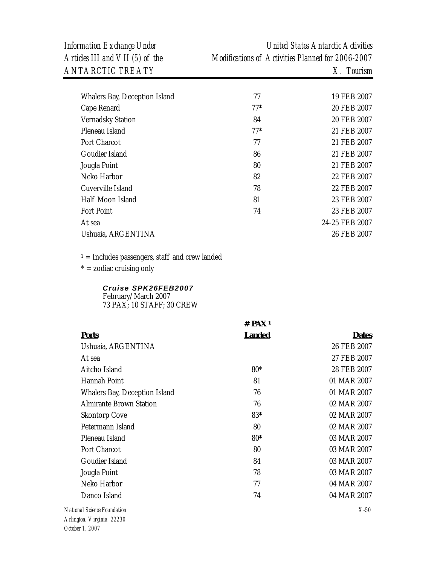*Information Exchange Under United States Antarctic Activities Articles III and VII (5) of the Modifications of Activities Planned for 2006-2007* 

| Whalers Bay, Deception Island | 77    | 19 FEB 2007    |
|-------------------------------|-------|----------------|
| Cape Renard                   | $77*$ | 20 FEB 2007    |
| <b>Vernadsky Station</b>      | 84    | 20 FEB 2007    |
| Pleneau Island                | $77*$ | 21 FEB 2007    |
| Port Charcot                  | 77    | 21 FEB 2007    |
| Goudier Island                | 86    | 21 FEB 2007    |
| Jougla Point                  | 80    | 21 FEB 2007    |
| Neko Harbor                   | 82    | 22 FEB 2007    |
| Cuverville Island             | 78    | 22 FEB 2007    |
| Half Moon Island              | 81    | 23 FEB 2007    |
| <b>Fort Point</b>             | 74    | 23 FEB 2007    |
| At sea                        |       | 24-25 FEB 2007 |
| Ushuaia, ARGENTINA            |       | 26 FEB 2007    |
|                               |       |                |

 $1 =$  Includes passengers, staff and crew landed

 $* =$  zodiac cruising only

### *Cruise SPK26FEB2007*

February/March 2007 73 PAX; 10 STAFF; 30 CREW

|                                | $#$ PAX 1     |              |
|--------------------------------|---------------|--------------|
| <b>Ports</b>                   | <b>Landed</b> | <b>Dates</b> |
| Ushuaia, ARGENTINA             |               | 26 FEB 2007  |
| At sea                         |               | 27 FEB 2007  |
| Aitcho Island                  | $80*$         | 28 FEB 2007  |
| Hannah Point                   | 81            | 01 MAR 2007  |
| Whalers Bay, Deception Island  | 76            | 01 MAR 2007  |
| <b>Almirante Brown Station</b> | 76            | 02 MAR 2007  |
| <b>Skontorp Cove</b>           | 83*           | 02 MAR 2007  |
| Petermann Island               | 80            | 02 MAR 2007  |
| Pleneau Island                 | $80*$         | 03 MAR 2007  |
| Port Charcot                   | 80            | 03 MAR 2007  |
| Goudier Island                 | 84            | 03 MAR 2007  |
| Jougla Point                   | 78            | 03 MAR 2007  |
| Neko Harbor                    | 77            | 04 MAR 2007  |
| Danco Island                   | 74            | 04 MAR 2007  |
| National Science Foundation    |               | $X-50$       |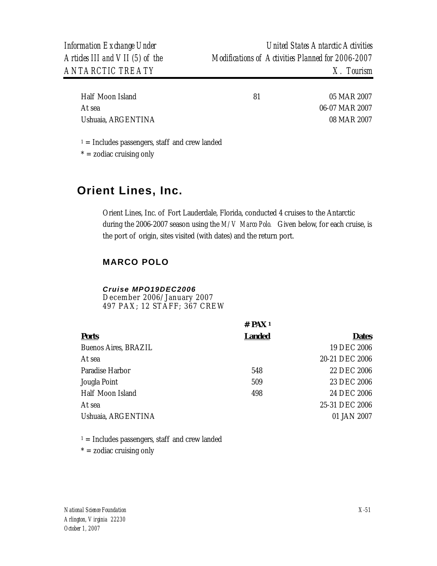| Half Moon Island   | 81 | 05 MAR 2007    |
|--------------------|----|----------------|
| At sea             |    | 06-07 MAR 2007 |
| Ushuaia, ARGENTINA |    | 08 MAR 2007    |

 $* =$  zodiac cruising only

## **Orient Lines, Inc.**

Orient Lines, Inc. of Fort Lauderdale, Florida, conducted 4 cruises to the Antarctic during the 2006-2007 season using the *M/V Marco Polo.* Given below, for each cruise, is the port of origin, sites visited (with dates) and the return port.

## **MARCO POLO**

#### *Cruise MPO19DEC2006*

December 2006/January 2007 497 PAX; 12 STAFF; 367 CREW

|                      | # $PAX_1$     |                |  |
|----------------------|---------------|----------------|--|
| <b>Ports</b>         | <b>Landed</b> | <b>Dates</b>   |  |
| Buenos Aires, BRAZIL |               | 19 DEC 2006    |  |
| At sea               |               | 20-21 DEC 2006 |  |
| Paradise Harbor      | 548           | 22 DEC 2006    |  |
| Jougla Point         | 509           | 23 DEC 2006    |  |
| Half Moon Island     | 498           | 24 DEC 2006    |  |
| At sea               |               | 25-31 DEC 2006 |  |
| Ushuaia, ARGENTINA   |               | 01 JAN 2007    |  |
|                      |               |                |  |

 $1 =$  Includes passengers, staff and crew landed

 $* =$  zodiac cruising only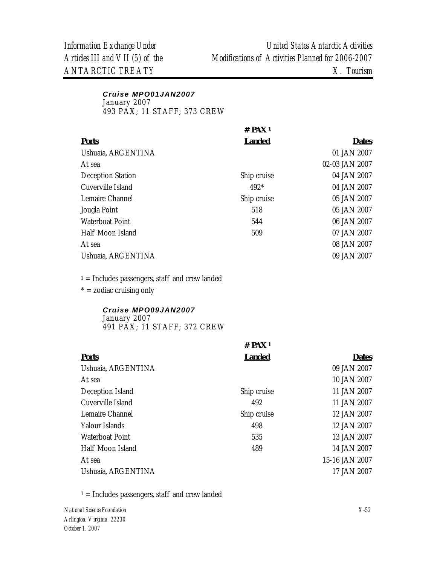## *Cruise MPO01JAN2007*  January 2007

493 PAX; 11 STAFF; 373 CREW

| # $PAX_1$     |                |
|---------------|----------------|
| <b>Landed</b> | <b>Dates</b>   |
|               | 01 JAN 2007    |
|               | 02-03 JAN 2007 |
| Ship cruise   | 04 JAN 2007    |
| $492*$        | 04 JAN 2007    |
| Ship cruise   | 05 JAN 2007    |
| 518           | 05 JAN 2007    |
| 544           | 06 JAN 2007    |
| 509           | 07 JAN 2007    |
|               | 08 JAN 2007    |
|               | 09 JAN 2007    |
|               |                |

 $1 =$  Includes passengers, staff and crew landed  $* =$  zodiac cruising only

#### *Cruise MPO09JAN2007*  January 2007 491 PAX; 11 STAFF; 372 CREW

|                    | $#$ PAX <sup>1</sup> |                |
|--------------------|----------------------|----------------|
| <b>Ports</b>       | <b>Landed</b>        | <b>Dates</b>   |
| Ushuaia, ARGENTINA |                      | 09 JAN 2007    |
| At sea             |                      | 10 JAN 2007    |
| Deception Island   | Ship cruise          | 11 JAN 2007    |
| Cuverville Island  | 492                  | 11 JAN 2007    |
| Lemaire Channel    | Ship cruise          | 12 JAN 2007    |
| Yalour Islands     | 498                  | 12 JAN 2007    |
| Waterboat Point    | 535                  | 13 JAN 2007    |
| Half Moon Island   | 489                  | 14 JAN 2007    |
| At sea             |                      | 15-16 JAN 2007 |
| Ushuaia, ARGENTINA |                      | 17 JAN 2007    |

 $1 =$  Includes passengers, staff and crew landed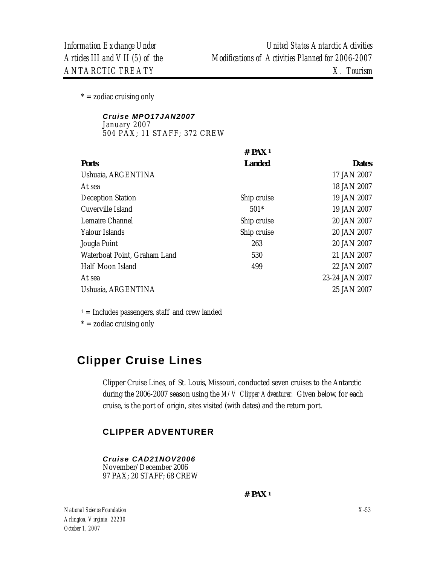$* =$  zodiac cruising only

#### *Cruise MPO17JAN2007*  January 2007 504 PAX; 11 STAFF; 372 CREW

|                              | $#$ PAX <sup>1</sup> |                |
|------------------------------|----------------------|----------------|
| <b>Ports</b>                 | <b>Landed</b>        | <b>Dates</b>   |
| Ushuaia, ARGENTINA           |                      | 17 JAN 2007    |
| At sea                       |                      | 18 JAN 2007    |
| <b>Deception Station</b>     | Ship cruise          | 19 JAN 2007    |
| Cuverville Island            | $501*$               | 19 JAN 2007    |
| Lemaire Channel              | Ship cruise          | 20 JAN 2007    |
| Yalour Islands               | Ship cruise          | 20 JAN 2007    |
| Jougla Point                 | 263                  | 20 JAN 2007    |
| Waterboat Point, Graham Land | 530                  | 21 JAN 2007    |
| Half Moon Island             | 499                  | 22 JAN 2007    |
| At sea                       |                      | 23-24 JAN 2007 |
| Ushuaia, ARGENTINA           |                      | 25 JAN 2007    |

 $1 =$  Includes passengers, staff and crew landed

 $* =$  zodiac cruising only

# **Clipper Cruise Lines**

Clipper Cruise Lines, of St. Louis, Missouri, conducted seven cruises to the Antarctic during the 2006-2007 season using the *M/V Clipper Adventurer.* Given below, for each cruise, is the port of origin, sites visited (with dates) and the return port.

## **CLIPPER ADVENTURER**

*Cruise CAD21NOV2006*  November/December 2006 97 PAX; 20 STAFF; 68 CREW

 **# PAX 1** 

*National Science Foundation Arlington, Virginia 22230 October 1, 2007* 

*X-53*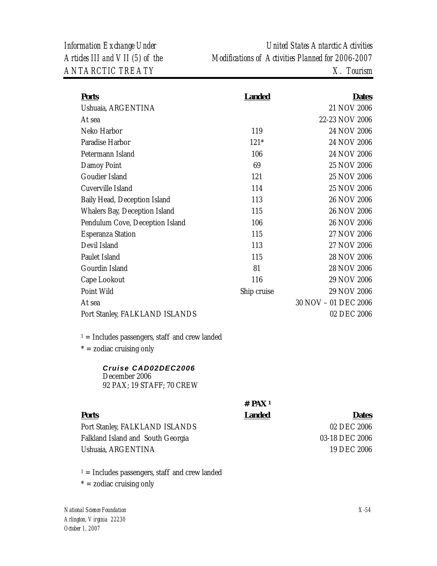| <b>Ports</b>                                                                                              | <b>Landed</b>                         | <b>Dates</b>                                                 |
|-----------------------------------------------------------------------------------------------------------|---------------------------------------|--------------------------------------------------------------|
| Ushuaia, ARGENTINA                                                                                        |                                       | 21 NOV 2006                                                  |
| At sea                                                                                                    |                                       | 22-23 NOV 2006                                               |
| Neko Harbor                                                                                               | 119                                   | 24 NOV 2006                                                  |
| Paradise Harbor                                                                                           | $121*$                                | 24 NOV 2006                                                  |
| Petermann Island                                                                                          | 106                                   | 24 NOV 2006                                                  |
| Damoy Point                                                                                               | 69                                    | 25 NOV 2006                                                  |
| Goudier Island                                                                                            | 121                                   | 25 NOV 2006                                                  |
| Cuverville Island                                                                                         | 114                                   | 25 NOV 2006                                                  |
| Baily Head, Deception Island                                                                              | 113                                   | 26 NOV 2006                                                  |
| Whalers Bay, Deception Island                                                                             | 115                                   | 26 NOV 2006                                                  |
| Pendulum Cove, Deception Island                                                                           | 106                                   | 26 NOV 2006                                                  |
| <b>Esperanza Station</b>                                                                                  | 115                                   | 27 NOV 2006                                                  |
| Devil Island                                                                                              | 113                                   | 27 NOV 2006                                                  |
| Paulet Island                                                                                             | 115                                   | 28 NOV 2006                                                  |
| Gourdin Island                                                                                            | 81                                    | 28 NOV 2006                                                  |
| Cape Lookout                                                                                              | 116                                   | 29 NOV 2006                                                  |
| Point Wild                                                                                                | Ship cruise                           | 29 NOV 2006                                                  |
| At sea                                                                                                    |                                       | 30 NOV - 01 DEC 2006                                         |
| Port Stanley, FALKLAND ISLANDS                                                                            |                                       | 02 DEC 2006                                                  |
| $1 =$ Includes passengers, staff and crew landed<br>$* =$ zodiac cruising only                            |                                       |                                                              |
| Cruise CAD02DEC2006<br>December 2006<br>92 PAX; 19 STAFF; 70 CREW                                         |                                       |                                                              |
| <b>Ports</b><br>Port Stanley, FALKLAND ISLANDS<br>Falkland Island and South Georgia<br>Ushuaia, ARGENTINA | $#$ PAX <sup>1</sup><br><b>Landed</b> | <b>Dates</b><br>02 DEC 2006<br>03-18 DEC 2006<br>19 DEC 2006 |
|                                                                                                           |                                       |                                                              |

 $1 =$  Includes passengers, staff and crew landed

 $* =$  zodiac cruising only

*National Science Foundation Arlington, Virginia 22230 October 1, 2007*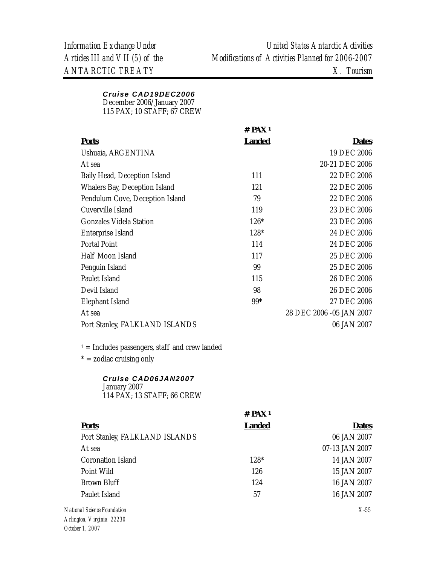### *Cruise CAD19DEC2006*

December 2006/January 2007

115 PAX; 10 STAFF; 67 CREW

|                                 | $#$ PAX <sup>1</sup> |                          |
|---------------------------------|----------------------|--------------------------|
| <b>Ports</b>                    | <b>Landed</b>        | <b>Dates</b>             |
| Ushuaia, ARGENTINA              |                      | 19 DEC 2006              |
| At sea                          |                      | 20-21 DEC 2006           |
| Baily Head, Deception Island    | 111                  | 22 DEC 2006              |
| Whalers Bay, Deception Island   | 121                  | 22 DEC 2006              |
| Pendulum Cove, Deception Island | 79                   | 22 DEC 2006              |
| Cuverville Island               | 119                  | 23 DEC 2006              |
| <b>Gonzales Videla Station</b>  | $126*$               | 23 DEC 2006              |
| Enterprise Island               | $128*$               | 24 DEC 2006              |
| <b>Portal Point</b>             | 114                  | 24 DEC 2006              |
| Half Moon Island                | 117                  | 25 DEC 2006              |
| Penguin Island                  | 99                   | 25 DEC 2006              |
| Paulet Island                   | 115                  | 26 DEC 2006              |
| Devil Island                    | 98                   | 26 DEC 2006              |
| Elephant Island                 | $99*$                | 27 DEC 2006              |
| At sea                          |                      | 28 DEC 2006 -05 JAN 2007 |
| Port Stanley, FALKLAND ISLANDS  |                      | 06 JAN 2007              |
|                                 |                      |                          |

 $1 =$  Includes passengers, staff and crew landed

 $* =$  zodiac cruising only

## *Cruise CAD06JAN2007*

January 2007 114 PAX; 13 STAFF; 66 CREW

|                                                                                                                                                                                                                                                                                                                                                                                      | $#$ PAX <sup>1</sup> |                |
|--------------------------------------------------------------------------------------------------------------------------------------------------------------------------------------------------------------------------------------------------------------------------------------------------------------------------------------------------------------------------------------|----------------------|----------------|
| <b>Ports</b>                                                                                                                                                                                                                                                                                                                                                                         | <b>Landed</b>        | <b>Dates</b>   |
| Port Stanley, FALKLAND ISLANDS                                                                                                                                                                                                                                                                                                                                                       |                      | 06 JAN 2007    |
| At sea                                                                                                                                                                                                                                                                                                                                                                               |                      | 07-13 JAN 2007 |
| Coronation Island                                                                                                                                                                                                                                                                                                                                                                    | 128*                 | 14 JAN 2007    |
| Point Wild                                                                                                                                                                                                                                                                                                                                                                           | 126                  | 15 JAN 2007    |
| Brown Bluff                                                                                                                                                                                                                                                                                                                                                                          | 124                  | 16 JAN 2007    |
| Paulet Island                                                                                                                                                                                                                                                                                                                                                                        | 57                   | 16 JAN 2007    |
| National Science Foundation                                                                                                                                                                                                                                                                                                                                                          |                      | $X-55$         |
| $\overline{1}$ $\overline{1}$ $\overline{1}$ $\overline{1}$ $\overline{1}$ $\overline{1}$ $\overline{1}$ $\overline{1}$ $\overline{1}$ $\overline{1}$ $\overline{1}$ $\overline{1}$ $\overline{1}$ $\overline{1}$ $\overline{1}$ $\overline{1}$ $\overline{1}$ $\overline{1}$ $\overline{1}$ $\overline{1}$ $\overline{1}$ $\overline{1}$ $\overline{1}$ $\overline{1}$ $\overline{$ |                      |                |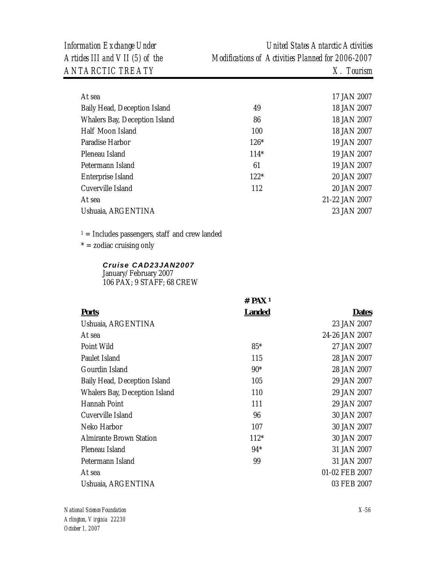*Information Exchange Under United States Antarctic Activities Articles III and VII (5) of the Modifications of Activities Planned for 2006-2007* 

| At sea                        |        | 17 JAN 2007    |
|-------------------------------|--------|----------------|
| Baily Head, Deception Island  | 49     | 18 JAN 2007    |
| Whalers Bay, Deception Island | 86     | 18 JAN 2007    |
| Half Moon Island              | 100    | 18 JAN 2007    |
| Paradise Harbor               | $126*$ | 19 JAN 2007    |
| Pleneau Island                | $114*$ | 19 JAN 2007    |
| Petermann Island              | 61     | 19 JAN 2007    |
| <b>Enterprise Island</b>      | $122*$ | 20 JAN 2007    |
| Cuverville Island             | 112    | 20 JAN 2007    |
| At sea                        |        | 21-22 JAN 2007 |
| Ushuaia, ARGENTINA            |        | 23 JAN 2007    |
|                               |        |                |

 $1 =$  Includes passengers, staff and crew landed

 $* =$  zodiac cruising only

### *Cruise CAD23JAN2007*

January/February 2007 106 PAX; 9 STAFF; 68 CREW

|                                | $#$ PAX <sup>1</sup> |                |
|--------------------------------|----------------------|----------------|
| <b>Ports</b>                   | <b>Landed</b>        | <b>Dates</b>   |
| Ushuaia, ARGENTINA             |                      | 23 JAN 2007    |
| At sea                         |                      | 24-26 JAN 2007 |
| Point Wild                     | $85*$                | 27 JAN 2007    |
| Paulet Island                  | 115                  | 28 JAN 2007    |
| Gourdin Island                 | $90*$                | 28 JAN 2007    |
| Baily Head, Deception Island   | 105                  | 29 JAN 2007    |
| Whalers Bay, Deception Island  | 110                  | 29 JAN 2007    |
| Hannah Point                   | 111                  | 29 JAN 2007    |
| Cuverville Island              | 96                   | 30 JAN 2007    |
| Neko Harbor                    | 107                  | 30 JAN 2007    |
| <b>Almirante Brown Station</b> | $112*$               | 30 JAN 2007    |
| Pleneau Island                 | $94*$                | 31 JAN 2007    |
| Petermann Island               | 99                   | 31 JAN 2007    |
| At sea                         |                      | 01-02 FEB 2007 |
| Ushuaia, ARGENTINA             |                      | 03 FEB 2007    |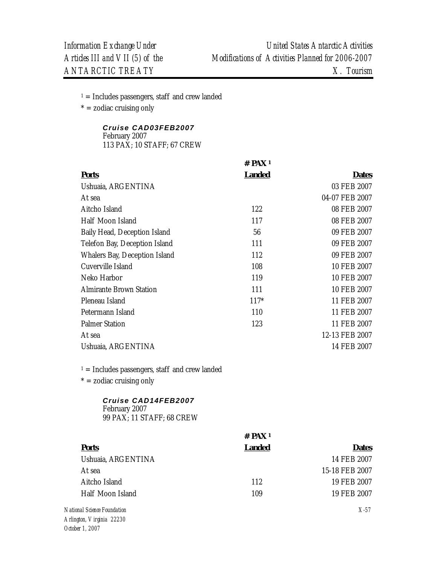$* =$  zodiac cruising only

### *Cruise CAD03FEB2007*

February 2007 113 PAX; 10 STAFF; 67 CREW

|                                                                   | $#$ PAX <sup>1</sup> |                |
|-------------------------------------------------------------------|----------------------|----------------|
| <b>Ports</b>                                                      | <b>Landed</b>        | <b>Dates</b>   |
| Ushuaia, ARGENTINA                                                |                      | 03 FEB 2007    |
| At sea                                                            |                      | 04-07 FEB 2007 |
| Aitcho Island                                                     | 122                  | 08 FEB 2007    |
| Half Moon Island                                                  | 117                  | 08 FEB 2007    |
| Baily Head, Deception Island                                      | 56                   | 09 FEB 2007    |
| Telefon Bay, Deception Island                                     | 111                  | 09 FEB 2007    |
| Whalers Bay, Deception Island                                     | 112                  | 09 FEB 2007    |
| Cuverville Island                                                 | 108                  | 10 FEB 2007    |
| Neko Harbor                                                       | 119                  | 10 FEB 2007    |
| <b>Almirante Brown Station</b>                                    | 111                  | 10 FEB 2007    |
| Pleneau Island                                                    | $117*$               | 11 FEB 2007    |
| Petermann Island                                                  | 110                  | 11 FEB 2007    |
| <b>Palmer Station</b>                                             | 123                  | 11 FEB 2007    |
| At sea                                                            |                      | 12-13 FEB 2007 |
| Ushuaia, ARGENTINA                                                |                      | 14 FEB 2007    |
| $1 =$ Includes passengers, staff and crew landed                  |                      |                |
| $* =$ zodiac cruising only                                        |                      |                |
| Cruise CAD14FEB2007<br>February 2007<br>99 PAX; 11 STAFF; 68 CREW |                      |                |
|                                                                   | $#$ PAX 1            |                |

| <b>Ports</b>       | Landed | <b>Dates</b>   |
|--------------------|--------|----------------|
| Ushuaia, ARGENTINA |        | 14 FEB 2007    |
| At sea             |        | 15-18 FEB 2007 |
| Aitcho Island      | 112    | 19 FEB 2007    |
| Half Moon Island   | 109    | 19 FEB 2007    |
|                    |        |                |

*National Science Foundation Arlington, Virginia 22230 October 1, 2007* 

*X-57*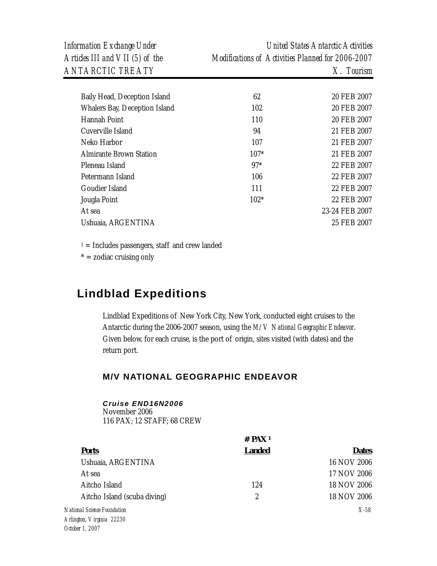| Baily Head, Deception Island   | 62     | 20 FEB 2007    |
|--------------------------------|--------|----------------|
| Whalers Bay, Deception Island  | 102    | 20 FEB 2007    |
| Hannah Point                   | 110    | 20 FEB 2007    |
| Cuverville Island              | 94     | 21 FEB 2007    |
| Neko Harbor                    | 107    | 21 FEB 2007    |
| <b>Almirante Brown Station</b> | $107*$ | 21 FEB 2007    |
| Pleneau Island                 | $97*$  | 22 FEB 2007    |
| Petermann Island               | 106    | 22 FEB 2007    |
| Goudier Island                 | 111    | 22 FEB 2007    |
| Jougla Point                   | $102*$ | 22 FEB 2007    |
| At sea                         |        | 23-24 FEB 2007 |
| Ushuaja, ARGENTINA             |        | 25 FEB 2007    |

 $* =$  zodiac cruising only

## **Lindblad Expeditions**

Lindblad Expeditions of New York City, New York, conducted eight cruises to the Antarctic during the 2006-2007 season, using the *M/V National Geographic Endeavor*. Given below, for each cruise, is the port of origin, sites visited (with dates) and the return port.

## **M/V NATIONAL GEOGRAPHIC ENDEAVOR**

### *Cruise END16N2006*

November 2006 116 PAX; 12 STAFF; 68 CREW

|                              | $#$ PAX <sup>1</sup> |              |
|------------------------------|----------------------|--------------|
| <b>Ports</b>                 | <b>Landed</b>        | <b>Dates</b> |
| Ushuaia, ARGENTINA           |                      | 16 NOV 2006  |
| At sea                       |                      | 17 NOV 2006  |
| Aitcho Island                | 124                  | 18 NOV 2006  |
| Aitcho Island (scuba diving) | 2                    | 18 NOV 2006  |
| National Science Foundation  |                      | $X-58$       |
| Arlington, Virginia 22230    |                      |              |
| October 1 2007               |                      |              |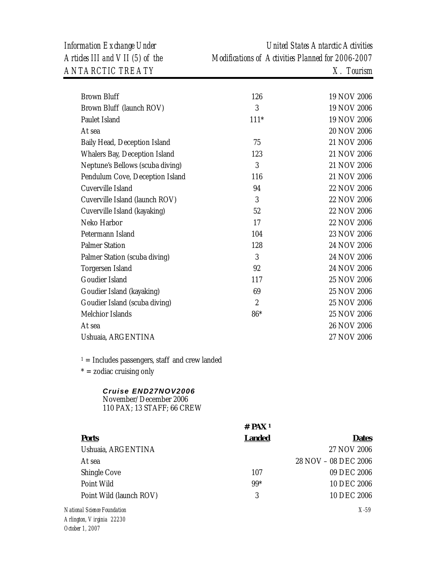*Information Exchange Under United States Antarctic Activities Articles III and VII (5) of the Modifications of Activities Planned for 2006-2007* 

| <b>Brown Bluff</b>                                                          | 126                  | 19 NOV 2006          |
|-----------------------------------------------------------------------------|----------------------|----------------------|
| Brown Bluff (launch ROV)                                                    | 3                    | 19 NOV 2006          |
| Paulet Island                                                               | $111*$               | 19 NOV 2006          |
| At sea                                                                      |                      | 20 NOV 2006          |
| Baily Head, Deception Island                                                | 75                   | 21 NOV 2006          |
| Whalers Bay, Deception Island                                               | 123                  | 21 NOV 2006          |
| Neptune's Bellows (scuba diving)                                            | 3                    | 21 NOV 2006          |
| Pendulum Cove, Deception Island                                             | 116                  | 21 NOV 2006          |
| Cuverville Island                                                           | 94                   | 22 NOV 2006          |
| Cuverville Island (launch ROV)                                              | 3                    | 22 NOV 2006          |
| Cuverville Island (kayaking)                                                | 52                   | 22 NOV 2006          |
| Neko Harbor                                                                 | 17                   | 22 NOV 2006          |
| Petermann Island                                                            | 104                  | 23 NOV 2006          |
| <b>Palmer Station</b>                                                       | 128                  | 24 NOV 2006          |
| Palmer Station (scuba diving)                                               | 3                    | 24 NOV 2006          |
| Torgersen Island                                                            | 92                   | 24 NOV 2006          |
| Goudier Island                                                              | 117                  | 25 NOV 2006          |
| Goudier Island (kayaking)                                                   | 69                   | 25 NOV 2006          |
| Goudier Island (scuba diving)                                               | $\boldsymbol{2}$     | 25 NOV 2006          |
| Melchior Islands                                                            | 86*                  | 25 NOV 2006          |
| At sea                                                                      |                      | 26 NOV 2006          |
| Ushuaia, ARGENTINA                                                          |                      | 27 NOV 2006          |
| $1 =$ Includes passengers, staff and crew landed                            |                      |                      |
| $* =$ zodiac cruising only                                                  |                      |                      |
| Cruise END27NOV2006<br>November/December 2006<br>110 PAX; 13 STAFF; 66 CREW |                      |                      |
|                                                                             | $#$ PAX <sup>1</sup> |                      |
| <b>Ports</b>                                                                | <b>Landed</b>        | <b>Dates</b>         |
| Ushuaia, ARGENTINA                                                          |                      | 27 NOV 2006          |
| At sea                                                                      |                      | 28 NOV - 08 DEC 2006 |
| Shingle Cove                                                                | 107                  | 09 DEC 2006          |
| Point Wild                                                                  | $99*$                | 10 DEC 2006          |
| Point Wild (launch ROV)                                                     | 3                    | 10 DEC 2006          |
| nal Science Foundation                                                      |                      | $X-59$               |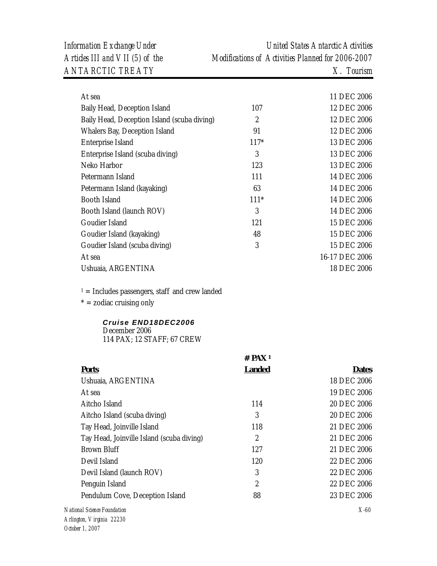| At sea                                      |                | 11 DEC 2006    |
|---------------------------------------------|----------------|----------------|
| Baily Head, Deception Island                | 107            | 12 DEC 2006    |
| Baily Head, Deception Island (scuba diving) | $\mathfrak{2}$ | 12 DEC 2006    |
| Whalers Bay, Deception Island               | 91             | 12 DEC 2006    |
| Enterprise Island                           | $117*$         | 13 DEC 2006    |
| Enterprise Island (scuba diving)            | 3              | 13 DEC 2006    |
| Neko Harbor                                 | 123            | 13 DEC 2006    |
| Petermann Island                            | 111            | 14 DEC 2006    |
| Petermann Island (kayaking)                 | 63             | 14 DEC 2006    |
| Booth Island                                | $111*$         | 14 DEC 2006    |
| Booth Island (launch ROV)                   | 3              | 14 DEC 2006    |
| Goudier Island                              | 121            | 15 DEC 2006    |
| Goudier Island (kayaking)                   | 48             | 15 DEC 2006    |
| Goudier Island (scuba diving)               | 3              | 15 DEC 2006    |
| At sea                                      |                | 16-17 DEC 2006 |
| Ushuaia, ARGENTINA                          |                | 18 DEC 2006    |
|                                             |                |                |

 $* =$  zodiac cruising only

### *Cruise END18DEC2006*  December 2006

114 PAX; 12 STAFF; 67 CREW

|                                           | $#$ PAX <sup>1</sup> |              |
|-------------------------------------------|----------------------|--------------|
| <b>Ports</b>                              | <b>Landed</b>        | <b>Dates</b> |
| Ushuaia, ARGENTINA                        |                      | 18 DEC 2006  |
| At sea                                    |                      | 19 DEC 2006  |
| Aitcho Island                             | 114                  | 20 DEC 2006  |
| Aitcho Island (scuba diving)              | 3                    | 20 DEC 2006  |
| Tay Head, Joinville Island                | 118                  | 21 DEC 2006  |
| Tay Head, Joinville Island (scuba diving) | 2                    | 21 DEC 2006  |
| Brown Bluff                               | 127                  | 21 DEC 2006  |
| Devil Island                              | 120                  | 22 DEC 2006  |
| Devil Island (launch ROV)                 | 3                    | 22 DEC 2006  |
| Penguin Island                            | $\overline{c}$       | 22 DEC 2006  |
| Pendulum Cove, Deception Island           | 88                   | 23 DEC 2006  |
| onal Science Foundation                   |                      | X-60         |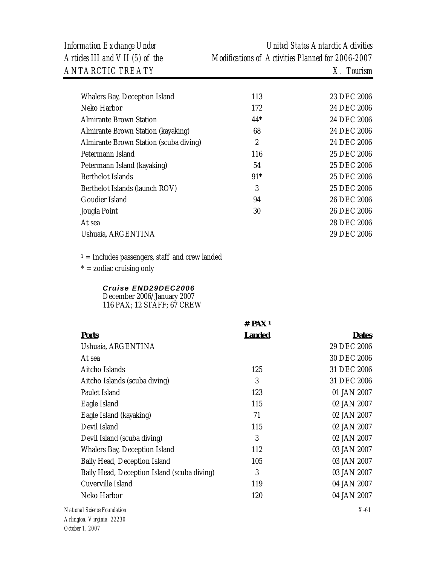| Information Exchange Under      | United States Antarctic Activities                |
|---------------------------------|---------------------------------------------------|
| Articles III and VII (5) of the | Modifications of Activities Planned for 2006-2007 |
| <i>ANTARCTIC TREATY</i>         | $X$ . Tourism                                     |

| Whalers Bay, Deception Island          | 113            | 23 DEC 2006 |
|----------------------------------------|----------------|-------------|
| Neko Harbor                            | 172            | 24 DEC 2006 |
| <b>Almirante Brown Station</b>         | $44*$          | 24 DEC 2006 |
| Almirante Brown Station (kayaking)     | 68             | 24 DEC 2006 |
| Almirante Brown Station (scuba diving) | $\mathfrak{2}$ | 24 DEC 2006 |
| Petermann Island                       | 116            | 25 DEC 2006 |
| Petermann Island (kayaking)            | 54             | 25 DEC 2006 |
| Berthelot Islands                      | $91*$          | 25 DEC 2006 |
| Berthelot Islands (launch ROV)         | 3              | 25 DEC 2006 |
| Goudier Island                         | 94             | 26 DEC 2006 |
| Jougla Point                           | 30             | 26 DEC 2006 |
| At sea                                 |                | 28 DEC 2006 |
| Ushuaia, ARGENTINA                     |                | 29 DEC 2006 |
|                                        |                |             |

 $\mathbf{1} =$  Includes passengers, staff and crew landed

 $* =$  zodiac cruising only

### *Cruise END29DEC2006*

December 2006/January 2007 116 PAX; 12 STAFF; 67 CREW

|                                             | $#$ PAX 1     |              |
|---------------------------------------------|---------------|--------------|
| <b>Ports</b>                                | <b>Landed</b> | <b>Dates</b> |
| Ushuaia, ARGENTINA                          |               | 29 DEC 2006  |
| At sea                                      |               | 30 DEC 2006  |
| Aitcho Islands                              | 125           | 31 DEC 2006  |
| Aitcho Islands (scuba diving)               | 3             | 31 DEC 2006  |
| Paulet Island                               | 123           | 01 JAN 2007  |
| Eagle Island                                | 115           | 02 JAN 2007  |
| Eagle Island (kayaking)                     | 71            | 02 JAN 2007  |
| Devil Island                                | 115           | 02 JAN 2007  |
| Devil Island (scuba diving)                 | 3             | 02 JAN 2007  |
| Whalers Bay, Deception Island               | 112           | 03 JAN 2007  |
| Baily Head, Deception Island                | 105           | 03 JAN 2007  |
| Baily Head, Deception Island (scuba diving) | 3             | 03 JAN 2007  |
| Cuverville Island                           | 119           | 04 JAN 2007  |
| Neko Harbor                                 | 120           | 04 JAN 2007  |
| onal Science Foundation                     |               | $X-61$       |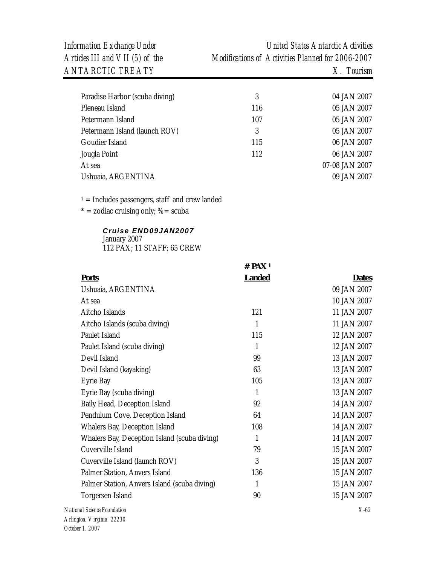| Paradise Harbor (scuba diving) | 3   | 04 JAN 2007    |
|--------------------------------|-----|----------------|
| Pleneau Island                 | 116 | 05 JAN 2007    |
| Petermann Island               | 107 | 05 JAN 2007    |
| Petermann Island (launch ROV)  | 3   | 05 JAN 2007    |
| Goudier Island                 | 115 | 06 JAN 2007    |
| Jougla Point                   | 112 | 06 JAN 2007    |
| At sea                         |     | 07-08 JAN 2007 |
| Ushuaia, ARGENTINA             |     | 09 JAN 2007    |
|                                |     |                |

 $1 =$  Includes passengers, staff and crew landed

 $* =$  zodiac cruising only; % = scuba

## *Cruise END09JAN2007*  January 2007

112 PAX; 11 STAFF; 65 CREW

|                                              | T I MA        |              |
|----------------------------------------------|---------------|--------------|
| <b>Ports</b>                                 | <b>Landed</b> | <b>Dates</b> |
| Ushuaia, ARGENTINA                           |               | 09 JAN 2007  |
| At sea                                       |               | 10 JAN 2007  |
| Aitcho Islands                               | 121           | 11 JAN 2007  |
| Aitcho Islands (scuba diving)                | 1             | 11 JAN 2007  |
| Paulet Island                                | 115           | 12 JAN 2007  |
| Paulet Island (scuba diving)                 | $\mathbf{1}$  | 12 JAN 2007  |
| Devil Island                                 | 99            | 13 JAN 2007  |
| Devil Island (kayaking)                      | 63            | 13 JAN 2007  |
| Eyrie Bay                                    | 105           | 13 JAN 2007  |
| Eyrie Bay (scuba diving)                     | 1             | 13 JAN 2007  |
| Baily Head, Deception Island                 | 92            | 14 JAN 2007  |
| Pendulum Cove, Deception Island              | 64            | 14 JAN 2007  |
| Whalers Bay, Deception Island                | 108           | 14 JAN 2007  |
| Whalers Bay, Deception Island (scuba diving) | 1             | 14 JAN 2007  |
| Cuverville Island                            | 79            | 15 JAN 2007  |
| Cuverville Island (launch ROV)               | 3             | 15 JAN 2007  |
| Palmer Station, Anvers Island                | 136           | 15 JAN 2007  |
| Palmer Station, Anvers Island (scuba diving) | 1             | 15 JAN 2007  |
| Torgersen Island                             | 90            | 15 JAN 2007  |
| onal Science Foundation                      |               | $X-62$       |

**# PAX 1**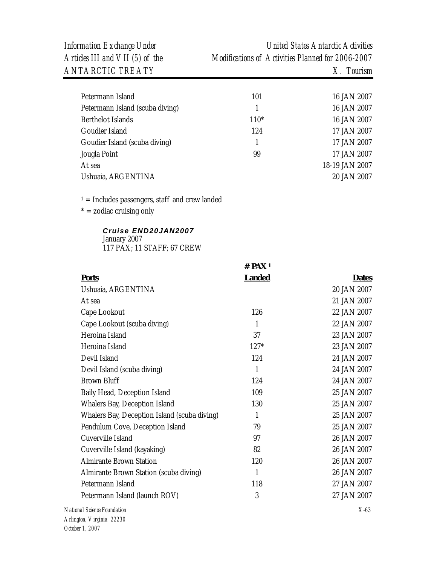*Information Exchange Under United States Antarctic Activities Articles III and VII (5) of the Modifications of Activities Planned for 2006-2007* 

| Petermann Island                | 101    | 16 JAN 2007    |
|---------------------------------|--------|----------------|
| Petermann Island (scuba diving) |        | 16 JAN 2007    |
| <b>Berthelot Islands</b>        | $110*$ | 16 JAN 2007    |
| Goudier Island                  | 124    | 17 JAN 2007    |
| Goudier Island (scuba diving)   |        | 17 JAN 2007    |
| Jougla Point                    | 99     | 17 JAN 2007    |
| At sea                          |        | 18-19 JAN 2007 |
| Ushuaia, ARGENTINA              |        | 20 JAN 2007    |
|                                 |        |                |

 $1 =$  Includes passengers, staff and crew landed

 $* =$  zodiac cruising only

### *Cruise END20JAN2007*  January 2007 117 PAX; 11 STAFF; 67 CREW

|                                              | $#$ PAX <sup>1</sup> |              |
|----------------------------------------------|----------------------|--------------|
| <b>Ports</b>                                 | <b>Landed</b>        | <b>Dates</b> |
| Ushuaia, ARGENTINA                           |                      | 20 JAN 2007  |
| At sea                                       |                      | 21 JAN 2007  |
| Cape Lookout                                 | 126                  | 22 JAN 2007  |
| Cape Lookout (scuba diving)                  | $\mathbf{1}$         | 22 JAN 2007  |
| Heroina Island                               | 37                   | 23 JAN 2007  |
| Heroina Island                               | $127*$               | 23 JAN 2007  |
| Devil Island                                 | 124                  | 24 JAN 2007  |
| Devil Island (scuba diving)                  | $\mathbf{1}$         | 24 JAN 2007  |
| <b>Brown Bluff</b>                           | 124                  | 24 JAN 2007  |
| Baily Head, Deception Island                 | 109                  | 25 JAN 2007  |
| Whalers Bay, Deception Island                | 130                  | 25 JAN 2007  |
| Whalers Bay, Deception Island (scuba diving) | $\mathbf{1}$         | 25 JAN 2007  |
| Pendulum Cove, Deception Island              | 79                   | 25 JAN 2007  |
| Cuverville Island                            | 97                   | 26 JAN 2007  |
| Cuverville Island (kayaking)                 | 82                   | 26 JAN 2007  |
| <b>Almirante Brown Station</b>               | 120                  | 26 JAN 2007  |
| Almirante Brown Station (scuba diving)       | $\mathbf{1}$         | 26 JAN 2007  |
| Petermann Island                             | 118                  | 27 JAN 2007  |
| Petermann Island (launch ROV)                | 3                    | 27 JAN 2007  |
| onal Science Foundation                      |                      | $X-63$       |
|                                              |                      |              |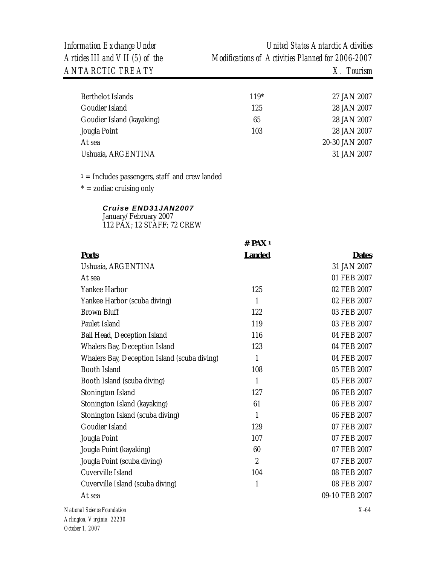| Berthelot Islands         | $119*$ | 27 JAN 2007    |
|---------------------------|--------|----------------|
| Goudier Island            | 125    | 28 JAN 2007    |
| Goudier Island (kayaking) | 65     | 28 JAN 2007    |
| Jougla Point              | 103    | 28 JAN 2007    |
| At sea                    |        | 20-30 JAN 2007 |
| Ushuaia, ARGENTINA        |        | 31 JAN 2007    |

 $* =$  zodiac cruising only

## *Cruise END31JAN2007*

January/February 2007 112 PAX; 12 STAFF; 72 CREW

|                                              | $#$ PAX <sup>1</sup> |                |
|----------------------------------------------|----------------------|----------------|
| <b>Ports</b>                                 | <b>Landed</b>        | <b>Dates</b>   |
| Ushuaia, ARGENTINA                           |                      | 31 JAN 2007    |
| At sea                                       |                      | 01 FEB 2007    |
| Yankee Harbor                                | 125                  | 02 FEB 2007    |
| Yankee Harbor (scuba diving)                 | $\mathbf{1}$         | 02 FEB 2007    |
| <b>Brown Bluff</b>                           | 122                  | 03 FEB 2007    |
| Paulet Island                                | 119                  | 03 FEB 2007    |
| Bail Head, Deception Island                  | 116                  | 04 FEB 2007    |
| Whalers Bay, Deception Island                | 123                  | 04 FEB 2007    |
| Whalers Bay, Deception Island (scuba diving) | $\mathbf{1}$         | 04 FEB 2007    |
| <b>Booth Island</b>                          | 108                  | 05 FEB 2007    |
| Booth Island (scuba diving)                  | 1                    | 05 FEB 2007    |
| Stonington Island                            | 127                  | 06 FEB 2007    |
| Stonington Island (kayaking)                 | 61                   | 06 FEB 2007    |
| Stonington Island (scuba diving)             | 1                    | 06 FEB 2007    |
| Goudier Island                               | 129                  | 07 FEB 2007    |
| Jougla Point                                 | 107                  | 07 FEB 2007    |
| Jougla Point (kayaking)                      | 60                   | 07 FEB 2007    |
| Jougla Point (scuba diving)                  | $\overline{2}$       | 07 FEB 2007    |
| Cuverville Island                            | 104                  | 08 FEB 2007    |
| Cuverville Island (scuba diving)             | $\mathbf{1}$         | 08 FEB 2007    |
| At sea                                       |                      | 09-10 FEB 2007 |
| National Science Foundation                  |                      | $X-64$         |
| Arlington, Virginia 22230                    |                      |                |
| October 1, 2007                              |                      |                |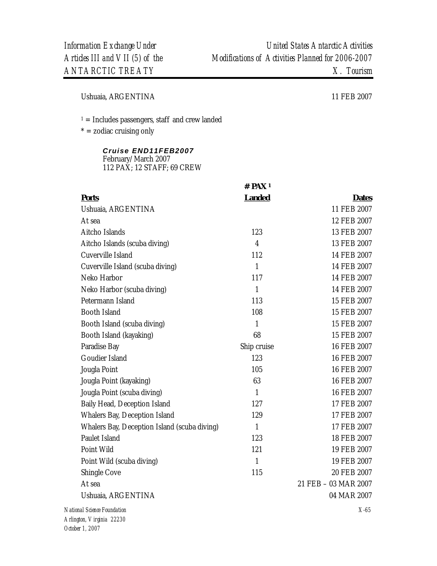Ushuaia, ARGENTINA 11 FEB 2007

 $1 =$  Includes passengers, staff and crew landed

 $* =$  zodiac cruising only

## *Cruise END11FEB2007*

February/March 2007 112 PAX; 12 STAFF; 69 CREW

|                                              | # $PAX1$       |                      |
|----------------------------------------------|----------------|----------------------|
| <b>Ports</b>                                 | <b>Landed</b>  | <b>Dates</b>         |
| Ushuaia, ARGENTINA                           |                | 11 FEB 2007          |
| At sea                                       |                | 12 FEB 2007          |
| Aitcho Islands                               | 123            | 13 FEB 2007          |
| Aitcho Islands (scuba diving)                | $\overline{4}$ | 13 FEB 2007          |
| Cuverville Island                            | 112            | 14 FEB 2007          |
| Cuverville Island (scuba diving)             | $\mathbf{1}$   | 14 FEB 2007          |
| Neko Harbor                                  | 117            | 14 FEB 2007          |
| Neko Harbor (scuba diving)                   | $\mathbf{1}$   | 14 FEB 2007          |
| Petermann Island                             | 113            | 15 FEB 2007          |
| <b>Booth Island</b>                          | 108            | 15 FEB 2007          |
| Booth Island (scuba diving)                  | $\mathbf{1}$   | 15 FEB 2007          |
| Booth Island (kayaking)                      | 68             | 15 FEB 2007          |
| Paradise Bay                                 | Ship cruise    | 16 FEB 2007          |
| Goudier Island                               | 123            | 16 FEB 2007          |
| Jougla Point                                 | 105            | 16 FEB 2007          |
| Jougla Point (kayaking)                      | 63             | 16 FEB 2007          |
| Jougla Point (scuba diving)                  | $\mathbf{1}$   | 16 FEB 2007          |
| Baily Head, Deception Island                 | 127            | 17 FEB 2007          |
| Whalers Bay, Deception Island                | 129            | 17 FEB 2007          |
| Whalers Bay, Deception Island (scuba diving) | $\mathbf{1}$   | 17 FEB 2007          |
| Paulet Island                                | 123            | 18 FEB 2007          |
| Point Wild                                   | 121            | 19 FEB 2007          |
| Point Wild (scuba diving)                    | $\mathbf{1}$   | 19 FEB 2007          |
| Shingle Cove                                 | 115            | 20 FEB 2007          |
| At sea                                       |                | 21 FEB - 03 MAR 2007 |
| Ushuaia, ARGENTINA                           |                | 04 MAR 2007          |
| National Science Foundation                  |                | $X-65$               |
|                                              |                |                      |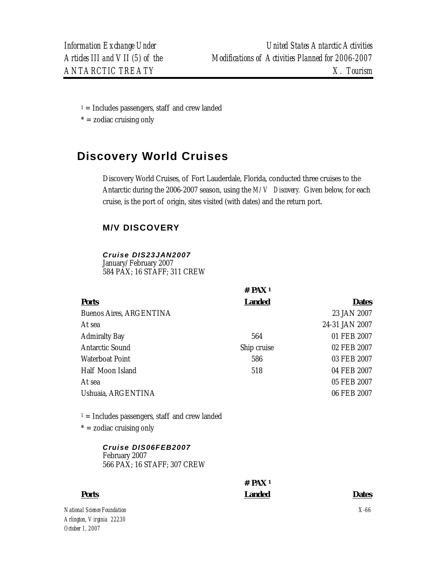$* =$  zodiac cruising only

# **Discovery World Cruises**

Discovery World Cruises, of Fort Lauderdale, Florida, conducted three cruises to the Antarctic during the 2006-2007 season, using the *M/V Discovery.* Given below, for each cruise, is the port of origin, sites visited (with dates) and the return port.

## **M/V DISCOVERY**

### *Cruise DIS23JAN2007*

January/February 2007 584 PAX; 16 STAFF; 311 CREW

|                                                                                | $#$ PAX <sup>1</sup> |                |
|--------------------------------------------------------------------------------|----------------------|----------------|
| <b>Ports</b>                                                                   | <b>Landed</b>        | <b>Dates</b>   |
| <b>Buenos Aires, ARGENTINA</b>                                                 |                      | 23 JAN 2007    |
| At sea                                                                         |                      | 24-31 JAN 2007 |
| <b>Admiralty Bay</b>                                                           | 564                  | 01 FEB 2007    |
| <b>Antarctic Sound</b>                                                         | Ship cruise          | 02 FEB 2007    |
| Waterboat Point                                                                | 586                  | 03 FEB 2007    |
| Half Moon Island                                                               | 518                  | 04 FEB 2007    |
| At sea                                                                         |                      | 05 FEB 2007    |
| Ushuaia, ARGENTINA                                                             |                      | 06 FEB 2007    |
| $1 =$ Includes passengers, staff and crew landed<br>$* =$ zodiac cruising only |                      |                |
| Cruise DIS06FEB2007<br>February 2007<br>566 PAX; 16 STAFF; 307 CREW            |                      |                |
|                                                                                | $#$ PAX <sup>1</sup> |                |
| <b>Ports</b>                                                                   | <b>Landed</b>        | <b>Dates</b>   |
| nal Science Foundation                                                         |                      | $X$ -66        |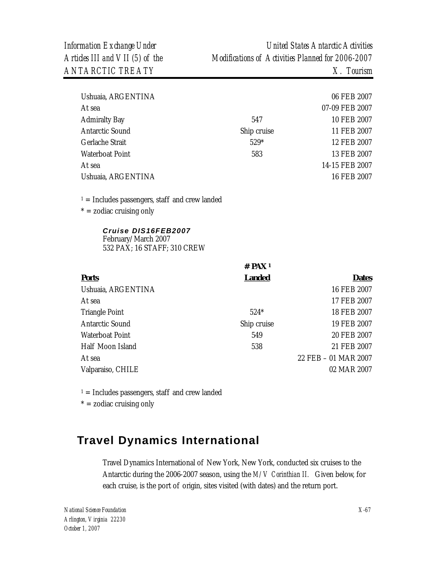| Ushuaia, ARGENTINA     |             | 06 FEB 2007    |
|------------------------|-------------|----------------|
| At sea                 |             | 07-09 FEB 2007 |
| <b>Admiralty Bay</b>   | 547         | 10 FEB 2007    |
| <b>Antarctic Sound</b> | Ship cruise | 11 FEB 2007    |
| Gerlache Strait        | $529*$      | 12 FEB 2007    |
| Waterboat Point        | 583         | 13 FEB 2007    |
| At sea                 |             | 14-15 FEB 2007 |
| Ushuaia, ARGENTINA     |             | 16 FEB 2007    |
|                        |             |                |

 $1 =$  Includes passengers, staff and crew landed

 $* =$  zodiac cruising only

#### *Cruise DIS16FEB2007*  February/March 2007

532 PAX; 16 STAFF; 310 CREW

|                        | # $PAX1$      |                      |
|------------------------|---------------|----------------------|
| <b>Ports</b>           | <b>Landed</b> | <b>Dates</b>         |
| Ushuaia, ARGENTINA     |               | 16 FEB 2007          |
| At sea                 |               | 17 FEB 2007          |
| <b>Triangle Point</b>  | $524*$        | 18 FEB 2007          |
| <b>Antarctic Sound</b> | Ship cruise   | 19 FEB 2007          |
| Waterboat Point        | 549           | 20 FEB 2007          |
| Half Moon Island       | 538           | 21 FEB 2007          |
| At sea                 |               | 22 FEB - 01 MAR 2007 |
| Valparaiso, CHILE      |               | 02 MAR 2007          |
|                        |               |                      |

 $1 =$  Includes passengers, staff and crew landed

 $* =$  zodiac cruising only

# **Travel Dynamics International**

Travel Dynamics International of New York, New York, conducted six cruises to the Antarctic during the 2006-2007 season, using the *M/V Corinthian II.* Given below, for each cruise, is the port of origin, sites visited (with dates) and the return port.

*National Science Foundation Arlington, Virginia 22230 October 1, 2007*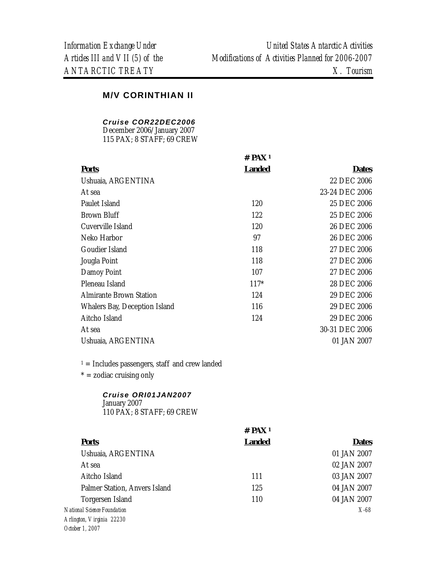## **M/V CORINTHIAN II**

### *Cruise COR22DEC2006*

December 2006/January 2007 115 PAX; 8 STAFF; 69 CREW

|                               | $#$ PAX <sup>1</sup> |                |
|-------------------------------|----------------------|----------------|
| <b>Ports</b>                  | <b>Landed</b>        | <b>Dates</b>   |
| Ushuaia, ARGENTINA            |                      | 22 DEC 2006    |
| At sea                        |                      | 23-24 DEC 2006 |
| Paulet Island                 | 120                  | 25 DEC 2006    |
| <b>Brown Bluff</b>            | 122                  | 25 DEC 2006    |
| Cuverville Island             | 120                  | 26 DEC 2006    |
| Neko Harbor                   | 97                   | 26 DEC 2006    |
| Goudier Island                | 118                  | 27 DEC 2006    |
| Jougla Point                  | 118                  | 27 DEC 2006    |
| Damoy Point                   | 107                  | 27 DEC 2006    |
| Pleneau Island                | $117*$               | 28 DEC 2006    |
| Almirante Brown Station       | 124                  | 29 DEC 2006    |
| Whalers Bay, Deception Island | 116                  | 29 DEC 2006    |
| Aitcho Island                 | 124                  | 29 DEC 2006    |
| At sea                        |                      | 30-31 DEC 2006 |
| Ushuaia, ARGENTINA            |                      | 01 JAN 2007    |
|                               |                      |                |

 $1 =$  Includes passengers, staff and crew landed

 $* =$  zodiac cruising only

### *Cruise ORI01JAN2007*  January 2007 110 PAX; 8 STAFF; 69 CREW

|                               | $#$ PAX <sup>1</sup> |              |
|-------------------------------|----------------------|--------------|
| <b>Ports</b>                  | <b>Landed</b>        | <b>Dates</b> |
| Ushuaia, ARGENTINA            |                      | 01 JAN 2007  |
| At sea                        |                      | 02 JAN 2007  |
| Aitcho Island                 | 111                  | 03 JAN 2007  |
| Palmer Station, Anvers Island | 125                  | 04 JAN 2007  |
| Torgersen Island              | 110                  | 04 JAN 2007  |
| National Science Foundation   |                      | $X-68$       |
| Arlington, Virginia 22230     |                      |              |
| October 1, 2007               |                      |              |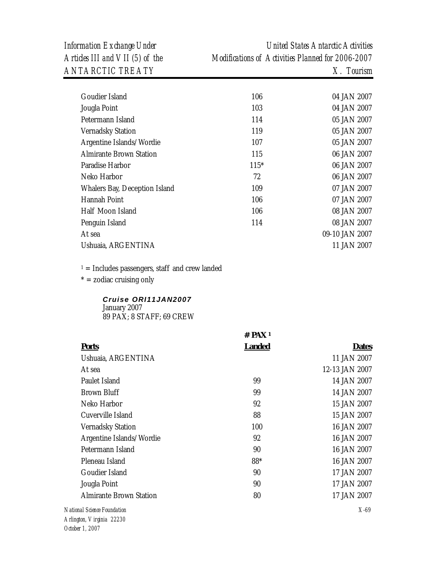| Goudier Island                 | 106    | 04 JAN 2007    |
|--------------------------------|--------|----------------|
| Jougla Point                   | 103    | 04 JAN 2007    |
| Petermann Island               | 114    | 05 JAN 2007    |
| <b>Vernadsky Station</b>       | 119    | 05 JAN 2007    |
| Argentine Islands/Wordie       | 107    | 05 JAN 2007    |
| <b>Almirante Brown Station</b> | 115    | 06 JAN 2007    |
| Paradise Harbor                | $115*$ | 06 JAN 2007    |
| Neko Harbor                    | 72     | 06 JAN 2007    |
| Whalers Bay, Deception Island  | 109    | 07 JAN 2007    |
| Hannah Point                   | 106    | 07 JAN 2007    |
| Half Moon Island               | 106    | 08 JAN 2007    |
| Penguin Island                 | 114    | 08 JAN 2007    |
| At sea                         |        | 09-10 JAN 2007 |
| Ushuaia, ARGENTINA             |        | 11 JAN 2007    |
|                                |        |                |

 $1 =$  Includes passengers, staff and crew landed

 $* =$  zodiac cruising only

## *Cruise ORI11JAN2007*

January 2007 89 PAX; 8 STAFF; 69 CREW

|                                | $#$ PAX <sup>1</sup> |                |
|--------------------------------|----------------------|----------------|
| <b>Ports</b>                   | <b>Landed</b>        | <b>Dates</b>   |
| Ushuaia, ARGENTINA             |                      | 11 JAN 2007    |
| At sea                         |                      | 12-13 JAN 2007 |
| Paulet Island                  | 99                   | 14 JAN 2007    |
| <b>Brown Bluff</b>             | 99                   | 14 JAN 2007    |
| Neko Harbor                    | 92                   | 15 JAN 2007    |
| Cuverville Island              | 88                   | 15 JAN 2007    |
| <b>Vernadsky Station</b>       | 100                  | 16 JAN 2007    |
| Argentine Islands/Wordie       | 92                   | 16 JAN 2007    |
| Petermann Island               | 90                   | 16 JAN 2007    |
| Pleneau Island                 | 88*                  | 16 JAN 2007    |
| Goudier Island                 | 90                   | 17 JAN 2007    |
| Jougla Point                   | 90                   | 17 JAN 2007    |
| <b>Almirante Brown Station</b> | 80                   | 17 JAN 2007    |
| onal Science Foundation        |                      | $X-69$         |
|                                |                      |                |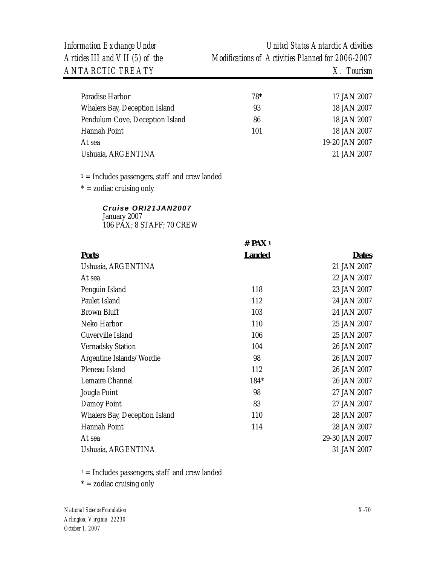| Paradise Harbor                 | $78*$ | 17 JAN 2007    |
|---------------------------------|-------|----------------|
| Whalers Bay, Deception Island   | 93    | 18 JAN 2007    |
| Pendulum Cove, Deception Island | 86    | 18 JAN 2007    |
| Hannah Point                    | 101   | 18 JAN 2007    |
| At sea                          |       | 19-20 JAN 2007 |
| Ushuaia, ARGENTINA              |       | 21 JAN 2007    |

 $1 =$  Includes passengers, staff and crew landed

 $* =$  zodiac cruising only

#### *Cruise ORI21JAN2007*  January 2007

106 PAX; 8 STAFF; 70 CREW

|                               | $#$ PAX <sup>1</sup> |                |
|-------------------------------|----------------------|----------------|
| <b>Ports</b>                  | <b>Landed</b>        | <b>Dates</b>   |
| Ushuaia, ARGENTINA            |                      | 21 JAN 2007    |
| At sea                        |                      | 22 JAN 2007    |
| Penguin Island                | 118                  | 23 JAN 2007    |
| Paulet Island                 | 112                  | 24 JAN 2007    |
| <b>Brown Bluff</b>            | 103                  | 24 JAN 2007    |
| Neko Harbor                   | 110                  | 25 JAN 2007    |
| Cuverville Island             | 106                  | 25 JAN 2007    |
| <b>Vernadsky Station</b>      | 104                  | 26 JAN 2007    |
| Argentine Islands/Wordie      | 98                   | 26 JAN 2007    |
| Pleneau Island                | 112                  | 26 JAN 2007    |
| Lemaire Channel               | 184*                 | 26 JAN 2007    |
| Jougla Point                  | 98                   | 27 JAN 2007    |
| Damoy Point                   | 83                   | 27 JAN 2007    |
| Whalers Bay, Deception Island | 110                  | 28 JAN 2007    |
| Hannah Point                  | 114                  | 28 JAN 2007    |
| At sea                        |                      | 29-30 JAN 2007 |
| Ushuaia, ARGENTINA            |                      | 31 JAN 2007    |

 $1 =$  Includes passengers, staff and crew landed

 $* =$  zodiac cruising only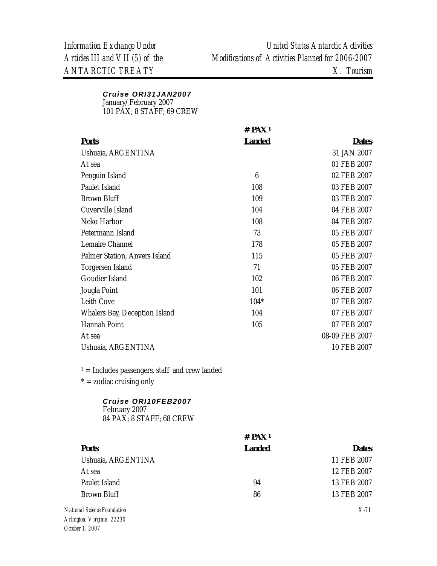### *Cruise ORI31JAN2007*  January/February 2007 101 PAX; 8 STAFF; 69 CREW

|                                                                  | $#$ PAX <sup>1</sup> |                |
|------------------------------------------------------------------|----------------------|----------------|
| <b>Ports</b>                                                     | <b>Landed</b>        | <b>Dates</b>   |
| Ushuaia, ARGENTINA                                               |                      | 31 JAN 2007    |
| At sea                                                           |                      | 01 FEB 2007    |
| Penguin Island                                                   | $6\phantom{.}6$      | 02 FEB 2007    |
| Paulet Island                                                    | 108                  | 03 FEB 2007    |
| <b>Brown Bluff</b>                                               | 109                  | 03 FEB 2007    |
| Cuverville Island                                                | 104                  | 04 FEB 2007    |
| Neko Harbor                                                      | 108                  | 04 FEB 2007    |
| Petermann Island                                                 | 73                   | 05 FEB 2007    |
| Lemaire Channel                                                  | 178                  | 05 FEB 2007    |
| Palmer Station, Anvers Island                                    | 115                  | 05 FEB 2007    |
| Torgersen Island                                                 | 71                   | 05 FEB 2007    |
| Goudier Island                                                   | 102                  | 06 FEB 2007    |
| Jougla Point                                                     | 101                  | 06 FEB 2007    |
| Leith Cove                                                       | $104*$               | 07 FEB 2007    |
| Whalers Bay, Deception Island                                    | 104                  | 07 FEB 2007    |
| Hannah Point                                                     | 105                  | 07 FEB 2007    |
| At sea                                                           |                      | 08-09 FEB 2007 |
| Ushuaia, ARGENTINA                                               |                      | 10 FEB 2007    |
| $1 =$ Includes passengers, staff and crew landed                 |                      |                |
| $* =$ zodiac cruising only                                       |                      |                |
| Cruise ORI10FEB2007<br>February 2007<br>84 PAX; 8 STAFF; 68 CREW |                      |                |
|                                                                  | $#$ PAX <sup>1</sup> |                |
| <b>Ports</b>                                                     | <b>Landed</b>        | <b>Dates</b>   |
| Ushuaia, ARGENTINA                                               |                      | 11 FEB 2007    |
| At sea                                                           |                      | 12 FEB 2007    |
| Paulet Island                                                    | 94                   | 13 FEB 2007    |

Brown Bluff 86 13 FEB 2007

*National Science Foundation Arlington, Virginia 22230 October 1, 2007* 

*X-71*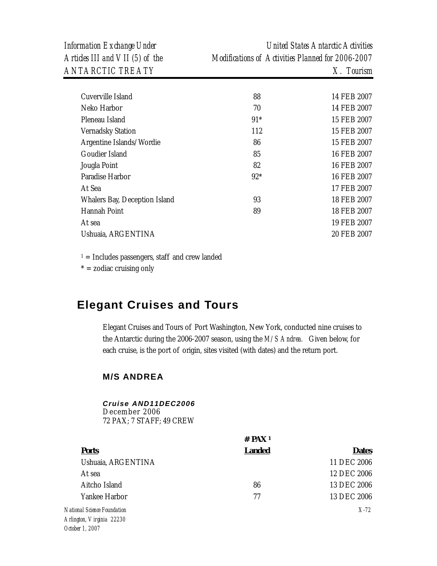| Articles III and VII (5) of the | Information Exchange Under | United States Antarctic Activities                |
|---------------------------------|----------------------------|---------------------------------------------------|
|                                 |                            | Modifications of Activities Planned for 2006-2007 |
|                                 | <i>ANTARCTIC TREATY</i>    | $X$ . Tourism                                     |

| Cuverville Island             | 88    | 14 FEB 2007 |
|-------------------------------|-------|-------------|
| Neko Harbor                   | 70    | 14 FEB 2007 |
| Pleneau Island                | $91*$ | 15 FEB 2007 |
| <b>Vernadsky Station</b>      | 112   | 15 FEB 2007 |
| Argentine Islands/Wordie      | 86    | 15 FEB 2007 |
| Goudier Island                | 85    | 16 FEB 2007 |
| Jougla Point                  | 82    | 16 FEB 2007 |
| Paradise Harbor               | $92*$ | 16 FEB 2007 |
| At Sea                        |       | 17 FEB 2007 |
| Whalers Bay, Deception Island | 93    | 18 FEB 2007 |
| Hannah Point                  | 89    | 18 FEB 2007 |
| At sea                        |       | 19 FEB 2007 |
| Ushuaia, ARGENTINA            |       | 20 FEB 2007 |
|                               |       |             |

 $* =$  zodiac cruising only

# **Elegant Cruises and Tours**

Elegant Cruises and Tours of Port Washington, New York, conducted nine cruises to the Antarctic during the 2006-2007 season, using the *M/S Andrea.* Given below, for each cruise, is the port of origin, sites visited (with dates) and the return port.

### **M/S ANDREA**

### *Cruise AND11DEC2006*

December 2006 72 PAX; 7 STAFF; 49 CREW

|                             | $#$ PAX <sup>1</sup> |              |
|-----------------------------|----------------------|--------------|
| <b>Ports</b>                | <b>Landed</b>        | <b>Dates</b> |
| Ushuaia, ARGENTINA          |                      | 11 DEC 2006  |
| At sea                      |                      | 12 DEC 2006  |
| Aitcho Island               | 86                   | 13 DEC 2006  |
| Yankee Harbor               | 77                   | 13 DEC 2006  |
| National Science Foundation |                      | $X-72$       |
| Arlington, Virginia 22230   |                      |              |
| October 1 2007              |                      |              |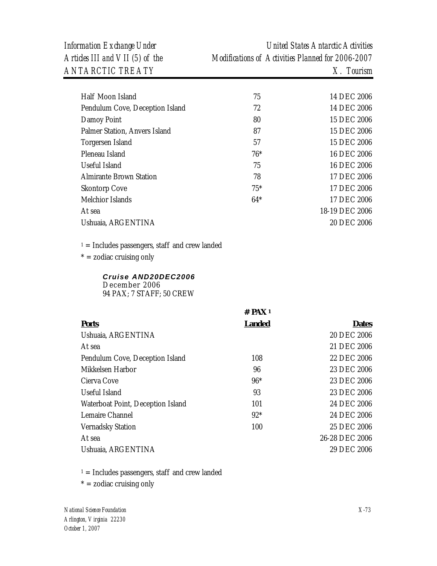*ANTARCTIC TREATY X. Tourism* 

*Information Exchange Under United States Antarctic Activities Articles III and VII (5) of the Modifications of Activities Planned for 2006-2007* 

| Half Moon Island                | 75    | 14 DEC 2006    |
|---------------------------------|-------|----------------|
| Pendulum Cove, Deception Island | 72    | 14 DEC 2006    |
| Damoy Point                     | 80    | 15 DEC 2006    |
| Palmer Station, Anvers Island   | 87    | 15 DEC 2006    |
| Torgersen Island                | 57    | 15 DEC 2006    |
| Pleneau Island                  | $76*$ | 16 DEC 2006    |
| Useful Island                   | 75    | 16 DEC 2006    |
| Almirante Brown Station         | 78    | 17 DEC 2006    |
| <b>Skontorp Cove</b>            | $75*$ | 17 DEC 2006    |
| Melchior Islands                | $64*$ | 17 DEC 2006    |
| At sea                          |       | 18-19 DEC 2006 |
| Ushuaia, ARGENTINA              |       | 20 DEC 2006    |
|                                 |       |                |

 $1 =$  Includes passengers, staff and crew landed

 $* =$  zodiac cruising only

### *Cruise AND20DEC2006*  December 2006 94 PAX; 7 STAFF; 50 CREW

|                                   | $#$ PAX <sup>1</sup> |                |
|-----------------------------------|----------------------|----------------|
| <b>Ports</b>                      | <b>Landed</b>        | <b>Dates</b>   |
| Ushuaia, ARGENTINA                |                      | 20 DEC 2006    |
| At sea                            |                      | 21 DEC 2006    |
| Pendulum Cove, Deception Island   | 108                  | 22 DEC 2006    |
| Mikkelsen Harbor                  | 96                   | 23 DEC 2006    |
| Cierva Cove                       | $96*$                | 23 DEC 2006    |
| Useful Island                     | 93                   | 23 DEC 2006    |
| Waterboat Point, Deception Island | 101                  | 24 DEC 2006    |
| Lemaire Channel                   | $92*$                | 24 DEC 2006    |
| <b>Vernadsky Station</b>          | 100                  | 25 DEC 2006    |
| At sea                            |                      | 26-28 DEC 2006 |
| Ushuaia, ARGENTINA                |                      | 29 DEC 2006    |

 $1 =$  Includes passengers, staff and crew landed

 $* =$  zodiac cruising only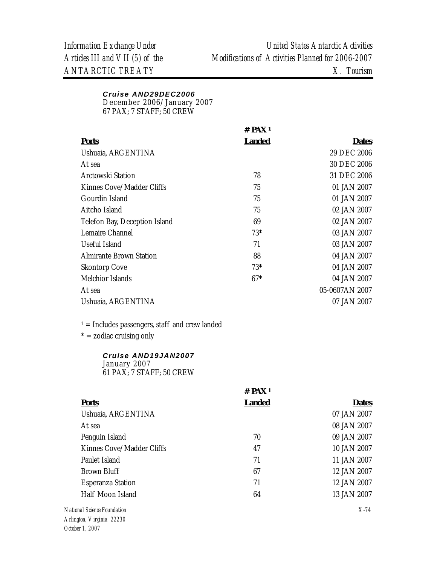## *Cruise AND29DEC2006*

December 2006/January 2007

67 PAX; 7 STAFF; 50 CREW

|                                | $#$ PAX <sup>1</sup> |                |
|--------------------------------|----------------------|----------------|
| <b>Ports</b>                   | Landed               | <b>Dates</b>   |
| Ushuaia, ARGENTINA             |                      | 29 DEC 2006    |
| At sea                         |                      | 30 DEC 2006    |
| Arctowski Station              | 78                   | 31 DEC 2006    |
| Kinnes Cove/Madder Cliffs      | 75                   | 01 JAN 2007    |
| Gourdin Island                 | 75                   | 01 JAN 2007    |
| Aitcho Island                  | 75                   | 02 JAN 2007    |
| Telefon Bay, Deception Island  | 69                   | 02 JAN 2007    |
| Lemaire Channel                | $73*$                | 03 JAN 2007    |
| Useful Island                  | 71                   | 03 JAN 2007    |
| <b>Almirante Brown Station</b> | 88                   | 04 JAN 2007    |
| <b>Skontorp Cove</b>           | $73*$                | 04 JAN 2007    |
| Melchior Islands               | $67*$                | 04 JAN 2007    |
| At sea                         |                      | 05-0607AN 2007 |
| Ushuaia, ARGENTINA             |                      | 07 JAN 2007    |
|                                |                      |                |

 $1 =$  Includes passengers, staff and crew landed

 $* =$  zodiac cruising only

### *Cruise AND19JAN2007*  January 2007

61 PAX; 7 STAFF; 50 CREW

|                           | $#$ PAX <sup>1</sup> |              |  |
|---------------------------|----------------------|--------------|--|
| <b>Ports</b>              | <b>Landed</b>        | <b>Dates</b> |  |
| Ushuaia, ARGENTINA        |                      | 07 JAN 2007  |  |
| At sea                    |                      | 08 JAN 2007  |  |
| Penguin Island            | 70                   | 09 JAN 2007  |  |
| Kinnes Cove/Madder Cliffs | 47                   | 10 JAN 2007  |  |
| Paulet Island             | 71                   | 11 JAN 2007  |  |
| Brown Bluff               | 67                   | 12 JAN 2007  |  |
| <b>Esperanza Station</b>  | 71                   | 12 JAN 2007  |  |
| Half Moon Island          | 64                   | 13 JAN 2007  |  |
|                           |                      |              |  |

*National Science Foundation Arlington, Virginia 22230 October 1, 2007*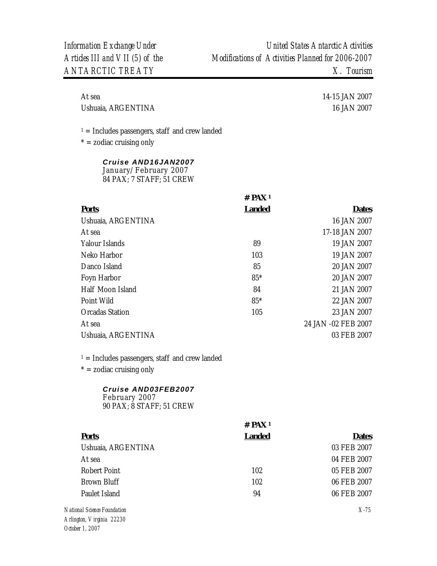Ushuaia, ARGENTINA 16 JAN 2007

At sea 14-15 JAN 2007

 $1 =$  Includes passengers, staff and crew landed

 $* =$  zodiac cruising only

### *Cruise AND16JAN2007*  January/February 2007 84 PAX; 7 STAFF; 51 CREW

|                        | # $PAX_1$     |                     |  |
|------------------------|---------------|---------------------|--|
| <b>Ports</b>           | <b>Landed</b> | <b>Dates</b>        |  |
| Ushuaia, ARGENTINA     |               | 16 JAN 2007         |  |
| At sea                 |               | 17-18 JAN 2007      |  |
| Yalour Islands         | 89            | 19 JAN 2007         |  |
| Neko Harbor            | 103           | 19 JAN 2007         |  |
| Danco Island           | 85            | 20 JAN 2007         |  |
| Foyn Harbor            | $85*$         | 20 JAN 2007         |  |
| Half Moon Island       | 84            | 21 JAN 2007         |  |
| Point Wild             | $85*$         | 22 JAN 2007         |  |
| <b>Orcadas Station</b> | 105           | 23 JAN 2007         |  |
| At sea                 |               | 24 JAN -02 FEB 2007 |  |
| Ushuaia, ARGENTINA     |               | 03 FEB 2007         |  |

 $1 =$  Includes passengers, staff and crew landed

 $* =$  zodiac cruising only

## *Cruise AND03FEB2007*

February 2007 90 PAX; 8 STAFF; 51 CREW

|                                                                                      | # $PAX_1$     |              |
|--------------------------------------------------------------------------------------|---------------|--------------|
| <b>Ports</b>                                                                         | <b>Landed</b> | <b>Dates</b> |
| Ushuaia, ARGENTINA                                                                   |               | 03 FEB 2007  |
| At sea                                                                               |               | 04 FEB 2007  |
| Robert Point                                                                         | 102           | 05 FEB 2007  |
| Brown Bluff                                                                          | 102           | 06 FEB 2007  |
| Paulet Island                                                                        | 94            | 06 FEB 2007  |
| National Science Foundation<br>$\Lambda$ ulington $\overline{\Lambda}$ inginia 00000 |               | $X-75$       |

*Arlington, Virginia 22230 October 1, 2007*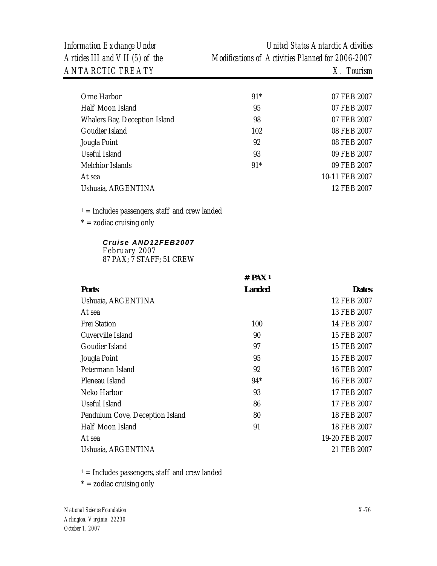*Information Exchange Under United States Antarctic Activities Articles III and VII (5) of the Modifications of Activities Planned for 2006-2007* 

| Orne Harbor                   | $91*$ | 07 FEB 2007    |
|-------------------------------|-------|----------------|
| Half Moon Island              | 95    | 07 FEB 2007    |
| Whalers Bay, Deception Island | 98    | 07 FEB 2007    |
| Goudier Island                | 102   | 08 FEB 2007    |
| Jougla Point                  | 92    | 08 FEB 2007    |
| Useful Island                 | 93    | 09 FEB 2007    |
| Melchior Islands              | $91*$ | 09 FEB 2007    |
| At sea                        |       | 10-11 FEB 2007 |
| Ushuaia, ARGENTINA            |       | 12 FEB 2007    |
|                               |       |                |

 $1 =$  Includes passengers, staff and crew landed

 $* =$  zodiac cruising only

## *Cruise AND12FEB2007*

February 2007 87 PAX; 7 STAFF; 51 CREW

|                                 | $#$ PAX <sup>1</sup> |                |
|---------------------------------|----------------------|----------------|
| <b>Ports</b>                    | <u>Landed</u>        | <b>Dates</b>   |
| Ushuaia, ARGENTINA              |                      | 12 FEB 2007    |
| At sea                          |                      | 13 FEB 2007    |
| <b>Frei Station</b>             | 100                  | 14 FEB 2007    |
| Cuverville Island               | 90                   | 15 FEB 2007    |
| Goudier Island                  | 97                   | 15 FEB 2007    |
| Jougla Point                    | 95                   | 15 FEB 2007    |
| Petermann Island                | 92                   | 16 FEB 2007    |
| Pleneau Island                  | $94*$                | 16 FEB 2007    |
| Neko Harbor                     | 93                   | 17 FEB 2007    |
| Useful Island                   | 86                   | 17 FEB 2007    |
| Pendulum Cove, Deception Island | 80                   | 18 FEB 2007    |
| Half Moon Island                | 91                   | 18 FEB 2007    |
| At sea                          |                      | 19-20 FEB 2007 |
| Ushuaia, ARGENTINA              |                      | 21 FEB 2007    |

 $1 =$  Includes passengers, staff and crew landed

 $* =$  zodiac cruising only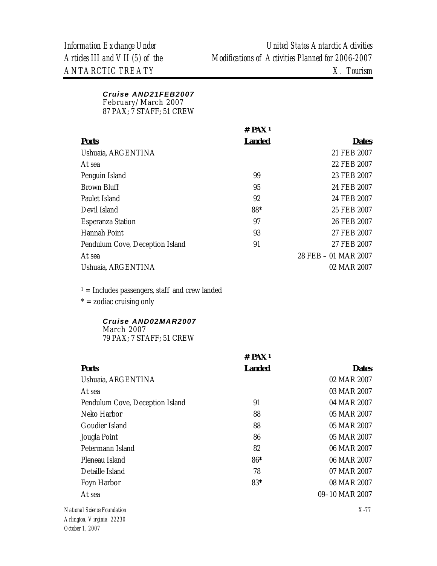#### *Cruise AND21FEB2007*  February/March 2007

87 PAX; 7 STAFF; 51 CREW

|                                 | # $PAX1$      |                      |
|---------------------------------|---------------|----------------------|
| <b>Ports</b>                    | <b>Landed</b> | <b>Dates</b>         |
| Ushuaia, ARGENTINA              |               | 21 FEB 2007          |
| At sea                          |               | 22 FEB 2007          |
| Penguin Island                  | 99            | 23 FEB 2007          |
| Brown Bluff                     | 95            | 24 FEB 2007          |
| Paulet Island                   | 92            | 24 FEB 2007          |
| Devil Island                    | 88*           | 25 FEB 2007          |
| <b>Esperanza Station</b>        | 97            | 26 FEB 2007          |
| Hannah Point                    | 93            | 27 FEB 2007          |
| Pendulum Cove, Deception Island | 91            | 27 FEB 2007          |
| At sea                          |               | 28 FEB - 01 MAR 2007 |
| Ushuaia, ARGENTINA              |               | 02 MAR 2007          |

 $1 =$  Includes passengers, staff and crew landed

 $* =$  zodiac cruising only

### *Cruise AND02MAR2007*  March 2007 79 PAX; 7 STAFF; 51 CREW

|                                 | $#$ PAX <sup>1</sup> |                |
|---------------------------------|----------------------|----------------|
| <b>Ports</b>                    | <b>Landed</b>        | <b>Dates</b>   |
| Ushuaia, ARGENTINA              |                      | 02 MAR 2007    |
| At sea                          |                      | 03 MAR 2007    |
| Pendulum Cove, Deception Island | 91                   | 04 MAR 2007    |
| Neko Harbor                     | 88                   | 05 MAR 2007    |
| Goudier Island                  | 88                   | 05 MAR 2007    |
| Jougla Point                    | 86                   | 05 MAR 2007    |
| Petermann Island                | 82                   | 06 MAR 2007    |
| Pleneau Island                  | $86*$                | 06 MAR 2007    |
| Detaille Island                 | 78                   | 07 MAR 2007    |
| Foyn Harbor                     | $83*$                | 08 MAR 2007    |
| At sea                          |                      | 09-10 MAR 2007 |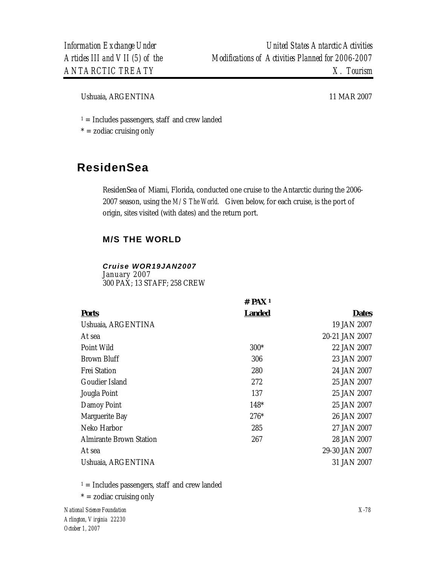Ushuaia, ARGENTINA 11 MAR 2007

 $1 =$  Includes passengers, staff and crew landed

 $* =$  zodiac cruising only

# **ResidenSea**

ResidenSea of Miami, Florida, conducted one cruise to the Antarctic during the 2006- 2007 season, using the *M/S The World.* Given below, for each cruise, is the port of origin, sites visited (with dates) and the return port.

*<b>W* **W** 

## **M/S THE WORLD**

## *Cruise WOR19JAN2007*

January 2007 300 PAX; 13 STAFF; 258 CREW

|                                | # PAX '       |                |
|--------------------------------|---------------|----------------|
| <b>Ports</b>                   | <b>Landed</b> | <b>Dates</b>   |
| Ushuaia, ARGENTINA             |               | 19 JAN 2007    |
| At sea                         |               | 20-21 JAN 2007 |
| Point Wild                     | $300*$        | 22 JAN 2007    |
| Brown Bluff                    | 306           | 23 JAN 2007    |
| <b>Frei Station</b>            | 280           | 24 JAN 2007    |
| Goudier Island                 | 272           | 25 JAN 2007    |
| Jougla Point                   | 137           | 25 JAN 2007    |
| Damoy Point                    | 148*          | 25 JAN 2007    |
| Marguerite Bay                 | $276*$        | 26 JAN 2007    |
| Neko Harbor                    | 285           | 27 JAN 2007    |
| <b>Almirante Brown Station</b> | 267           | 28 JAN 2007    |
| At sea                         |               | 29-30 JAN 2007 |
| Ushuaia, ARGENTINA             |               | 31 JAN 2007    |
|                                |               |                |

 $1 =$  Includes passengers, staff and crew landed

 $* =$  zodiac cruising only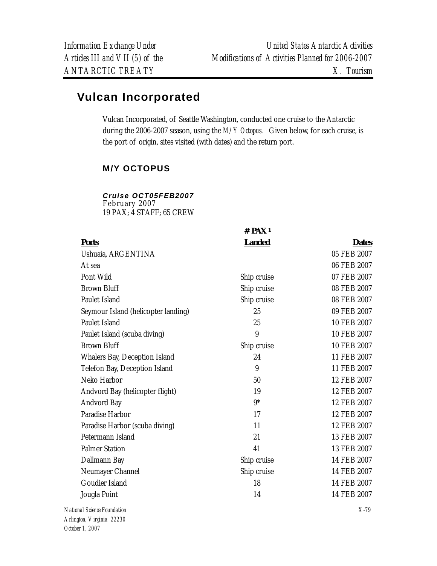# **Vulcan Incorporated**

Vulcan Incorporated, of Seattle Washington, conducted one cruise to the Antarctic during the 2006-2007 season, using the *M/Y Octopus.* Given below, for each cruise, is the port of origin, sites visited (with dates) and the return port.

## **M/Y OCTOPUS**

## *Cruise OCT05FEB2007*

February 2007 19 PAX; 4 STAFF; 65 CREW

|                                     | $#$ PAX <sup>1</sup> |              |
|-------------------------------------|----------------------|--------------|
| <b>Ports</b>                        | <b>Landed</b>        | <b>Dates</b> |
| Ushuaia, ARGENTINA                  |                      | 05 FEB 2007  |
| At sea                              |                      | 06 FEB 2007  |
| Pont Wild                           | Ship cruise          | 07 FEB 2007  |
| <b>Brown Bluff</b>                  | Ship cruise          | 08 FEB 2007  |
| Paulet Island                       | Ship cruise          | 08 FEB 2007  |
| Seymour Island (helicopter landing) | 25                   | 09 FEB 2007  |
| Paulet Island                       | 25                   | 10 FEB 2007  |
| Paulet Island (scuba diving)        | 9                    | 10 FEB 2007  |
| <b>Brown Bluff</b>                  | Ship cruise          | 10 FEB 2007  |
| Whalers Bay, Deception Island       | 24                   | 11 FEB 2007  |
| Telefon Bay, Deception Island       | 9                    | 11 FEB 2007  |
| Neko Harbor                         | 50                   | 12 FEB 2007  |
| Andvord Bay (helicopter flight)     | 19                   | 12 FEB 2007  |
| Andvord Bay                         | $9*$                 | 12 FEB 2007  |
| Paradise Harbor                     | 17                   | 12 FEB 2007  |
| Paradise Harbor (scuba diving)      | 11                   | 12 FEB 2007  |
| Petermann Island                    | 21                   | 13 FEB 2007  |
| <b>Palmer Station</b>               | 41                   | 13 FEB 2007  |
| Dallmann Bay                        | Ship cruise          | 14 FEB 2007  |
| Neumayer Channel                    | Ship cruise          | 14 FEB 2007  |
| Goudier Island                      | 18                   | 14 FEB 2007  |
| Jougla Point                        | 14                   | 14 FEB 2007  |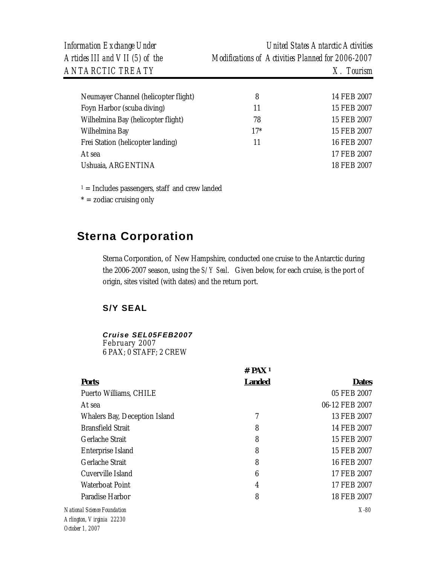| Neumayer Channel (helicopter flight) | 8     | 14 FEB 2007 |
|--------------------------------------|-------|-------------|
| Foyn Harbor (scuba diving)           | 11    | 15 FEB 2007 |
| Wilhelmina Bay (helicopter flight)   | 78    | 15 FEB 2007 |
| Wilhelmina Bay                       | $17*$ | 15 FEB 2007 |
| Frei Station (helicopter landing)    | 11    | 16 FEB 2007 |
| At sea                               |       | 17 FEB 2007 |
| Ushuaia, ARGENTINA                   |       | 18 FEB 2007 |
|                                      |       |             |

 $1 =$  Includes passengers, staff and crew landed

 $* =$  zodiac cruising only

# **Sterna Corporation**

Sterna Corporation, of New Hampshire, conducted one cruise to the Antarctic during the 2006-2007 season, using the *S/Y Seal*.Given below, for each cruise, is the port of origin, sites visited (with dates) and the return port.

## **S/Y SEAL**

## *Cruise SEL05FEB2007*

February 2007 6 PAX; 0 STAFF; 2 CREW

|                                                          | $#$ PAX <sup>1</sup> |                |
|----------------------------------------------------------|----------------------|----------------|
| <b>Ports</b>                                             | <b>Landed</b>        | <b>Dates</b>   |
| Puerto Williams, CHILE                                   |                      | 05 FEB 2007    |
| At sea                                                   |                      | 06-12 FEB 2007 |
| Whalers Bay, Deception Island                            | 7                    | 13 FEB 2007    |
| <b>Bransfield Strait</b>                                 | 8                    | 14 FEB 2007    |
| Gerlache Strait                                          | 8                    | 15 FEB 2007    |
| Enterprise Island                                        | 8                    | 15 FEB 2007    |
| Gerlache Strait                                          | 8                    | 16 FEB 2007    |
| Cuverville Island                                        | $6\phantom{1}6$      | 17 FEB 2007    |
| Waterboat Point                                          | $\overline{4}$       | 17 FEB 2007    |
| Paradise Harbor                                          | 8                    | 18 FEB 2007    |
| National Science Foundation<br>Arlington, Virginia 22230 |                      | $X-80$         |

*October 1, 2007*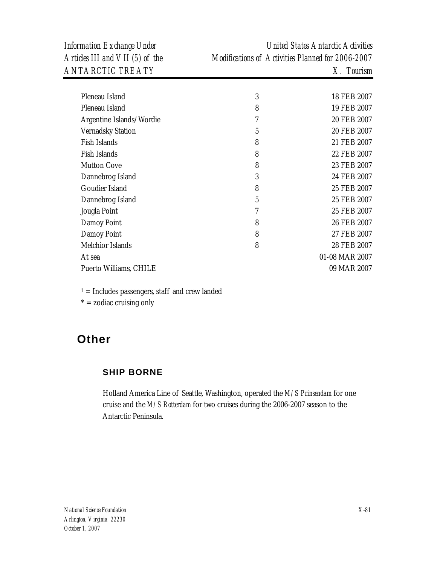| Pleneau Island           | 3 | 18 FEB 2007    |
|--------------------------|---|----------------|
| Pleneau Island           | 8 | 19 FEB 2007    |
| Argentine Islands/Wordie | 7 | 20 FEB 2007    |
| <b>Vernadsky Station</b> | 5 | 20 FEB 2007    |
| Fish Islands             | 8 | 21 FEB 2007    |
| Fish Islands             | 8 | 22 FEB 2007    |
| <b>Mutton Cove</b>       | 8 | 23 FEB 2007    |
| Dannebrog Island         | 3 | 24 FEB 2007    |
| Goudier Island           | 8 | 25 FEB 2007    |
| Dannebrog Island         | 5 | 25 FEB 2007    |
| Jougla Point             | 7 | 25 FEB 2007    |
| Damoy Point              | 8 | 26 FEB 2007    |
| Damoy Point              | 8 | 27 FEB 2007    |
| Melchior Islands         | 8 | 28 FEB 2007    |
| At sea                   |   | 01-08 MAR 2007 |
| Puerto Williams, CHILE   |   | 09 MAR 2007    |
|                          |   |                |

 $1 =$  Includes passengers, staff and crew landed

 $* =$  zodiac cruising only

# **Other**

## **SHIP BORNE**

Holland America Line of Seattle, Washington, operated the *M/S Prinsendam* for one cruise and the *M/S Rotterdam* for two cruises during the 2006-2007 season to the Antarctic Peninsula.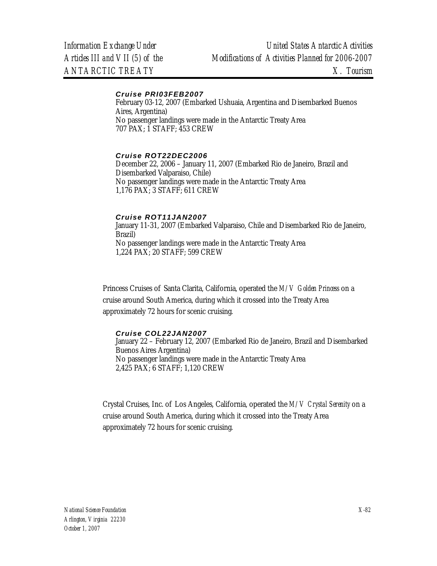#### *Cruise PRI03FEB2007*

February 03-12, 2007 (Embarked Ushuaia, Argentina and Disembarked Buenos Aires, Argentina) No passenger landings were made in the Antarctic Treaty Area 707 PAX; 1 STAFF; 453 CREW

#### *Cruise ROT22DEC2006*

December 22, 2006 – January 11, 2007 (Embarked Rio de Janeiro, Brazil and Disembarked Valparaiso, Chile) No passenger landings were made in the Antarctic Treaty Area 1,176 PAX; 3 STAFF; 611 CREW

### *Cruise ROT11JAN2007*

January 11-31, 2007 (Embarked Valparaiso, Chile and Disembarked Rio de Janeiro, Brazil) No passenger landings were made in the Antarctic Treaty Area 1,224 PAX; 20 STAFF; 599 CREW

Princess Cruises of Santa Clarita, California, operated the *M/V Golden Princess* on a cruise around South America, during which it crossed into the Treaty Area approximately 72 hours for scenic cruising.

#### *Cruise COL22JAN2007*

January 22 – February 12, 2007 (Embarked Rio de Janeiro, Brazil and Disembarked Buenos Aires Argentina) No passenger landings were made in the Antarctic Treaty Area 2,425 PAX; 6 STAFF; 1,120 CREW

Crystal Cruises, Inc. of Los Angeles, California, operated the *M/V Crystal Serenity* on a cruise around South America, during which it crossed into the Treaty Area approximately 72 hours for scenic cruising.